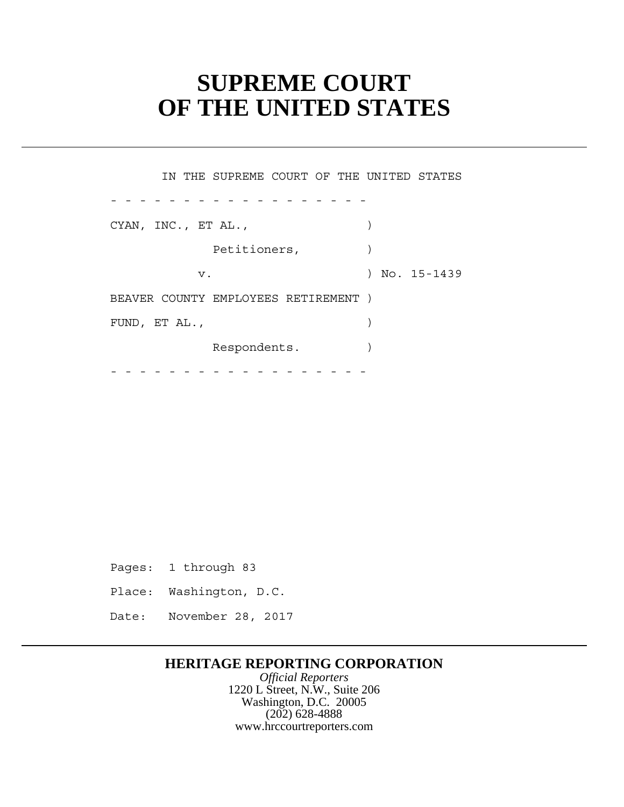# **SUPREME COURT OF THE UNITED STATES**

Petitioners,  $)$  $\overline{\phantom{a}}$ - - - - - - - - - - - - - - - - - - - - - - - - - - - - - - - - - - - - IN THE SUPREME COURT OF THE UNITED STATES CYAN, INC., ET AL.,  $\qquad \qquad$  v. ) No. 15-1439 BEAVER COUNTY EMPLOYEES RETIREMENT ) FUND, ET AL.,  $\qquad \qquad$ Respondents. )

Pages: 1 through 83

- Place: Washington, D.C.
- Date: November 28, 2017

## **HERITAGE REPORTING CORPORATION**

*Official Reporters* 1220 L Street, N.W., Suite 206 Washington, D.C. 20005 (202) 628-4888 www.hrccourtreporters.com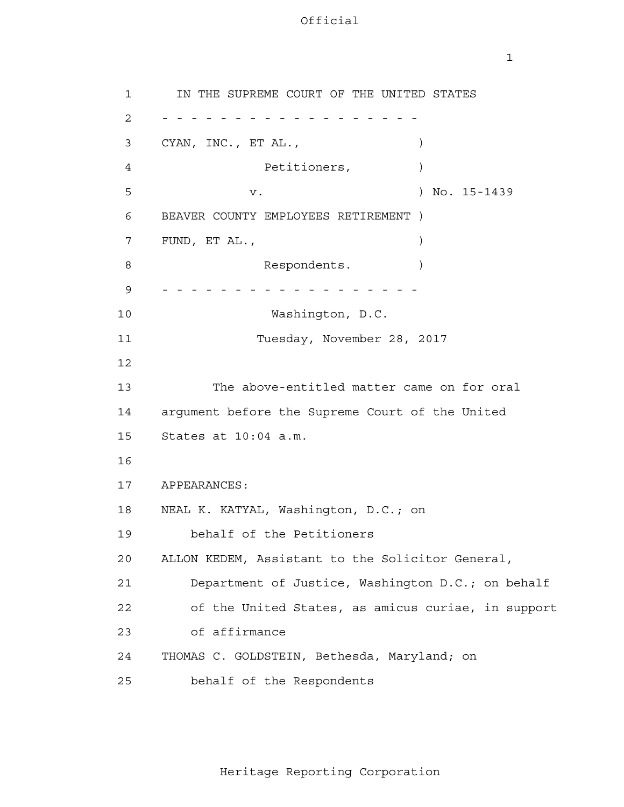1

```
 1 
            2 - - - - - - - - - - - - - - - - - -
 3 
 4 
5
 6 
 7 
 8 
            9 - - - - - - - - - - - - - - - - - -
           10 
           11 
           12
           13 
           14 
           15 
           16
           17 
           18 
           19 
           20 
           21 
           22 
           23 
           24 
           25 
                 IN THE SUPREME COURT OF THE UNITED STATES
               CYAN, INC., ET AL., (1992)
                           Petitioners, )v. ) No. 15-1439
               BEAVER COUNTY EMPLOYEES RETIREMENT )
               FUND, ET AL., )Respondents. )
                            Washington, D.C.
                           Tuesday, November 28, 2017
                     The above-entitled matter came on for oral
               argument before the Supreme Court of the United
               States at 10:04 a.m.
               APPEARANCES:
               NEAL K. KATYAL, Washington, D.C.; on
                   behalf of the Petitioners
               ALLON KEDEM, Assistant to the Solicitor General,
                   Department of Justice, Washington D.C.; on behalf
                   of the United States, as amicus curiae, in support
                  of affirmance
               THOMAS C. GOLDSTEIN, Bethesda, Maryland; on
                   behalf of the Respondents
```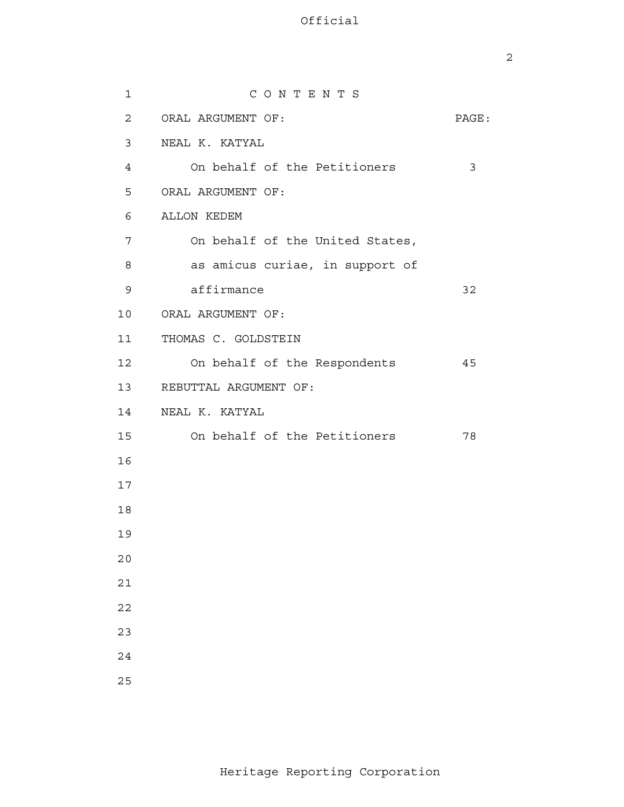| $\mathbf{1}$   | CONTENTS                        |       |
|----------------|---------------------------------|-------|
| $\overline{2}$ | ORAL ARGUMENT OF:               | PAGE: |
| 3              | NEAL K. KATYAL                  |       |
| $\overline{4}$ | On behalf of the Petitioners    | 3     |
| 5              | ORAL ARGUMENT OF:               |       |
| 6              | ALLON KEDEM                     |       |
| 7              | On behalf of the United States, |       |
| 8              | as amicus curiae, in support of |       |
| 9              | affirmance                      | 32    |
| 10             | ORAL ARGUMENT OF:               |       |
| 11             | THOMAS C. GOLDSTEIN             |       |
| 12             | On behalf of the Respondents    | 45    |
| 13             | REBUTTAL ARGUMENT OF:           |       |
| 14             | NEAL K. KATYAL                  |       |
| 15             | On behalf of the Petitioners    | 78    |
| 16             |                                 |       |
| 17             |                                 |       |
| 18             |                                 |       |
| 19             |                                 |       |
| 20             |                                 |       |
| 21             |                                 |       |
| 22             |                                 |       |
| 23             |                                 |       |
| 24             |                                 |       |
| 25             |                                 |       |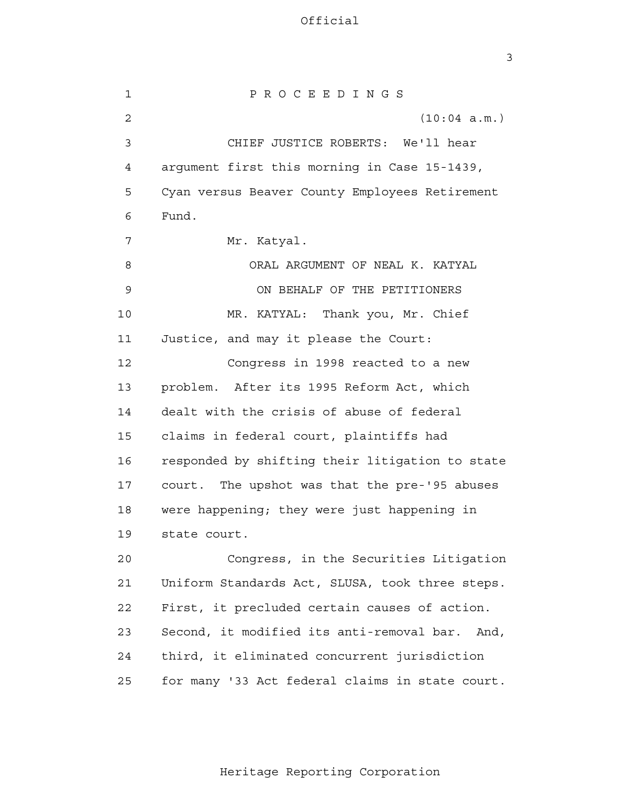3

 1 2 3 4 **5**  6 7 8 9 10 11 12 13 14 15 16 17 18 19 20 21 22 23 24 25 P R O C E E D I N G S (10:04 a.m.) CHIEF JUSTICE ROBERTS: We'll hear argument first this morning in Case 15-1439, Cyan versus Beaver County Employees Retirement Fund. Mr. Katyal. ORAL ARGUMENT OF NEAL K. KATYAL ON BEHALF OF THE PETITIONERS MR. KATYAL: Thank you, Mr. Chief Justice, and may it please the Court: Congress in 1998 reacted to a new problem. After its 1995 Reform Act, which dealt with the crisis of abuse of federal claims in federal court, plaintiffs had responded by shifting their litigation to state court. The upshot was that the pre-'95 abuses were happening; they were just happening in state court. Congress, in the Securities Litigation Uniform Standards Act, SLUSA, took three steps. First, it precluded certain causes of action. Second, it modified its anti-removal bar. And, third, it eliminated concurrent jurisdiction for many '33 Act federal claims in state court.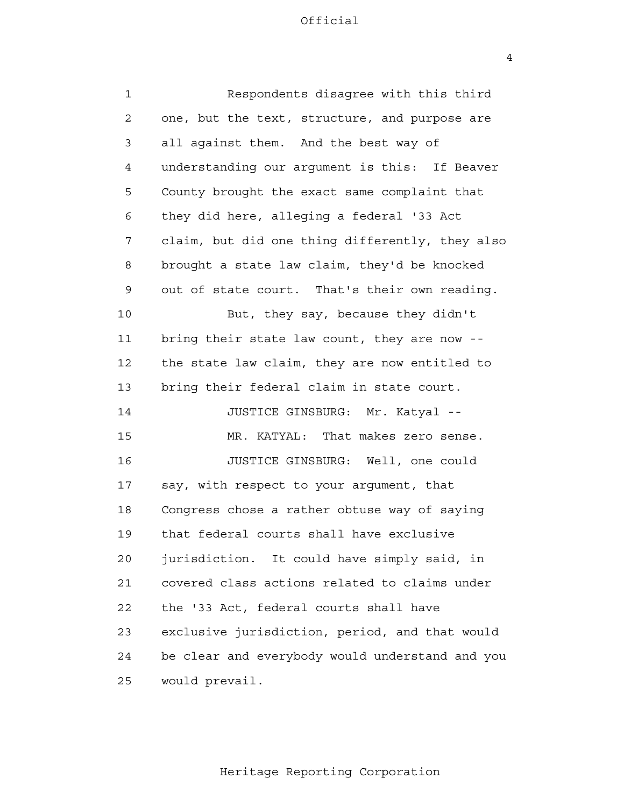4

| $\mathbf 1$ | Respondents disagree with this third            |
|-------------|-------------------------------------------------|
| 2           | one, but the text, structure, and purpose are   |
| 3           | all against them. And the best way of           |
| 4           | understanding our argument is this: If Beaver   |
| 5           | County brought the exact same complaint that    |
| 6           | they did here, alleging a federal '33 Act       |
| 7           | claim, but did one thing differently, they also |
| 8           | brought a state law claim, they'd be knocked    |
| 9           | out of state court. That's their own reading.   |
| 10          | But, they say, because they didn't              |
| 11          | bring their state law count, they are now --    |
| 12          | the state law claim, they are now entitled to   |
| 13          | bring their federal claim in state court.       |
| 14          | JUSTICE GINSBURG: Mr. Katyal --                 |
| 15          | MR. KATYAL: That makes zero sense.              |
| 16          | JUSTICE GINSBURG: Well, one could               |
| 17          | say, with respect to your argument, that        |
| 18          | Congress chose a rather obtuse way of saying    |
| 19          | that federal courts shall have exclusive        |
| 20          | jurisdiction. It could have simply said, in     |
| 21          | covered class actions related to claims under   |
| 22          | the '33 Act, federal courts shall have          |
| 23          | exclusive jurisdiction, period, and that would  |
| 24          | be clear and everybody would understand and you |
| 25          | would prevail.                                  |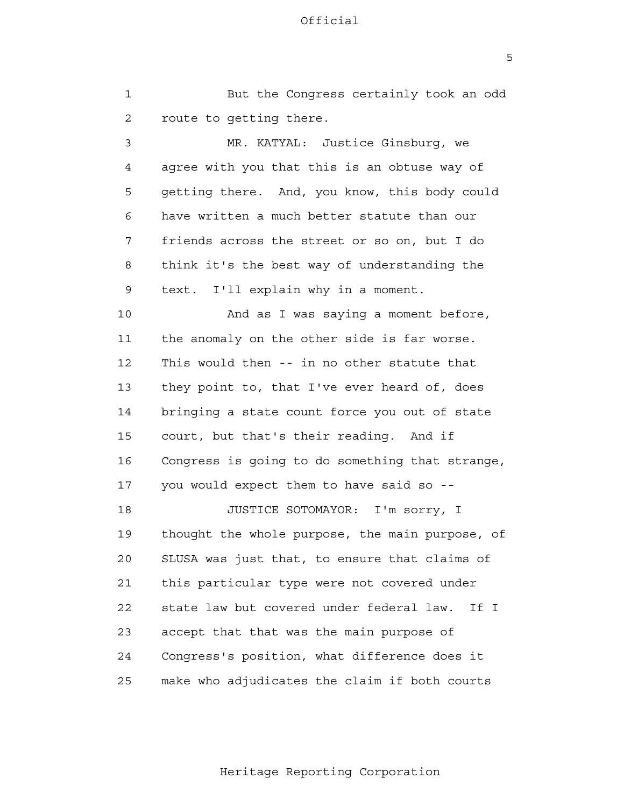1 2 3 4 **5**  6 7 8 9 10 11 12 13 14 15 16 17 18 19 20 21 22 23 24 25 But the Congress certainly took an odd route to getting there. MR. KATYAL: Justice Ginsburg, we agree with you that this is an obtuse way of getting there. And, you know, this body could have written a much better statute than our friends across the street or so on, but I do think it's the best way of understanding the text. I'll explain why in a moment. And as I was saying a moment before, the anomaly on the other side is far worse. This would then -- in no other statute that they point to, that I've ever heard of, does bringing a state count force you out of state court, but that's their reading. And if Congress is going to do something that strange, you would expect them to have said so - JUSTICE SOTOMAYOR: I'm sorry, I thought the whole purpose, the main purpose, of SLUSA was just that, to ensure that claims of this particular type were not covered under state law but covered under federal law. If I accept that that was the main purpose of Congress's position, what difference does it make who adjudicates the claim if both courts

 $\overline{5}$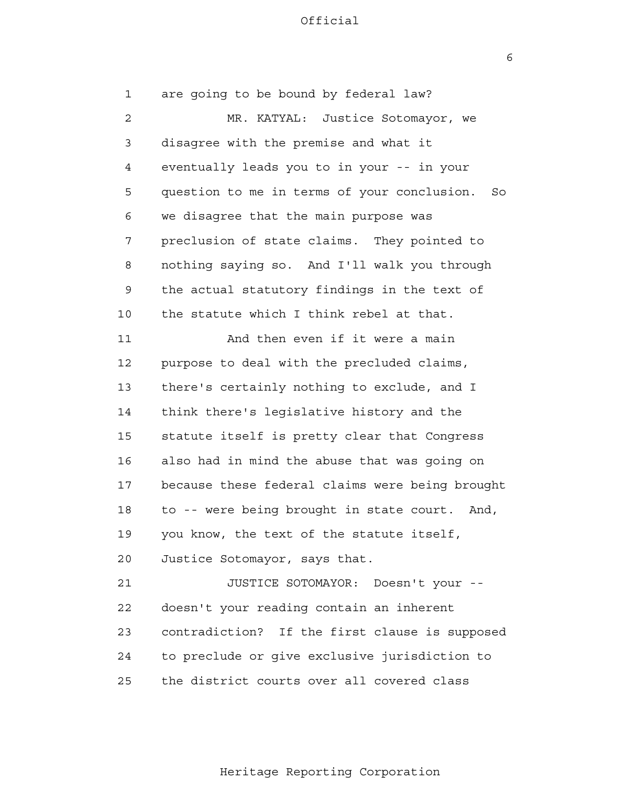$\overline{6}$ 

 1 2 3 4 **5**  6 7 8 9 10 11 12 13 14 15 16 17 18 19 20 21 **22**  23 24 <u>25</u> are going to be bound by federal law? MR. KATYAL: Justice Sotomayor, we disagree with the premise and what it eventually leads you to in your -- in your question to me in terms of your conclusion. So we disagree that the main purpose was preclusion of state claims. They pointed to nothing saying so. And I'll walk you through the actual statutory findings in the text of the statute which I think rebel at that. And then even if it were a main purpose to deal with the precluded claims, there's certainly nothing to exclude, and I think there's legislative history and the statute itself is pretty clear that Congress also had in mind the abuse that was going on because these federal claims were being brought to -- were being brought in state court. And, you know, the text of the statute itself, Justice Sotomayor, says that. JUSTICE SOTOMAYOR: Doesn't your doesn't your reading contain an inherent contradiction? If the first clause is supposed to preclude or give exclusive jurisdiction to the district courts over all covered class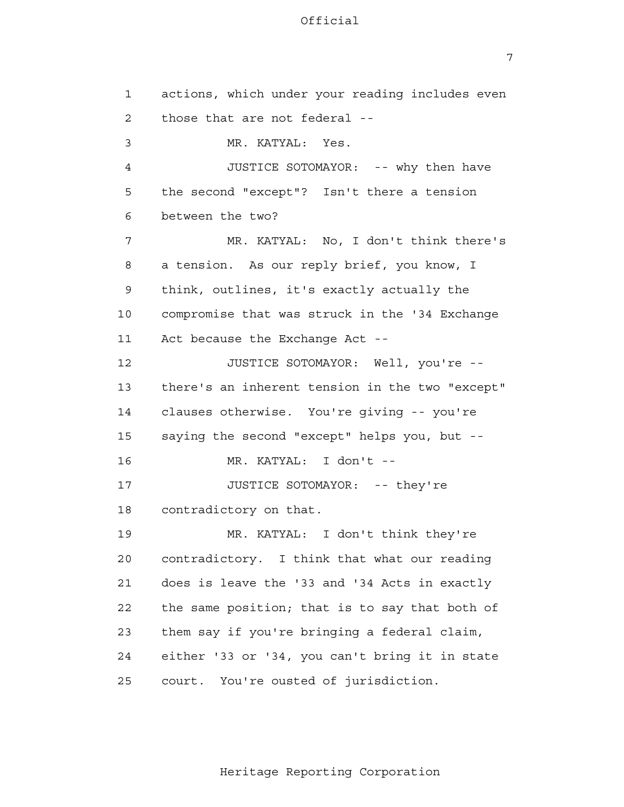1

2

3

4

**5** 

6

7

8

9

14

10

11

12

13

15

16

17

18

19

20

21

22

23

24

25

 7 actions, which under your reading includes even those that are not federal - MR. KATYAL: Yes. JUSTICE SOTOMAYOR: -- why then have the second "except"? Isn't there a tension between the two? MR. KATYAL: No, I don't think there's a tension. As our reply brief, you know, I think, outlines, it's exactly actually the compromise that was struck in the '34 Exchange Act because the Exchange Act - JUSTICE SOTOMAYOR: Well, you're there's an inherent tension in the two "except" clauses otherwise. You're giving -- you're saying the second "except" helps you, but - MR. KATYAL: I don't - JUSTICE SOTOMAYOR: -- they're contradictory on that. MR. KATYAL: I don't think they're contradictory. I think that what our reading does is leave the '33 and '34 Acts in exactly the same position; that is to say that both of them say if you're bringing a federal claim,

court. You're ousted of jurisdiction.

Heritage Reporting Corporation

either '33 or '34, you can't bring it in state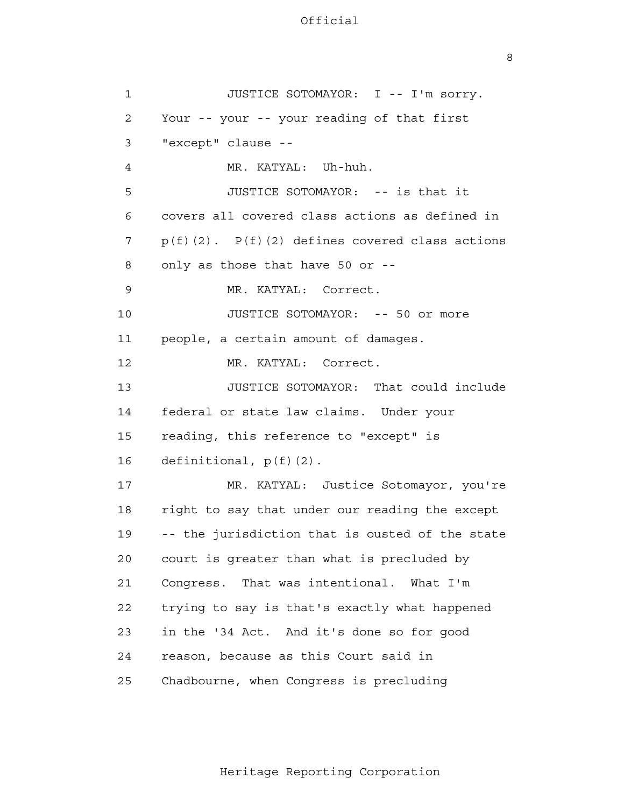8

| $\mathbf 1$    | JUSTICE SOTOMAYOR: I -- I'm sorry.                  |
|----------------|-----------------------------------------------------|
| $\overline{2}$ | Your -- your -- your reading of that first          |
| 3              | "except" clause --                                  |
| 4              | MR. KATYAL: Uh-huh.                                 |
| 5              | JUSTICE SOTOMAYOR: -- is that it                    |
| 6              | covers all covered class actions as defined in      |
| 7              | $p(f)(2)$ . $P(f)(2)$ defines covered class actions |
| 8              | only as those that have 50 or --                    |
| 9              | MR. KATYAL: Correct.                                |
| 10             | JUSTICE SOTOMAYOR: -- 50 or more                    |
| 11             | people, a certain amount of damages.                |
| 12             | MR. KATYAL: Correct.                                |
| 13             | JUSTICE SOTOMAYOR: That could include               |
| 14             | federal or state law claims. Under your             |
| 15             | reading, this reference to "except" is              |
| 16             | definitional, $p(f)(2)$ .                           |
| 17             | MR. KATYAL: Justice Sotomayor, you're               |
| 18             | right to say that under our reading the except      |
| 19             | -- the jurisdiction that is ousted of the state     |
| 20             | court is greater than what is precluded by          |
| 21             | Congress. That was intentional. What I'm            |
| 22             | trying to say is that's exactly what happened       |
| 23             | in the '34 Act. And it's done so for good           |
| 24             | reason, because as this Court said in               |
| 25             | Chadbourne, when Congress is precluding             |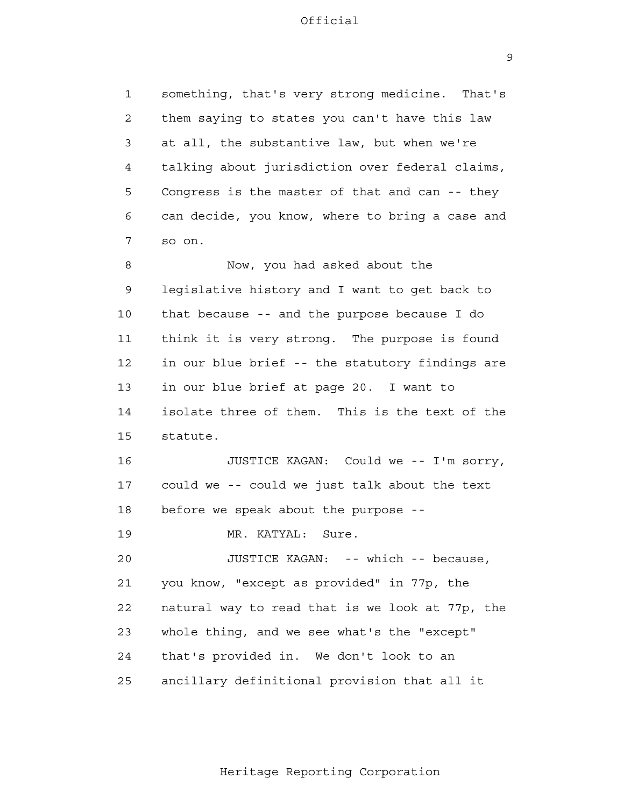1

2

3

4

**5** 

6

7

8

9

10

11

12

13

14

15

16

17

18

19

20

21

22

23

24

25

 9 something, that's very strong medicine. That's them saying to states you can't have this law at all, the substantive law, but when we're talking about jurisdiction over federal claims, Congress is the master of that and can -- they can decide, you know, where to bring a case and so on. Now, you had asked about the legislative history and I want to get back to that because -- and the purpose because I do think it is very strong. The purpose is found in our blue brief -- the statutory findings are in our blue brief at page 20. I want to isolate three of them. This is the text of the statute. JUSTICE KAGAN: Could we -- I'm sorry, could we -- could we just talk about the text before we speak about the purpose - MR. KATYAL: Sure. JUSTICE KAGAN: -- which -- because, you know, "except as provided" in 77p, the natural way to read that is we look at 77p, the whole thing, and we see what's the "except" that's provided in. We don't look to an ancillary definitional provision that all it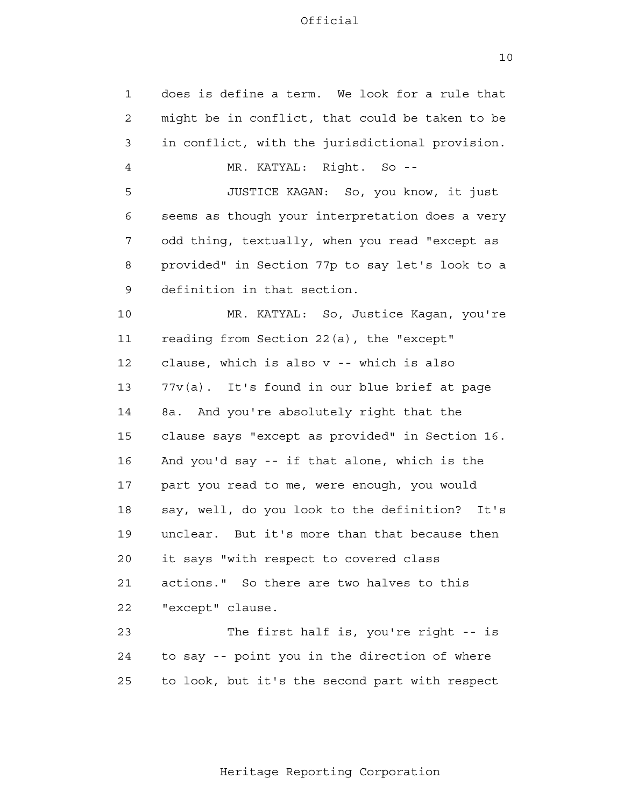1 2 3 4 **5**  6 7 8 9 10 11 12 13 14 15 16 17 18 19 20 21 22 23 24 25 does is define a term. We look for a rule that might be in conflict, that could be taken to be in conflict, with the jurisdictional provision. MR. KATYAL: Right. So - JUSTICE KAGAN: So, you know, it just seems as though your interpretation does a very odd thing, textually, when you read "except as provided" in Section 77p to say let's look to a definition in that section. MR. KATYAL: So, Justice Kagan, you're reading from Section 22(a), the "except" clause, which is also v -- which is also 77v(a). It's found in our blue brief at page 8a. And you're absolutely right that the clause says "except as provided" in Section 16. And you'd say -- if that alone, which is the part you read to me, were enough, you would say, well, do you look to the definition? It's unclear. But it's more than that because then it says "with respect to covered class actions." So there are two halves to this "except" clause. The first half is, you're right -- is to say -- point you in the direction of where to look, but it's the second part with respect

10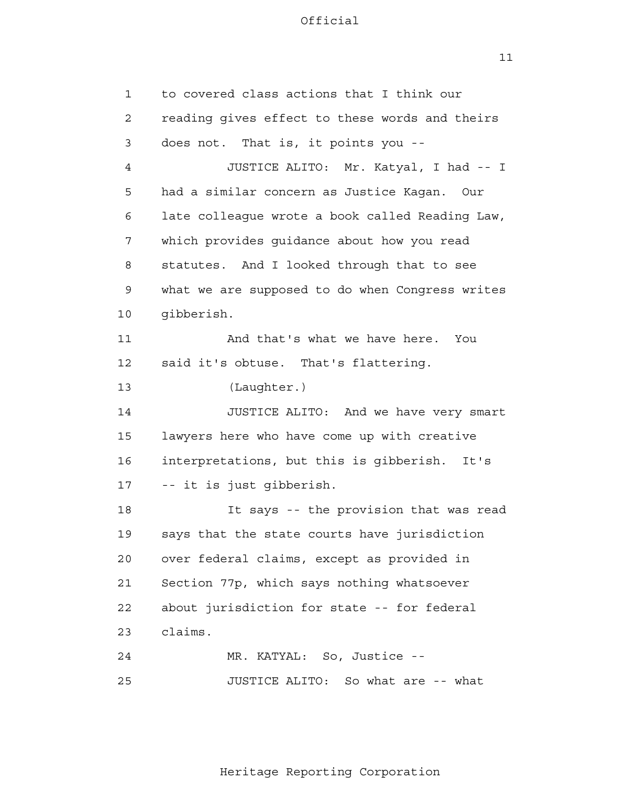$11$ 

 1 2 3 4 **5**  6 7 8 9 10 11 12 13 14 15 16 17 18 19 20 21 22 23 24 25 to covered class actions that I think our reading gives effect to these words and theirs does not. That is, it points you - JUSTICE ALITO: Mr. Katyal, I had -- I had a similar concern as Justice Kagan. Our late colleague wrote a book called Reading Law, which provides guidance about how you read statutes. And I looked through that to see what we are supposed to do when Congress writes gibberish. And that's what we have here. You said it's obtuse. That's flattering. (Laughter.) JUSTICE ALITO: And we have very smart lawyers here who have come up with creative interpretations, but this is gibberish. It's -- it is just gibberish. It says -- the provision that was read says that the state courts have jurisdiction over federal claims, except as provided in Section 77p, which says nothing whatsoever about jurisdiction for state -- for federal claims. MR. KATYAL: So, Justice - JUSTICE ALITO: So what are -- what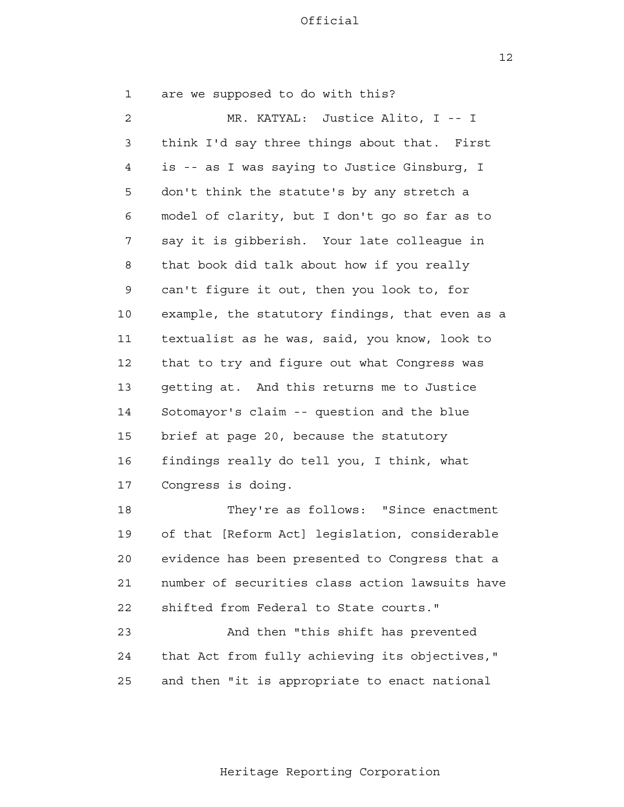$12$ 

| 1  | are we supposed to do with this?                |
|----|-------------------------------------------------|
| 2  | MR. KATYAL: Justice Alito, I -- I               |
| 3  | think I'd say three things about that. First    |
| 4  | is -- as I was saying to Justice Ginsburg, I    |
| 5  | don't think the statute's by any stretch a      |
| 6  | model of clarity, but I don't go so far as to   |
| 7  | say it is gibberish. Your late colleague in     |
| 8  | that book did talk about how if you really      |
| 9  | can't figure it out, then you look to, for      |
| 10 | example, the statutory findings, that even as a |
| 11 | textualist as he was, said, you know, look to   |
| 12 | that to try and figure out what Congress was    |
| 13 | getting at. And this returns me to Justice      |
| 14 | Sotomayor's claim -- question and the blue      |
| 15 | brief at page 20, because the statutory         |
| 16 | findings really do tell you, I think, what      |
| 17 | Congress is doing.                              |
| 18 | They're as follows: "Since enactment            |
| 19 | of that [Reform Act] legislation, considerable  |
| 20 | evidence has been presented to Congress that a  |
| 21 | number of securities class action lawsuits have |
| 22 | shifted from Federal to State courts."          |
| 23 | And then "this shift has prevented              |
| 24 | that Act from fully achieving its objectives, " |
| 25 | and then "it is appropriate to enact national   |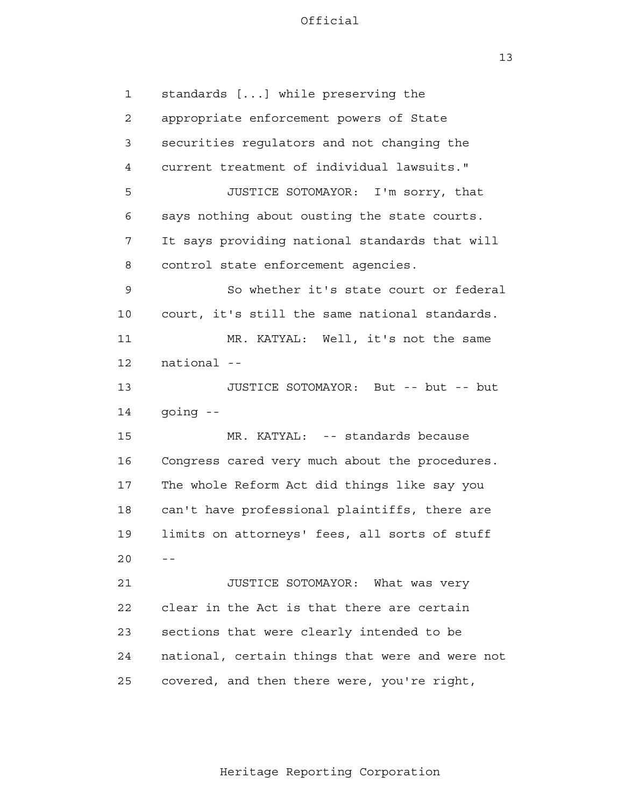13

 1 2 3 4 **5**  6 7 8 9 10 11 12 13 14 15 16 17 18 19  $20$  -- 21 22 23 24 25 standards [...] while preserving the appropriate enforcement powers of State securities regulators and not changing the current treatment of individual lawsuits." JUSTICE SOTOMAYOR: I'm sorry, that says nothing about ousting the state courts. It says providing national standards that will control state enforcement agencies. So whether it's state court or federal court, it's still the same national standards. MR. KATYAL: Well, it's not the same national - JUSTICE SOTOMAYOR: But -- but -- but going - MR. KATYAL: -- standards because Congress cared very much about the procedures. The whole Reform Act did things like say you can't have professional plaintiffs, there are limits on attorneys' fees, all sorts of stuff JUSTICE SOTOMAYOR: What was very clear in the Act is that there are certain sections that were clearly intended to be national, certain things that were and were not covered, and then there were, you're right,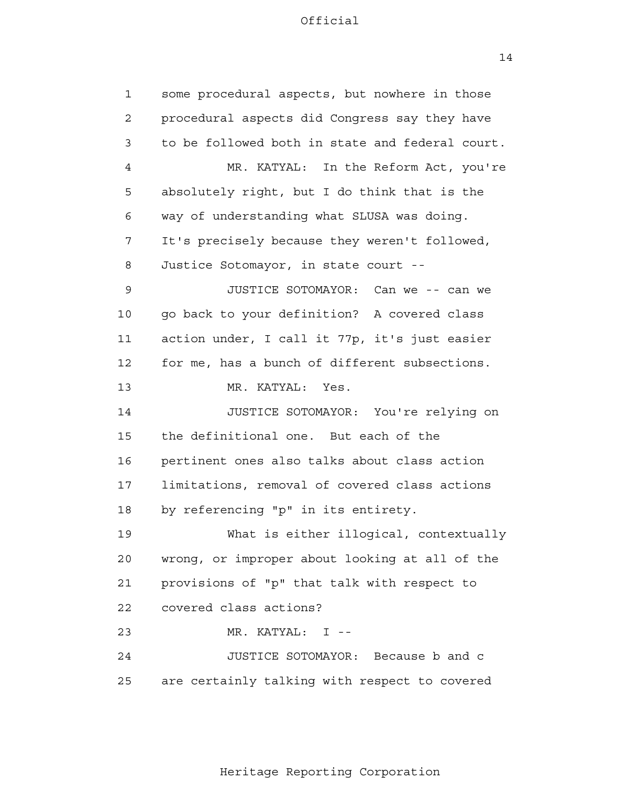14

| $\mathbf{1}$ | some procedural aspects, but nowhere in those   |
|--------------|-------------------------------------------------|
| $\mathbf{2}$ | procedural aspects did Congress say they have   |
| 3            | to be followed both in state and federal court. |
| 4            | MR. KATYAL: In the Reform Act, you're           |
| 5            | absolutely right, but I do think that is the    |
| 6            | way of understanding what SLUSA was doing.      |
| 7            | It's precisely because they weren't followed,   |
| 8            | Justice Sotomayor, in state court --            |
| 9            | JUSTICE SOTOMAYOR: Can we -- can we             |
| 10           | go back to your definition? A covered class     |
| 11           | action under, I call it 77p, it's just easier   |
| 12           | for me, has a bunch of different subsections.   |
| 13           | MR. KATYAL:<br>Yes.                             |
| 14           | JUSTICE SOTOMAYOR: You're relying on            |
| 15           | the definitional one. But each of the           |
| 16           | pertinent ones also talks about class action    |
| 17           | limitations, removal of covered class actions   |
| 18           | by referencing "p" in its entirety.             |
| 19           | What is either illogical, contextually          |
| 20           | wrong, or improper about looking at all of the  |
| 21           | provisions of "p" that talk with respect to     |
| 22           | covered class actions?                          |
| 23           | MR. KATYAL: I --                                |
| 24           | JUSTICE SOTOMAYOR: Because b and c              |
| 25           | are certainly talking with respect to covered   |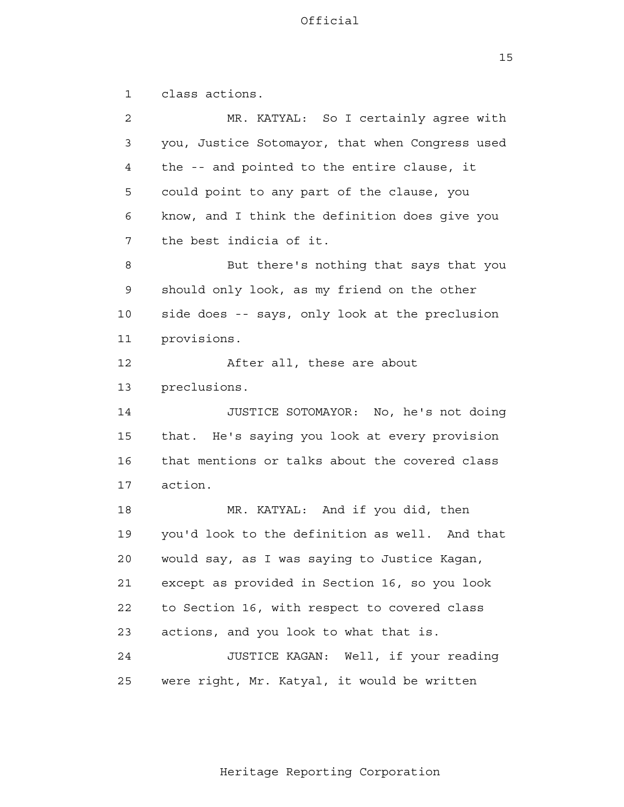15

 1 2 3 4 **5**  6 7 8 9 10 11 12 13 14 15 16 17 18 19 20 21 22 23 24 25 class actions. MR. KATYAL: So I certainly agree with you, Justice Sotomayor, that when Congress used the -- and pointed to the entire clause, it could point to any part of the clause, you know, and I think the definition does give you the best indicia of it. But there's nothing that says that you should only look, as my friend on the other side does -- says, only look at the preclusion provisions. After all, these are about preclusions. JUSTICE SOTOMAYOR: No, he's not doing that. He's saying you look at every provision that mentions or talks about the covered class action. MR. KATYAL: And if you did, then you'd look to the definition as well. And that would say, as I was saying to Justice Kagan, except as provided in Section 16, so you look to Section 16, with respect to covered class actions, and you look to what that is. JUSTICE KAGAN: Well, if your reading were right, Mr. Katyal, it would be written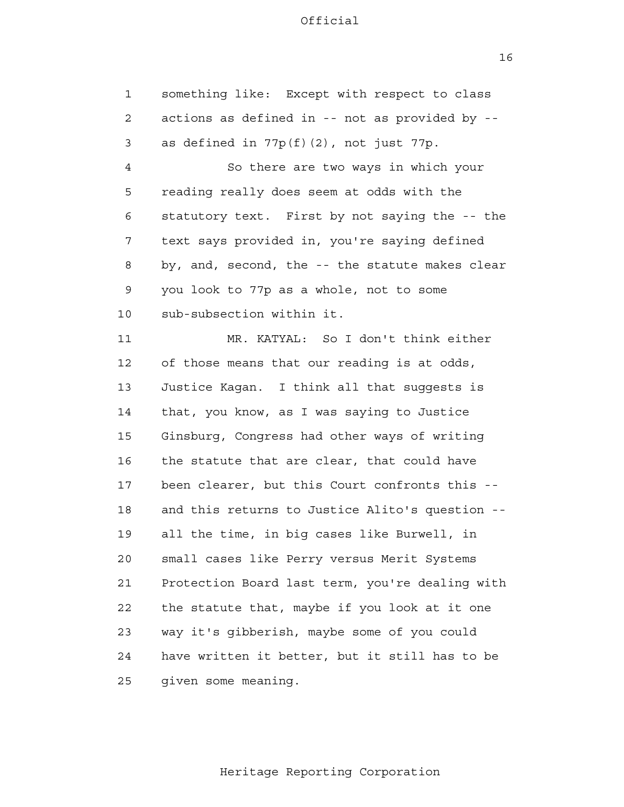something like: Except with respect to class

1

 2 3 4 **5**  6 7 8 9 10 11 12 13 14 15 16 17 18 19 20 21 22 23 24 25 actions as defined in -- not as provided by as defined in  $77p(f)(2)$ , not just  $77p$ . So there are two ways in which your reading really does seem at odds with the statutory text. First by not saying the -- the text says provided in, you're saying defined by, and, second, the -- the statute makes clear you look to 77p as a whole, not to some sub-subsection within it. MR. KATYAL: So I don't think either of those means that our reading is at odds, Justice Kagan. I think all that suggests is that, you know, as I was saying to Justice Ginsburg, Congress had other ways of writing the statute that are clear, that could have been clearer, but this Court confronts this and this returns to Justice Alito's question all the time, in big cases like Burwell, in small cases like Perry versus Merit Systems Protection Board last term, you're dealing with the statute that, maybe if you look at it one way it's gibberish, maybe some of you could have written it better, but it still has to be given some meaning.

16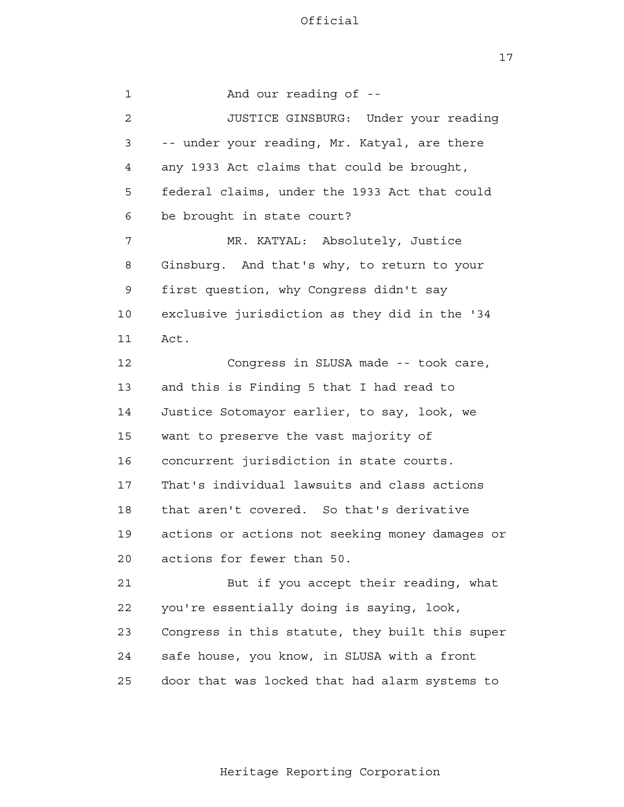17

 1 2 3 4 **5**  6 7 8 9 10 11 12 13 14 15 16 17 18 19 20 21 22 23 24 <u>25</u> And our reading of - JUSTICE GINSBURG: Under your reading -- under your reading, Mr. Katyal, are there any 1933 Act claims that could be brought, federal claims, under the 1933 Act that could be brought in state court? MR. KATYAL: Absolutely, Justice Ginsburg. And that's why, to return to your first question, why Congress didn't say exclusive jurisdiction as they did in the '34 Act. Congress in SLUSA made -- took care, and this is Finding 5 that I had read to Justice Sotomayor earlier, to say, look, we want to preserve the vast majority of concurrent jurisdiction in state courts. That's individual lawsuits and class actions that aren't covered. So that's derivative actions or actions not seeking money damages or actions for fewer than 50. But if you accept their reading, what you're essentially doing is saying, look, Congress in this statute, they built this super safe house, you know, in SLUSA with a front door that was locked that had alarm systems to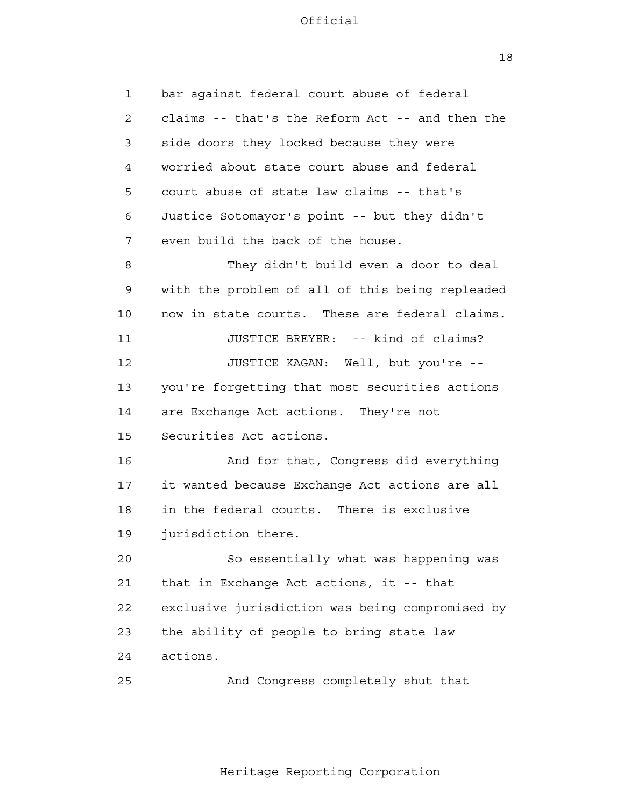18

| 1  | bar against federal court abuse of federal      |
|----|-------------------------------------------------|
| 2  | claims -- that's the Reform Act -- and then the |
| 3  | side doors they locked because they were        |
| 4  | worried about state court abuse and federal     |
| 5  | court abuse of state law claims -- that's       |
| 6  | Justice Sotomayor's point -- but they didn't    |
| 7  | even build the back of the house.               |
| 8  | They didn't build even a door to deal           |
| 9  | with the problem of all of this being repleaded |
| 10 | now in state courts. These are federal claims.  |
| 11 | JUSTICE BREYER: -- kind of claims?              |
| 12 | JUSTICE KAGAN: Well, but you're --              |
| 13 | you're forgetting that most securities actions  |
| 14 | are Exchange Act actions. They're not           |
| 15 | Securities Act actions.                         |
| 16 | And for that, Congress did everything           |
| 17 | it wanted because Exchange Act actions are all  |
| 18 | in the federal courts. There is exclusive       |
| 19 | jurisdiction there.                             |
| 20 | So essentially what was happening was           |
| 21 | that in Exchange Act actions, it -- that        |
| 22 | exclusive jurisdiction was being compromised by |
| 23 | the ability of people to bring state law        |
| 24 | actions.                                        |
| 25 | And Congress completely shut that               |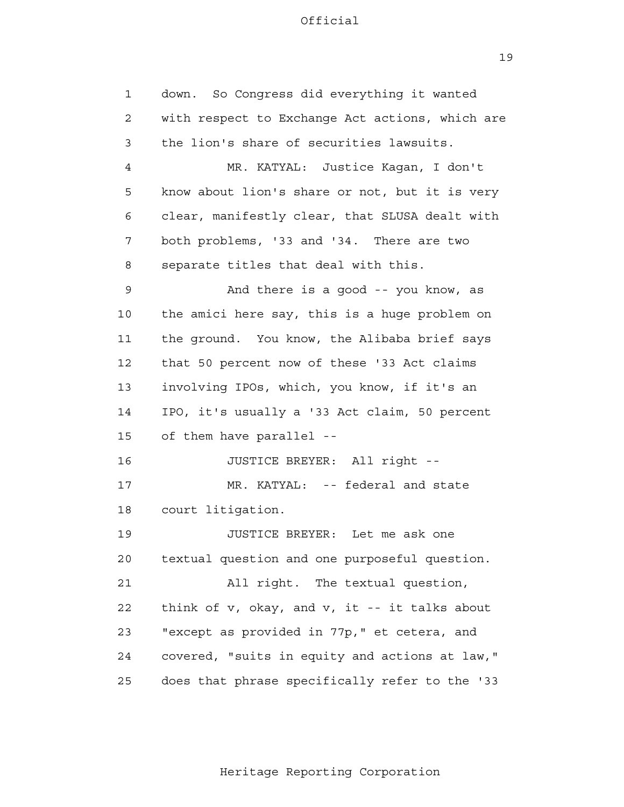19

 1 2 3 4 **5**  6 7 8 9 10 11 12 13 14 15 16 17 18 19 20 21 22 23 24 25 down. So Congress did everything it wanted with respect to Exchange Act actions, which are the lion's share of securities lawsuits. MR. KATYAL: Justice Kagan, I don't know about lion's share or not, but it is very clear, manifestly clear, that SLUSA dealt with both problems, '33 and '34. There are two separate titles that deal with this. And there is a good -- you know, as the amici here say, this is a huge problem on the ground. You know, the Alibaba brief says that 50 percent now of these '33 Act claims involving IPOs, which, you know, if it's an IPO, it's usually a '33 Act claim, 50 percent of them have parallel - JUSTICE BREYER: All right - MR. KATYAL: -- federal and state court litigation. JUSTICE BREYER: Let me ask one textual question and one purposeful question. All right. The textual question, think of v, okay, and v, it -- it talks about "except as provided in 77p," et cetera, and covered, "suits in equity and actions at law," does that phrase specifically refer to the '33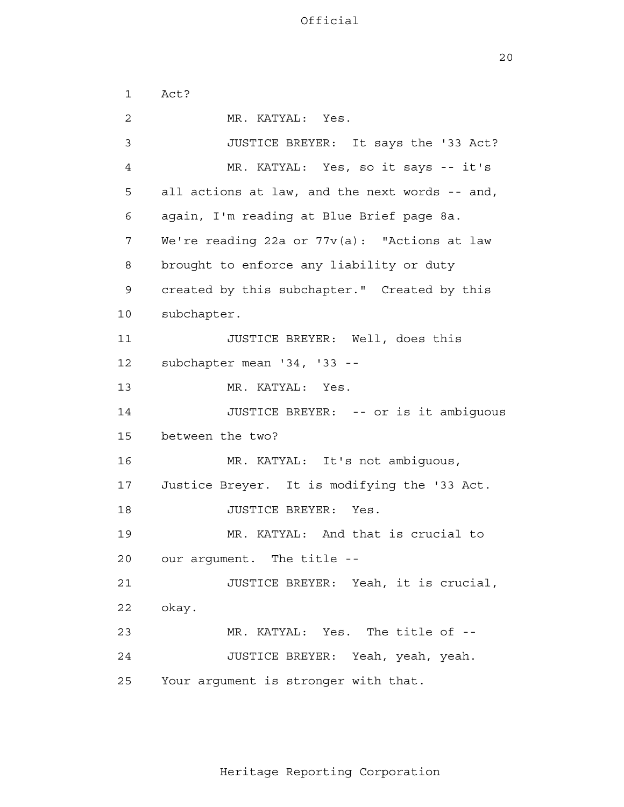20

 1 2 3 4 **5**  6 7 8 9 10 11 12 13 14 15 16 17 18 19 20 21 22 23 24 25 Act? MR. KATYAL: Yes. JUSTICE BREYER: It says the '33 Act? MR. KATYAL: Yes, so it says -- it's all actions at law, and the next words -- and, again, I'm reading at Blue Brief page 8a. We're reading 22a or 77v(a): "Actions at law brought to enforce any liability or duty created by this subchapter." Created by this subchapter. JUSTICE BREYER: Well, does this subchapter mean '34, '33 --MR. KATYAL: Yes. JUSTICE BREYER: -- or is it ambiguous between the two? MR. KATYAL: It's not ambiguous, Justice Breyer. It is modifying the '33 Act. JUSTICE BREYER: Yes. MR. KATYAL: And that is crucial to our argument. The title - JUSTICE BREYER: Yeah, it is crucial, okay. MR. KATYAL: Yes. The title of --JUSTICE BREYER: Yeah, yeah, yeah. Your argument is stronger with that.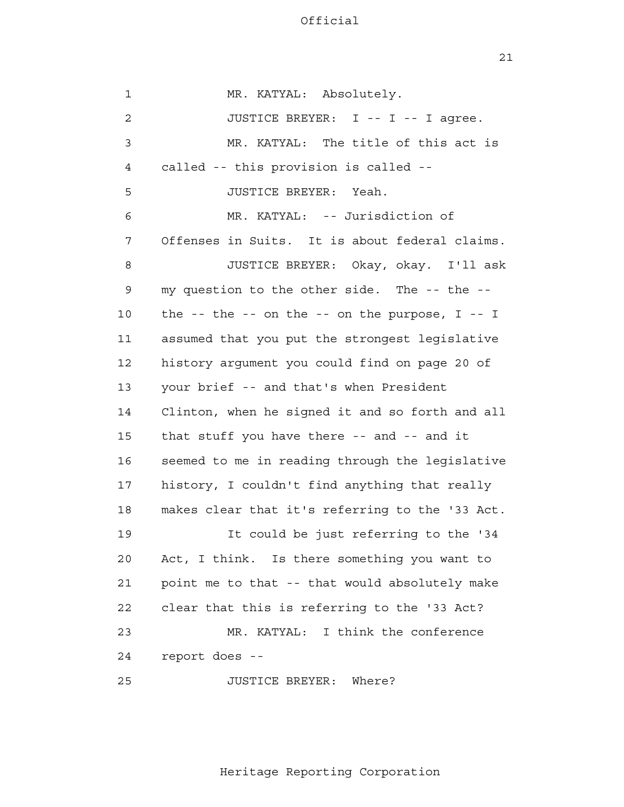21

 1 2 3 4 **5**  6 7 8 9 10 11 12 13 14 15 16 17 18 19 20 21 22 23 24 25 MR. KATYAL: Absolutely. JUSTICE BREYER: I -- I -- I agree. MR. KATYAL: The title of this act is called -- this provision is called - JUSTICE BREYER: Yeah. MR. KATYAL: -- Jurisdiction of Offenses in Suits. It is about federal claims. JUSTICE BREYER: Okay, okay. I'll ask my question to the other side. The -- the the  $-$ - the  $-$ - on the  $-$ - on the purpose,  $I - I$ assumed that you put the strongest legislative history argument you could find on page 20 of your brief -- and that's when President Clinton, when he signed it and so forth and all that stuff you have there -- and -- and it seemed to me in reading through the legislative history, I couldn't find anything that really makes clear that it's referring to the '33 Act. It could be just referring to the '34 Act, I think. Is there something you want to point me to that -- that would absolutely make clear that this is referring to the '33 Act? MR. KATYAL: I think the conference report does - JUSTICE BREYER: Where?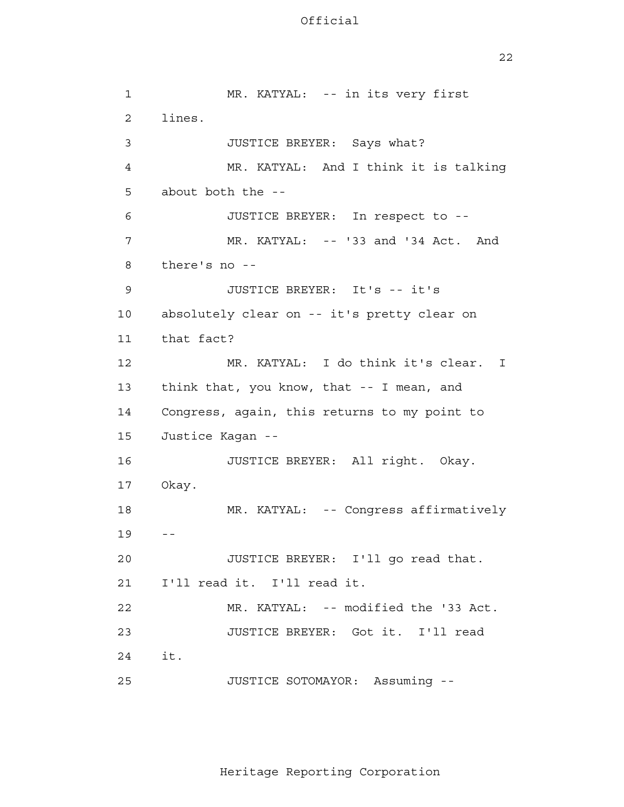22

 19 -- 24 1 2 3 4 **5**  6 7 8 9 10 11 12 13 14 15 16 17 18 20 21 22 23 25 MR. KATYAL: -- in its very first lines. JUSTICE BREYER: Says what? MR. KATYAL: And I think it is talking about both the - JUSTICE BREYER: In respect to - MR. KATYAL: -- '33 and '34 Act. And there's no - JUSTICE BREYER: It's -- it's absolutely clear on -- it's pretty clear on that fact? MR. KATYAL: I do think it's clear. I think that, you know, that -- I mean, and Congress, again, this returns to my point to Justice Kagan - JUSTICE BREYER: All right. Okay. Okay. MR. KATYAL: -- Congress affirmatively JUSTICE BREYER: I'll go read that. I'll read it. I'll read it. MR. KATYAL: -- modified the '33 Act. JUSTICE BREYER: Got it. I'll read it. JUSTICE SOTOMAYOR: Assuming -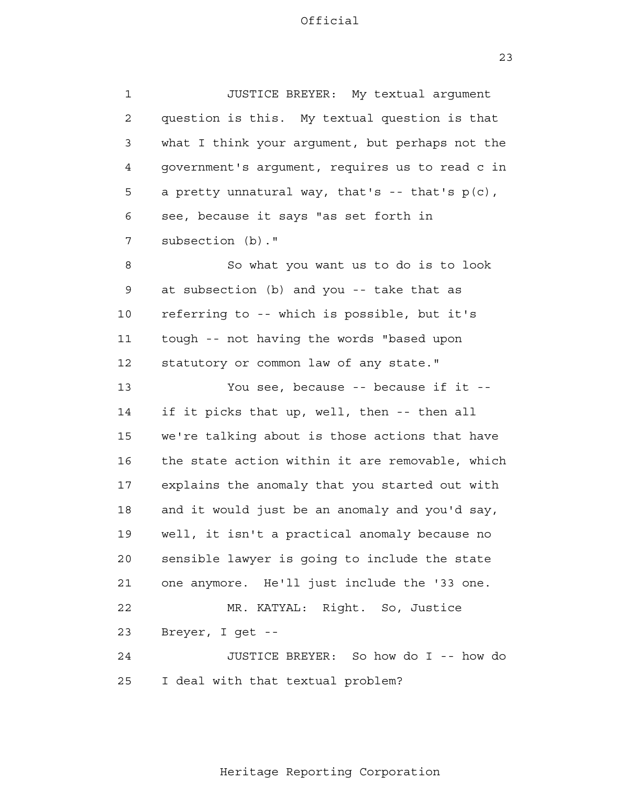23

 1 2 3 4 **5**  6 7 8 9 10 11 12 13 14 15 16 17 18 19 20 21 22 23 24 <u>25</u> JUSTICE BREYER: My textual argument question is this. My textual question is that what I think your argument, but perhaps not the government's argument, requires us to read c in a pretty unnatural way, that's  $-$  that's  $p(c)$ , see, because it says "as set forth in subsection (b)." So what you want us to do is to look at subsection (b) and you -- take that as referring to -- which is possible, but it's tough -- not having the words "based upon statutory or common law of any state." You see, because -- because if it -if it picks that up, well, then -- then all we're talking about is those actions that have the state action within it are removable, which explains the anomaly that you started out with and it would just be an anomaly and you'd say, well, it isn't a practical anomaly because no sensible lawyer is going to include the state one anymore. He'll just include the '33 one. MR. KATYAL: Right. So, Justice Breyer, I get - JUSTICE BREYER: So how do I -- how do I deal with that textual problem?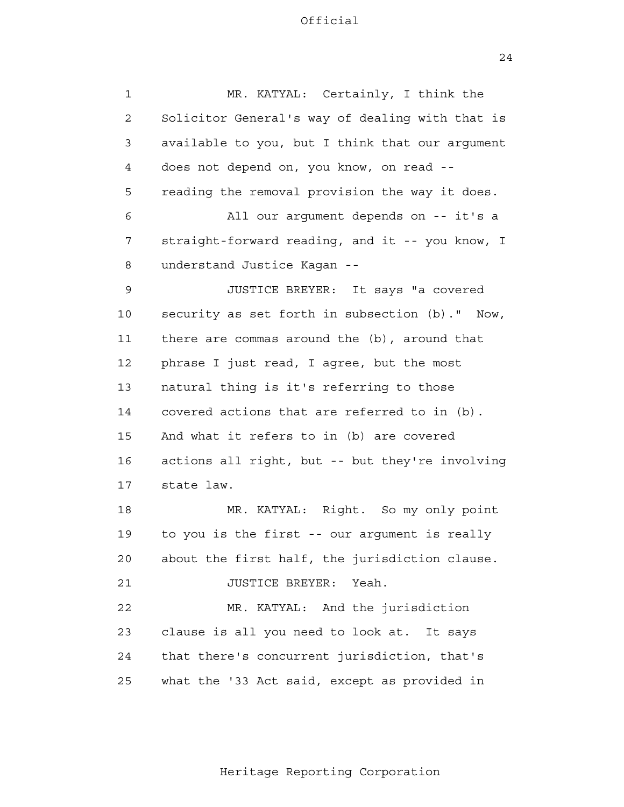24

| $\mathbf 1$  | MR. KATYAL: Certainly, I think the                |
|--------------|---------------------------------------------------|
| $\mathbf{2}$ | Solicitor General's way of dealing with that is   |
| 3            | available to you, but I think that our argument   |
| 4            | does not depend on, you know, on read --          |
| 5            | reading the removal provision the way it does.    |
| 6            | All our argument depends on -- it's a             |
| 7            | straight-forward reading, and it -- you know, I   |
| 8            | understand Justice Kagan --                       |
| 9            | JUSTICE BREYER: It says "a covered                |
| 10           | security as set forth in subsection (b)."<br>Now, |
| 11           | there are commas around the (b), around that      |
| 12           | phrase I just read, I agree, but the most         |
| 13           | natural thing is it's referring to those          |
| 14           | covered actions that are referred to in (b).      |
| 15           | And what it refers to in (b) are covered          |
| 16           | actions all right, but -- but they're involving   |
| 17           | state law.                                        |
| 18           | MR. KATYAL: Right. So my only point               |
| 19           | to you is the first -- our argument is really     |
| 20           | about the first half, the jurisdiction clause.    |
| 21           | JUSTICE BREYER: Yeah.                             |
| 22           | MR. KATYAL: And the jurisdiction                  |
| 23           | clause is all you need to look at. It says        |
| 24           | that there's concurrent jurisdiction, that's      |
| 25           | what the '33 Act said, except as provided in      |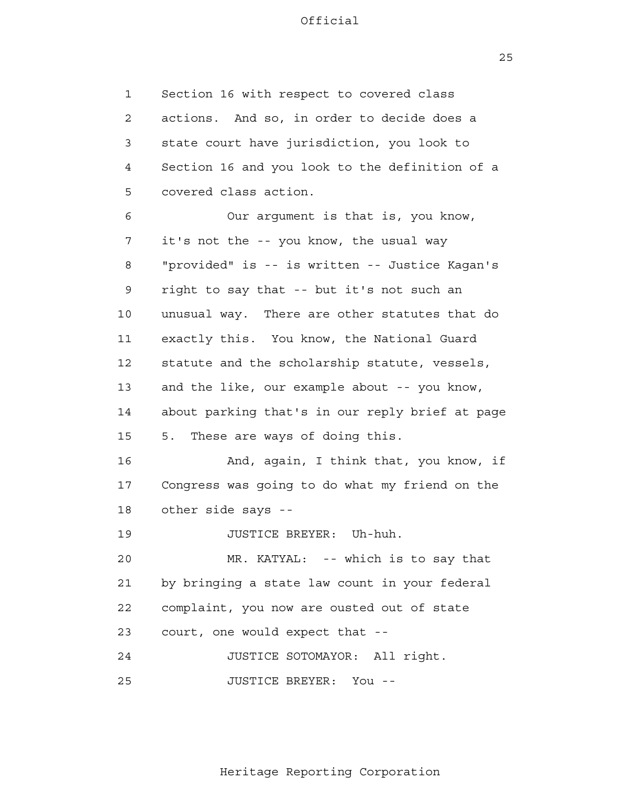25

 1 2 3 4 **5**  6 7 8 9 10 11 12 13 14 15 16 17 18 19 20 21 22 23 24 25 Section 16 with respect to covered class actions. And so, in order to decide does a state court have jurisdiction, you look to Section 16 and you look to the definition of a covered class action. Our argument is that is, you know, it's not the -- you know, the usual way "provided" is -- is written -- Justice Kagan's right to say that -- but it's not such an unusual way. There are other statutes that do exactly this. You know, the National Guard statute and the scholarship statute, vessels, and the like, our example about -- you know, about parking that's in our reply brief at page 5. These are ways of doing this. And, again, I think that, you know, if Congress was going to do what my friend on the other side says - JUSTICE BREYER: Uh-huh. MR. KATYAL: -- which is to say that by bringing a state law count in your federal complaint, you now are ousted out of state court, one would expect that - JUSTICE SOTOMAYOR: All right. JUSTICE BREYER: You -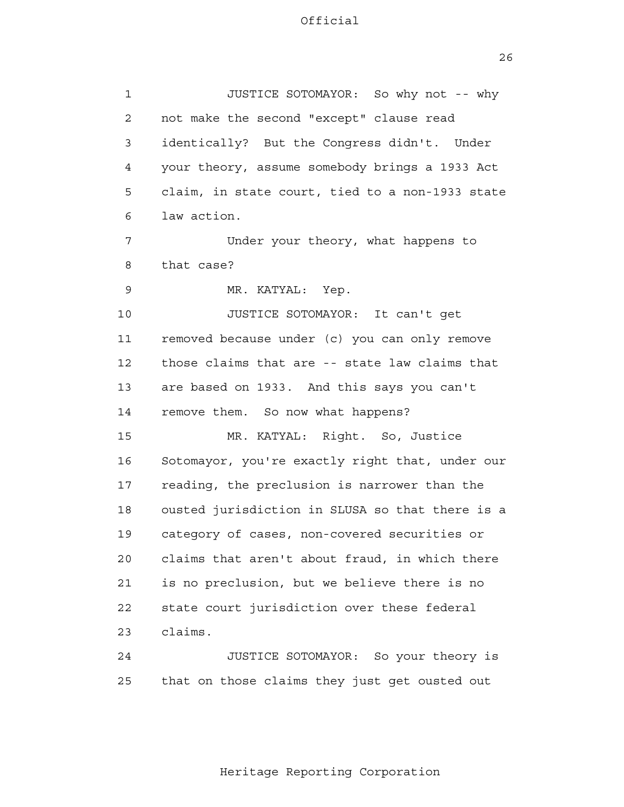26

 1 2 3 4 **5**  6 7 8 9 10 11 12 13 14 15 16 17 18 19 20 21 22 23 24 25 JUSTICE SOTOMAYOR: So why not -- why not make the second "except" clause read identically? But the Congress didn't. Under your theory, assume somebody brings a 1933 Act claim, in state court, tied to a non-1933 state law action. Under your theory, what happens to that case? MR. KATYAL: Yep. JUSTICE SOTOMAYOR: It can't get removed because under (c) you can only remove those claims that are -- state law claims that are based on 1933. And this says you can't remove them. So now what happens? MR. KATYAL: Right. So, Justice Sotomayor, you're exactly right that, under our reading, the preclusion is narrower than the ousted jurisdiction in SLUSA so that there is a category of cases, non-covered securities or claims that aren't about fraud, in which there is no preclusion, but we believe there is no state court jurisdiction over these federal claims. JUSTICE SOTOMAYOR: So your theory is that on those claims they just get ousted out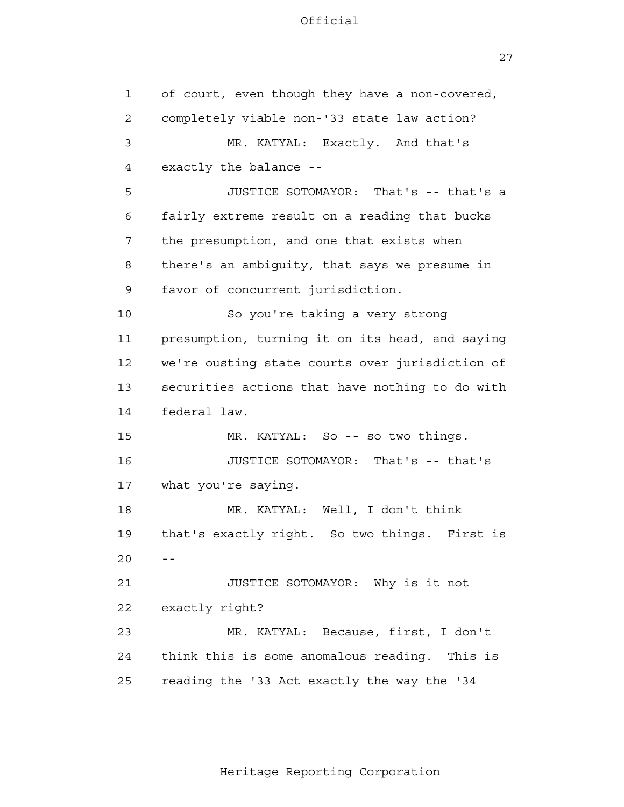27

 1 2 3 4 **5**  6 7 8 9 10 11 12 13 14 15 16 17 18 19  $20$  -- 21 22 23 24 25 of court, even though they have a non-covered, completely viable non-'33 state law action? MR. KATYAL: Exactly. And that's exactly the balance - JUSTICE SOTOMAYOR: That's -- that's a fairly extreme result on a reading that bucks the presumption, and one that exists when there's an ambiguity, that says we presume in favor of concurrent jurisdiction. So you're taking a very strong presumption, turning it on its head, and saying we're ousting state courts over jurisdiction of securities actions that have nothing to do with federal law. MR. KATYAL: So -- so two things. JUSTICE SOTOMAYOR: That's -- that's what you're saying. MR. KATYAL: Well, I don't think that's exactly right. So two things. First is JUSTICE SOTOMAYOR: Why is it not exactly right? MR. KATYAL: Because, first, I don't think this is some anomalous reading. This is reading the '33 Act exactly the way the '34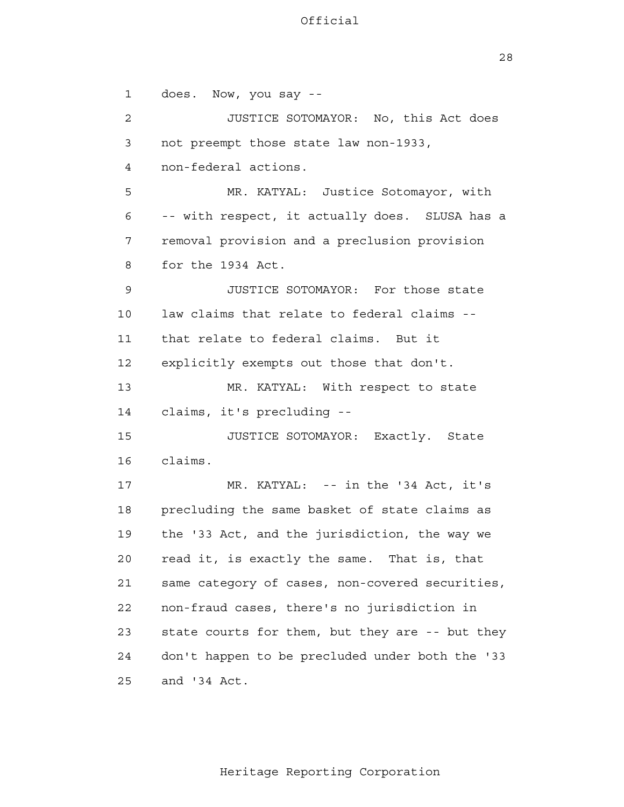28

 1 2 3 4 **5**  6 7 8 9 10 11 12 13 14 15 16 17 18 19 20 21 22 23 24 25 does. Now, you say - JUSTICE SOTOMAYOR: No, this Act does not preempt those state law non-1933, non-federal actions. MR. KATYAL: Justice Sotomayor, with -- with respect, it actually does. SLUSA has a removal provision and a preclusion provision for the 1934 Act. JUSTICE SOTOMAYOR: For those state law claims that relate to federal claims that relate to federal claims. But it explicitly exempts out those that don't. MR. KATYAL: With respect to state claims, it's precluding - JUSTICE SOTOMAYOR: Exactly. State claims. MR. KATYAL: -- in the '34 Act, it's precluding the same basket of state claims as the '33 Act, and the jurisdiction, the way we read it, is exactly the same. That is, that same category of cases, non-covered securities, non-fraud cases, there's no jurisdiction in state courts for them, but they are -- but they don't happen to be precluded under both the '33 and '34 Act.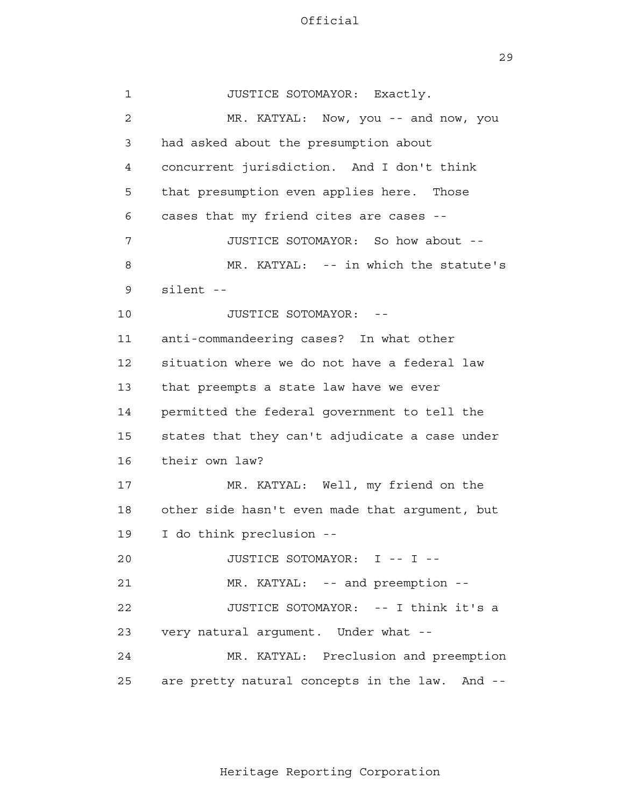29

| 1  | JUSTICE SOTOMAYOR: Exactly.                    |
|----|------------------------------------------------|
| 2  | MR. KATYAL: Now, you -- and now, you           |
| 3  | had asked about the presumption about          |
| 4  | concurrent jurisdiction. And I don't think     |
| 5  | that presumption even applies here. Those      |
| 6  | cases that my friend cites are cases --        |
| 7  | JUSTICE SOTOMAYOR: So how about --             |
| 8  | MR. KATYAL: -- in which the statute's          |
| 9  | silent --                                      |
| 10 | JUSTICE SOTOMAYOR: --                          |
| 11 | anti-commandeering cases? In what other        |
| 12 | situation where we do not have a federal law   |
| 13 | that preempts a state law have we ever         |
| 14 | permitted the federal government to tell the   |
| 15 | states that they can't adjudicate a case under |
| 16 | their own law?                                 |
| 17 | MR. KATYAL: Well, my friend on the             |
| 18 | other side hasn't even made that argument, but |
| 19 | I do think preclusion --                       |
| 20 | JUSTICE SOTOMAYOR: I -- I --                   |
| 21 | MR. KATYAL: -- and preemption --               |
| 22 | JUSTICE SOTOMAYOR: -- I think it's a           |
| 23 | very natural argument. Under what --           |
| 24 | MR. KATYAL: Preclusion and preemption          |
| 25 | are pretty natural concepts in the law. And -- |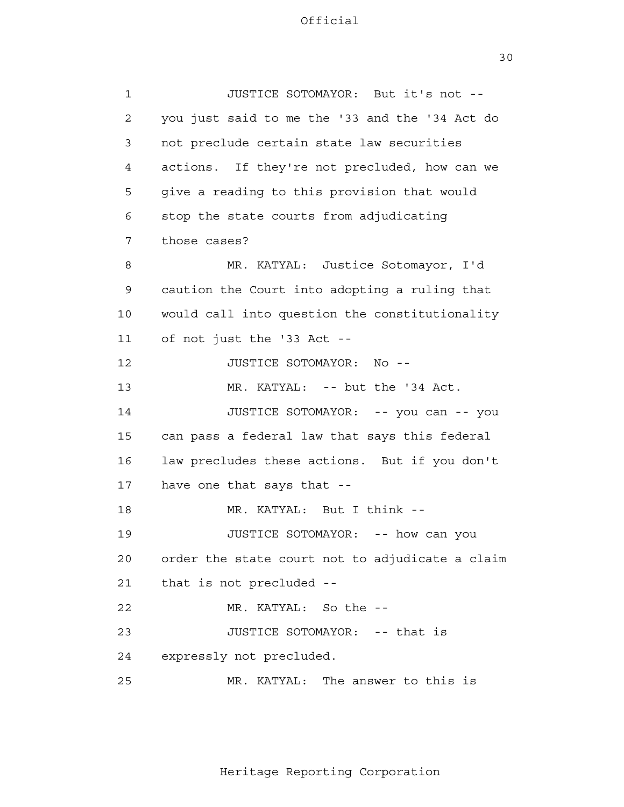30

 1 2 3 4 **5**  6 7 8 9 10 11 12 13 14 15 16 17 18 19 20 21 22 23 24 25 JUSTICE SOTOMAYOR: But it's not you just said to me the '33 and the '34 Act do not preclude certain state law securities actions. If they're not precluded, how can we give a reading to this provision that would stop the state courts from adjudicating those cases? MR. KATYAL: Justice Sotomayor, I'd caution the Court into adopting a ruling that would call into question the constitutionality of not just the '33 Act - JUSTICE SOTOMAYOR: No - MR. KATYAL: -- but the '34 Act. JUSTICE SOTOMAYOR: -- you can -- you can pass a federal law that says this federal law precludes these actions. But if you don't have one that says that - MR. KATYAL: But I think - JUSTICE SOTOMAYOR: -- how can you order the state court not to adjudicate a claim that is not precluded - MR. KATYAL: So the - JUSTICE SOTOMAYOR: -- that is expressly not precluded. MR. KATYAL: The answer to this is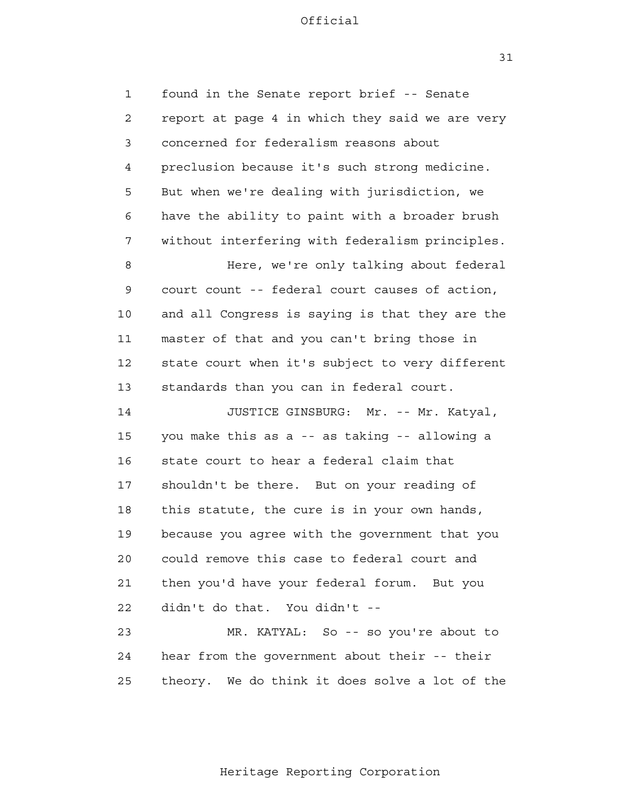31

 1 2 3 4 **5**  6 7 8 9 10 11 12 13 14 15 16 17 18 19 20 21 22 23 24 <u>25</u> found in the Senate report brief -- Senate report at page 4 in which they said we are very concerned for federalism reasons about preclusion because it's such strong medicine. But when we're dealing with jurisdiction, we have the ability to paint with a broader brush without interfering with federalism principles. Here, we're only talking about federal court count -- federal court causes of action, and all Congress is saying is that they are the master of that and you can't bring those in state court when it's subject to very different standards than you can in federal court. JUSTICE GINSBURG: Mr. -- Mr. Katyal, you make this as a -- as taking -- allowing a state court to hear a federal claim that shouldn't be there. But on your reading of this statute, the cure is in your own hands, because you agree with the government that you could remove this case to federal court and then you'd have your federal forum. But you didn't do that. You didn't - MR. KATYAL: So -- so you're about to hear from the government about their -- their theory. We do think it does solve a lot of the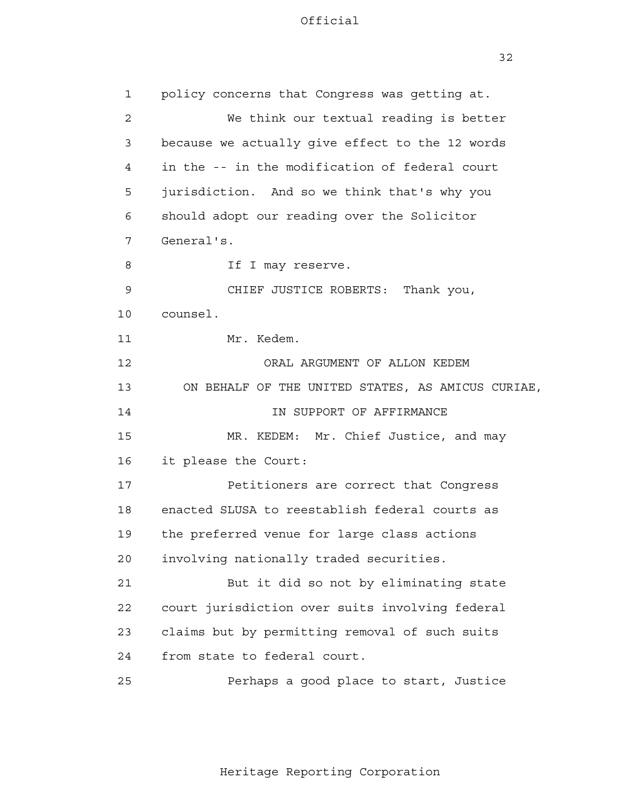32

| $\mathbf{1}$   | policy concerns that Congress was getting at.     |
|----------------|---------------------------------------------------|
| $\overline{2}$ | We think our textual reading is better            |
| 3              | because we actually give effect to the 12 words   |
| 4              | in the -- in the modification of federal court    |
| 5              | jurisdiction. And so we think that's why you      |
| 6              | should adopt our reading over the Solicitor       |
| 7              | General's.                                        |
| 8              | If I may reserve.                                 |
| 9              | CHIEF JUSTICE ROBERTS: Thank you,                 |
| 10             | counsel.                                          |
| 11             | Mr. Kedem.                                        |
| 12             | ORAL ARGUMENT OF ALLON KEDEM                      |
| 13             | ON BEHALF OF THE UNITED STATES, AS AMICUS CURIAE, |
| 14             | IN SUPPORT OF AFFIRMANCE                          |
| 15             | MR. KEDEM: Mr. Chief Justice, and may             |
| 16             | it please the Court:                              |
| 17             | Petitioners are correct that Congress             |
| 18             | enacted SLUSA to reestablish federal courts as    |
| 19             | the preferred venue for large class actions       |
| 20             | involving nationally traded securities.           |
| 21             | But it did so not by eliminating state            |
| 22             | court jurisdiction over suits involving federal   |
| 23             | claims but by permitting removal of such suits    |
| 24             | from state to federal court.                      |
| 25             | Perhaps a good place to start, Justice            |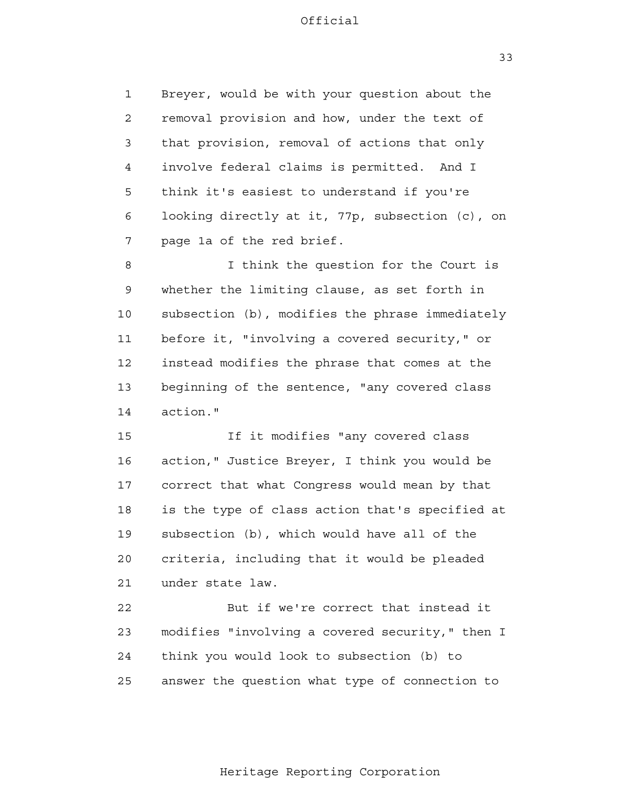1 2 3 4 **5**  6 7 Breyer, would be with your question about the removal provision and how, under the text of that provision, removal of actions that only involve federal claims is permitted. And I think it's easiest to understand if you're looking directly at it, 77p, subsection (c), on page 1a of the red brief.

 8 9 10 11 12 13 14 I think the question for the Court is whether the limiting clause, as set forth in subsection (b), modifies the phrase immediately before it, "involving a covered security," or instead modifies the phrase that comes at the beginning of the sentence, "any covered class action."

> 15 16 17 18 19 20 21 If it modifies "any covered class action," Justice Breyer, I think you would be correct that what Congress would mean by that is the type of class action that's specified at subsection (b), which would have all of the criteria, including that it would be pleaded under state law.

> 22 23 24 25 But if we're correct that instead it modifies "involving a covered security," then I think you would look to subsection (b) to answer the question what type of connection to

> > Heritage Reporting Corporation

33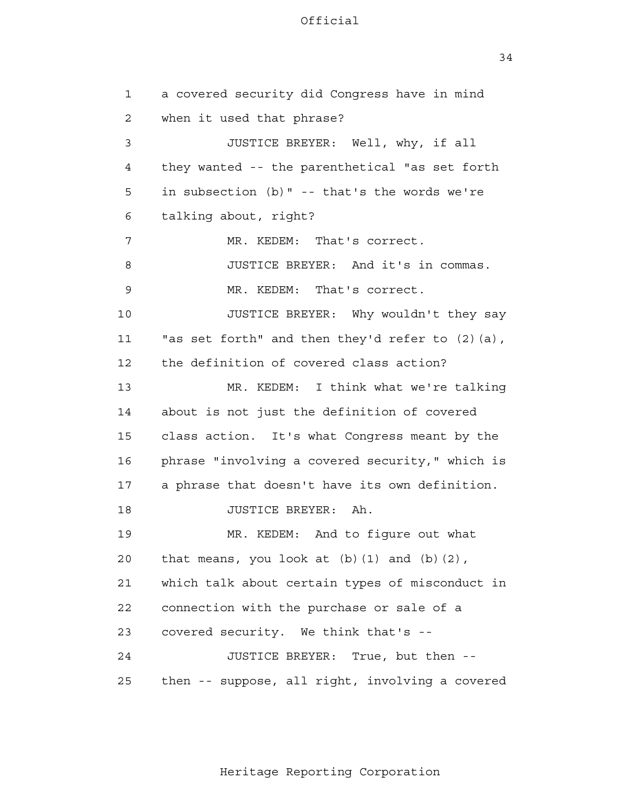34

 1 2 3 4 **5**  6 7 8 9 10 11 12 13 14 15 16 17 18 19 20 21 22 23 24 25 a covered security did Congress have in mind when it used that phrase? JUSTICE BREYER: Well, why, if all they wanted -- the parenthetical "as set forth in subsection (b)" -- that's the words we're talking about, right? MR. KEDEM: That's correct. JUSTICE BREYER: And it's in commas. MR. KEDEM: That's correct. JUSTICE BREYER: Why wouldn't they say "as set forth" and then they'd refer to (2)(a), the definition of covered class action? MR. KEDEM: I think what we're talking about is not just the definition of covered class action. It's what Congress meant by the phrase "involving a covered security," which is a phrase that doesn't have its own definition. JUSTICE BREYER: Ah. MR. KEDEM: And to figure out what that means, you look at  $(b)(1)$  and  $(b)(2)$ , which talk about certain types of misconduct in connection with the purchase or sale of a covered security. We think that's - JUSTICE BREYER: True, but then then -- suppose, all right, involving a covered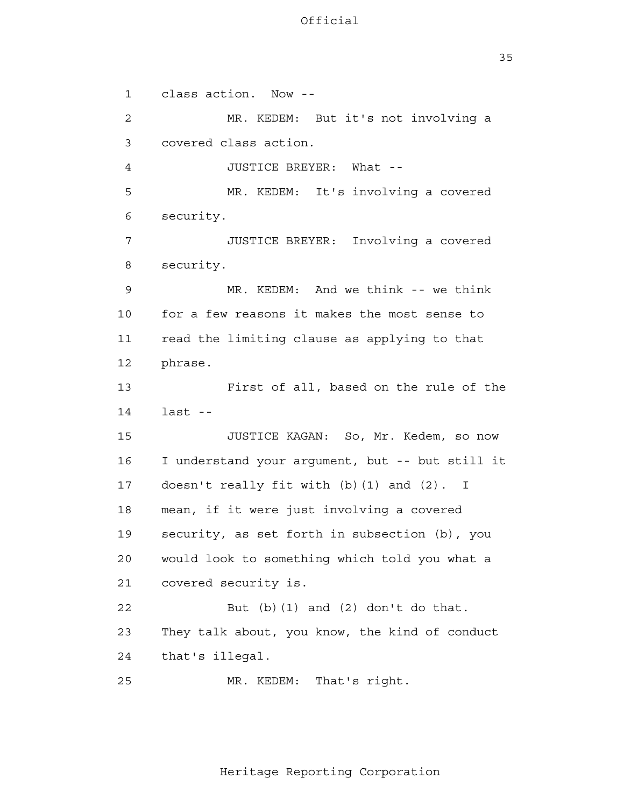35

 1 2 3 4 **5**  6 7 8 9 10 11 12 13 14 15 16 17 18 19 20 21 22 23 24 25 class action. Now - MR. KEDEM: But it's not involving a covered class action. JUSTICE BREYER: What - MR. KEDEM: It's involving a covered security. JUSTICE BREYER: Involving a covered security. MR. KEDEM: And we think -- we think for a few reasons it makes the most sense to read the limiting clause as applying to that phrase. First of all, based on the rule of the  $last$  --JUSTICE KAGAN: So, Mr. Kedem, so now I understand your argument, but -- but still it doesn't really fit with (b)(1) and (2). I mean, if it were just involving a covered security, as set forth in subsection (b), you would look to something which told you what a covered security is. But  $(b)$   $(1)$  and  $(2)$  don't do that. They talk about, you know, the kind of conduct that's illegal. MR. KEDEM: That's right.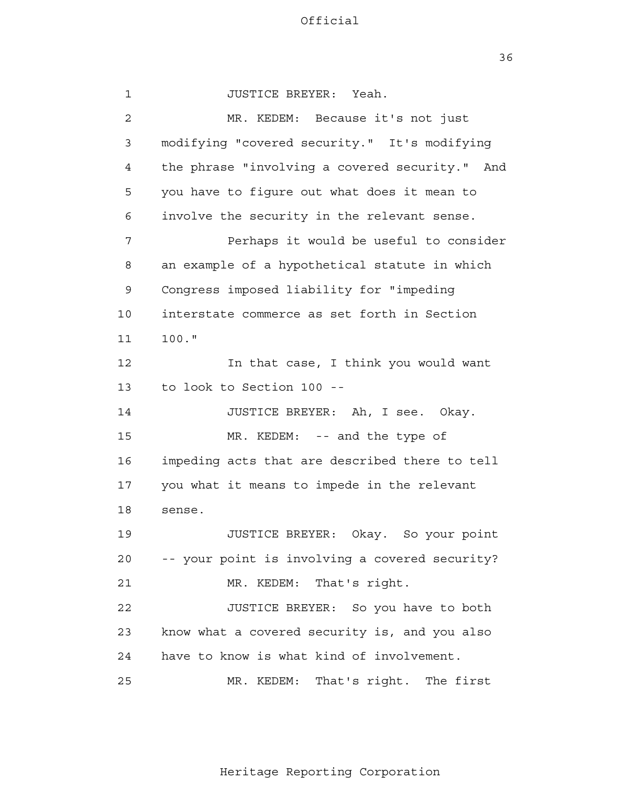36

| $\mathbf{1}$    | JUSTICE BREYER: Yeah.                          |
|-----------------|------------------------------------------------|
| $\overline{2}$  | MR. KEDEM: Because it's not just               |
| 3               | modifying "covered security." It's modifying   |
| 4               | the phrase "involving a covered security." And |
| 5               | you have to figure out what does it mean to    |
| 6               | involve the security in the relevant sense.    |
| 7               | Perhaps it would be useful to consider         |
| 8               | an example of a hypothetical statute in which  |
| 9               | Congress imposed liability for "impeding       |
| 10              | interstate commerce as set forth in Section    |
| 11              | $100.$ "                                       |
| 12              | In that case, I think you would want           |
| 13              | to look to Section 100 --                      |
| 14              | JUSTICE BREYER: Ah, I see. Okay.               |
| 15              | MR. KEDEM: -- and the type of                  |
| 16              | impeding acts that are described there to tell |
| 17              | you what it means to impede in the relevant    |
| 18              | sense.                                         |
| 19              | JUSTICE BREYER:<br>Okay. So your point         |
| 20 <sub>o</sub> | -- your point is involving a covered security? |
| 21              | MR. KEDEM: That's right.                       |
| 22              | JUSTICE BREYER: So you have to both            |
| 23              | know what a covered security is, and you also  |
| 24              | have to know is what kind of involvement.      |
| 25              | That's right. The first<br>MR. KEDEM:          |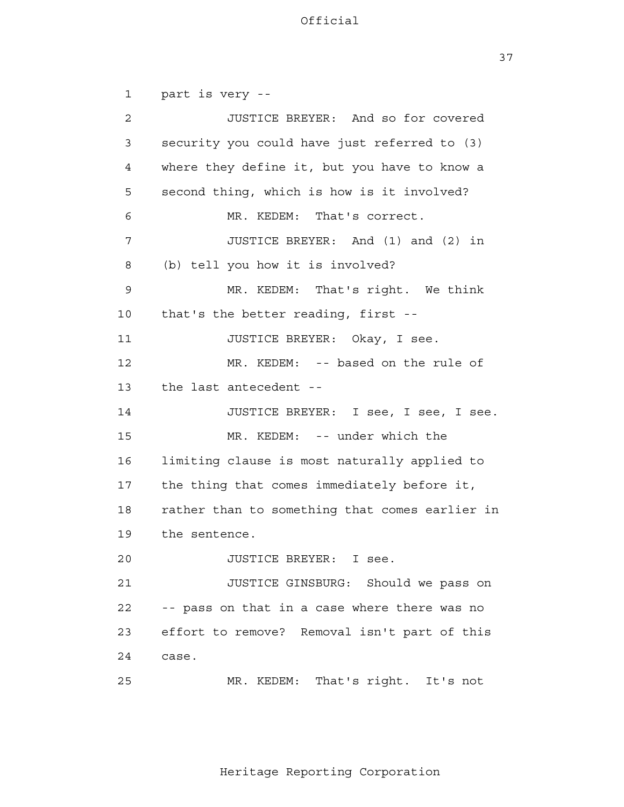37

 1 2 3 4 **5**  6 7 8 9 10 11 12 13 14 15 16 17 18 19 20 21 22 23 24 25 part is very - JUSTICE BREYER: And so for covered security you could have just referred to (3) where they define it, but you have to know a second thing, which is how is it involved? MR. KEDEM: That's correct. JUSTICE BREYER: And (1) and (2) in (b) tell you how it is involved? MR. KEDEM: That's right. We think that's the better reading, first - JUSTICE BREYER: Okay, I see. MR. KEDEM: -- based on the rule of the last antecedent - JUSTICE BREYER: I see, I see, I see. MR. KEDEM: -- under which the limiting clause is most naturally applied to the thing that comes immediately before it, rather than to something that comes earlier in the sentence. JUSTICE BREYER: I see. JUSTICE GINSBURG: Should we pass on -- pass on that in a case where there was no effort to remove? Removal isn't part of this case. MR. KEDEM: That's right. It's not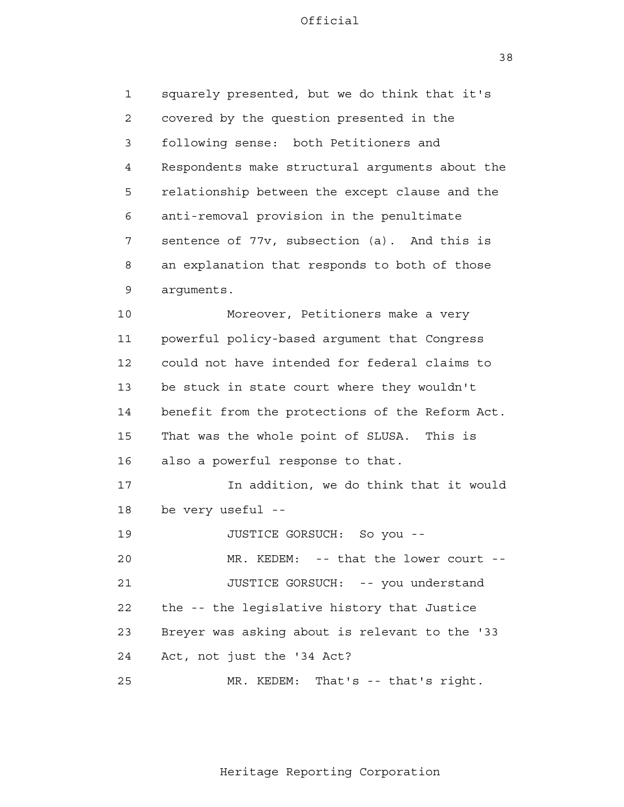38

 1 2 3 4 **5**  6 7 8 9 10 11 12 13 14 15 16 17 18 19 20 21 **22**  23 24 25 squarely presented, but we do think that it's covered by the question presented in the following sense: both Petitioners and Respondents make structural arguments about the relationship between the except clause and the anti-removal provision in the penultimate sentence of 77v, subsection (a). And this is an explanation that responds to both of those arguments. Moreover, Petitioners make a very powerful policy-based argument that Congress could not have intended for federal claims to be stuck in state court where they wouldn't benefit from the protections of the Reform Act. That was the whole point of SLUSA. This is also a powerful response to that. In addition, we do think that it would be very useful - JUSTICE GORSUCH: So you - MR. KEDEM: -- that the lower court --JUSTICE GORSUCH: -- you understand the -- the legislative history that Justice Breyer was asking about is relevant to the '33 Act, not just the '34 Act? MR. KEDEM: That's -- that's right.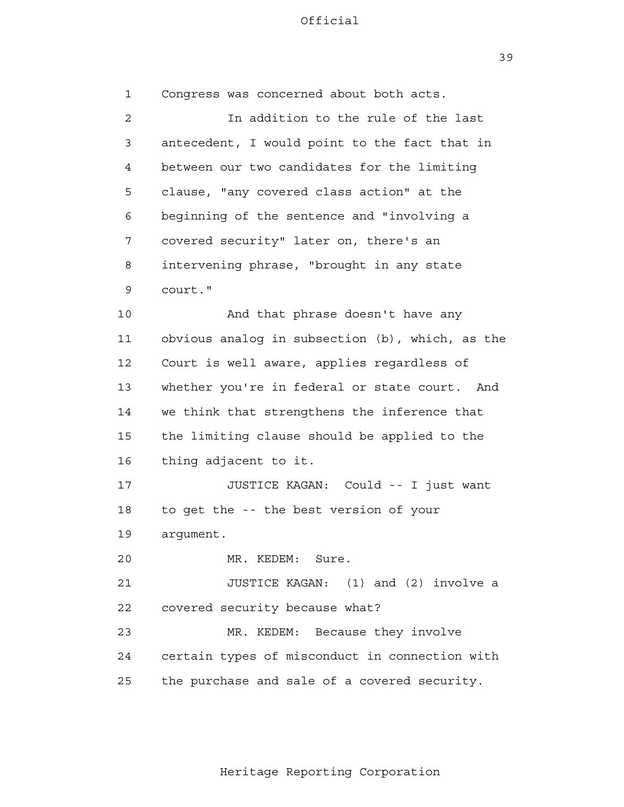39

 1 2 3 4 **5**  6 7 8 9 10 11 12 13 14 15 16 17 18 19 20 21 **22**  23 24 25 Congress was concerned about both acts. In addition to the rule of the last antecedent, I would point to the fact that in between our two candidates for the limiting clause, "any covered class action" at the beginning of the sentence and "involving a covered security" later on, there's an intervening phrase, "brought in any state court." And that phrase doesn't have any obvious analog in subsection (b), which, as the Court is well aware, applies regardless of whether you're in federal or state court. And we think that strengthens the inference that the limiting clause should be applied to the thing adjacent to it. JUSTICE KAGAN: Could -- I just want to get the -- the best version of your argument. MR. KEDEM: Sure. JUSTICE KAGAN: (1) and (2) involve a covered security because what? MR. KEDEM: Because they involve certain types of misconduct in connection with the purchase and sale of a covered security.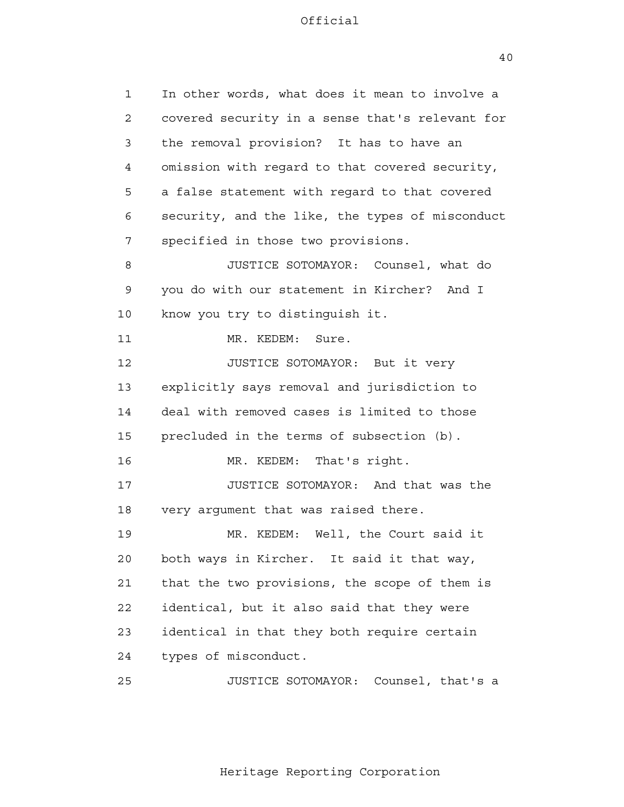1 2 3 4 **5**  6 7 8 9 10 11 12 13 14 15 16 17 18 19 20 21 **22**  23 24 25 In other words, what does it mean to involve a covered security in a sense that's relevant for the removal provision? It has to have an omission with regard to that covered security, a false statement with regard to that covered security, and the like, the types of misconduct specified in those two provisions. JUSTICE SOTOMAYOR: Counsel, what do you do with our statement in Kircher? And I know you try to distinguish it. MR. KEDEM: Sure. JUSTICE SOTOMAYOR: But it very explicitly says removal and jurisdiction to deal with removed cases is limited to those precluded in the terms of subsection (b). MR. KEDEM: That's right. JUSTICE SOTOMAYOR: And that was the very argument that was raised there. MR. KEDEM: Well, the Court said it both ways in Kircher. It said it that way, that the two provisions, the scope of them is identical, but it also said that they were identical in that they both require certain types of misconduct. JUSTICE SOTOMAYOR: Counsel, that's a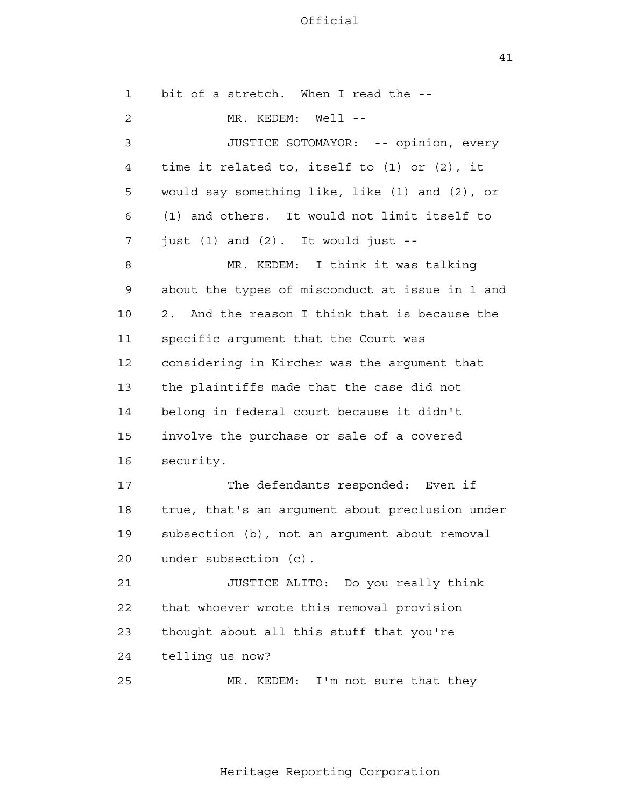1 2 3 4 **5**  6 7 8 9 10 11 12 13 14 15 16 17 18 19 20 21 **22**  23 24 25 bit of a stretch. When I read the - MR. KEDEM: Well --JUSTICE SOTOMAYOR: -- opinion, every time it related to, itself to (1) or (2), it would say something like, like (1) and (2), or (1) and others. It would not limit itself to just (1) and (2). It would just - MR. KEDEM: I think it was talking about the types of misconduct at issue in 1 and 2. And the reason I think that is because the specific argument that the Court was considering in Kircher was the argument that the plaintiffs made that the case did not belong in federal court because it didn't involve the purchase or sale of a covered security. The defendants responded: Even if true, that's an argument about preclusion under subsection (b), not an argument about removal under subsection (c). JUSTICE ALITO: Do you really think that whoever wrote this removal provision thought about all this stuff that you're telling us now? MR. KEDEM: I'm not sure that they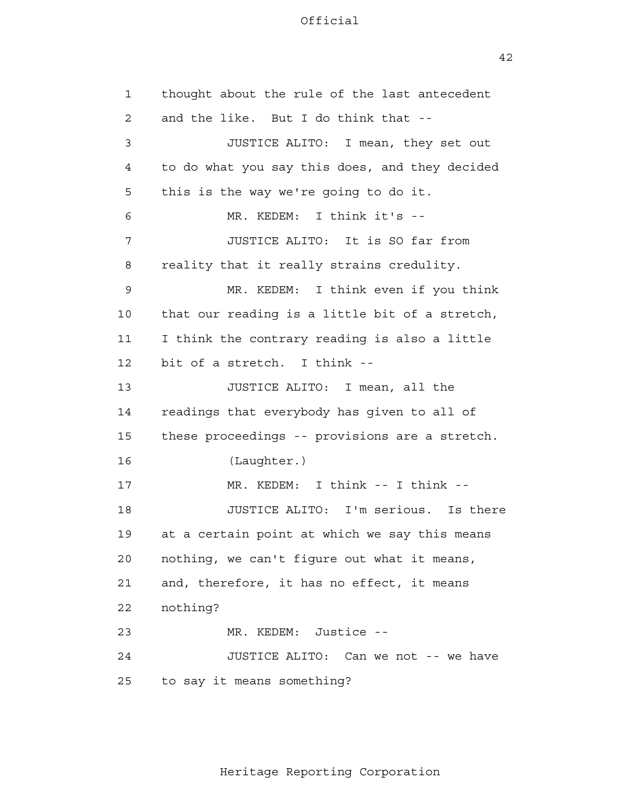42

 1 2 3 4 **5**  6 7 8 9 10 11 12 13 14 15 16 17 18 19 20 21 22 23 24 25 thought about the rule of the last antecedent and the like. But I do think that - JUSTICE ALITO: I mean, they set out to do what you say this does, and they decided this is the way we're going to do it. MR. KEDEM: I think it's - JUSTICE ALITO: It is SO far from reality that it really strains credulity. MR. KEDEM: I think even if you think that our reading is a little bit of a stretch, I think the contrary reading is also a little bit of a stretch. I think - JUSTICE ALITO: I mean, all the readings that everybody has given to all of these proceedings -- provisions are a stretch. (Laughter.) MR. KEDEM: I think -- I think --JUSTICE ALITO: I'm serious. Is there at a certain point at which we say this means nothing, we can't figure out what it means, and, therefore, it has no effect, it means nothing? MR. KEDEM: Justice - JUSTICE ALITO: Can we not -- we have to say it means something?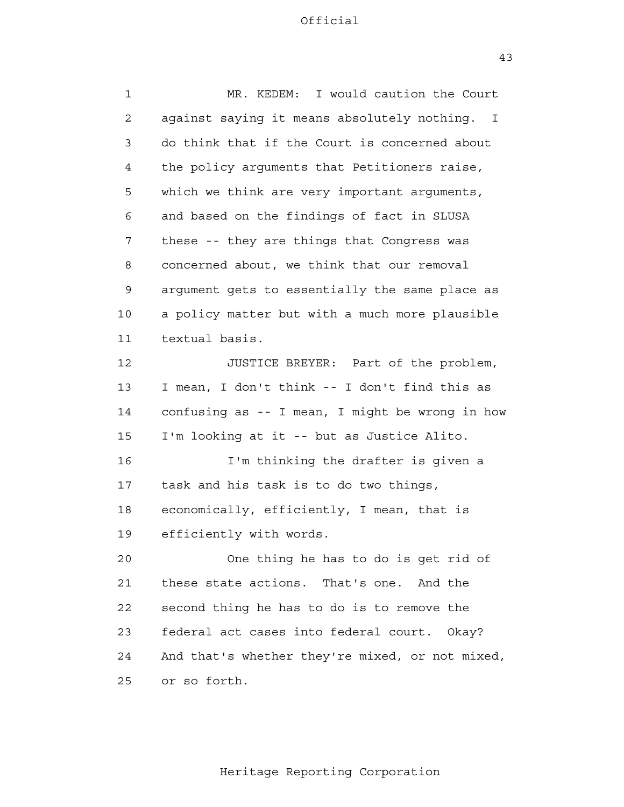| $\mathbf{1}$ | MR. KEDEM: I would caution the Court            |
|--------------|-------------------------------------------------|
| 2            | against saying it means absolutely nothing. I   |
| 3            | do think that if the Court is concerned about   |
| 4            | the policy arguments that Petitioners raise,    |
| 5            | which we think are very important arguments,    |
| 6            | and based on the findings of fact in SLUSA      |
| 7            | these -- they are things that Congress was      |
| 8            | concerned about, we think that our removal      |
| 9            | argument gets to essentially the same place as  |
| 10           | a policy matter but with a much more plausible  |
| 11           | textual basis.                                  |
| 12           | JUSTICE BREYER: Part of the problem,            |
| 13           | I mean, I don't think -- I don't find this as   |
| 14           | confusing as -- I mean, I might be wrong in how |
| 15           | I'm looking at it -- but as Justice Alito.      |
| 16           | I'm thinking the drafter is given a             |
| 17           | task and his task is to do two things,          |
| 18           | economically, efficiently, I mean, that is      |
| 19           | efficiently with words.                         |
| 20           | One thing he has to do is get rid of            |
| 21           | these state actions. That's one. And the        |
| 22           | second thing he has to do is to remove the      |
| 23           | federal act cases into federal court. Okay?     |
| 24           | And that's whether they're mixed, or not mixed, |
| 25           | or so forth.                                    |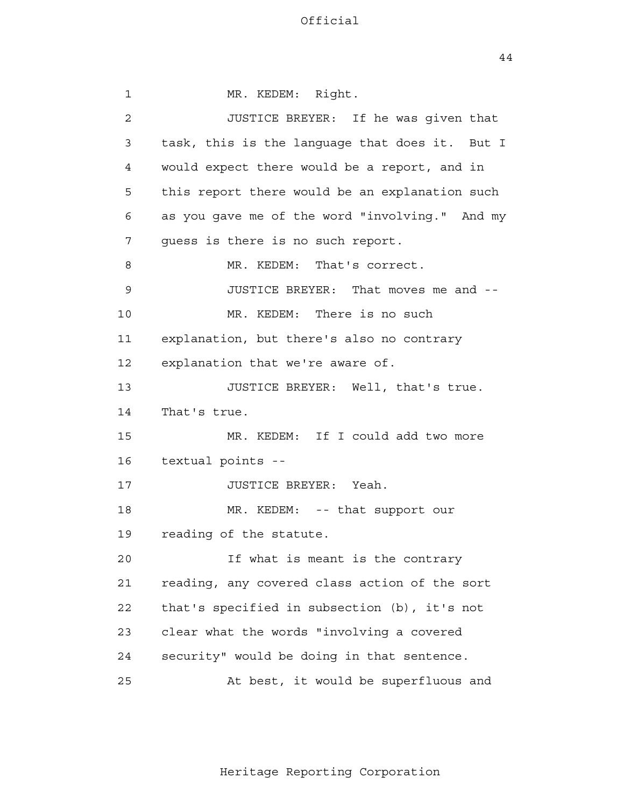1 2 3 4 **5**  6 7 8 9 10 11 12 13 14 15 16 17 18 19 20 21 22 23 24 25 MR. KEDEM: Right. JUSTICE BREYER: If he was given that task, this is the language that does it. But I would expect there would be a report, and in this report there would be an explanation such as you gave me of the word "involving." And my guess is there is no such report. MR. KEDEM: That's correct. JUSTICE BREYER: That moves me and - MR. KEDEM: There is no such explanation, but there's also no contrary explanation that we're aware of. JUSTICE BREYER: Well, that's true. That's true. MR. KEDEM: If I could add two more textual points - JUSTICE BREYER: Yeah. MR. KEDEM: -- that support our reading of the statute. If what is meant is the contrary reading, any covered class action of the sort that's specified in subsection (b), it's not clear what the words "involving a covered security" would be doing in that sentence. At best, it would be superfluous and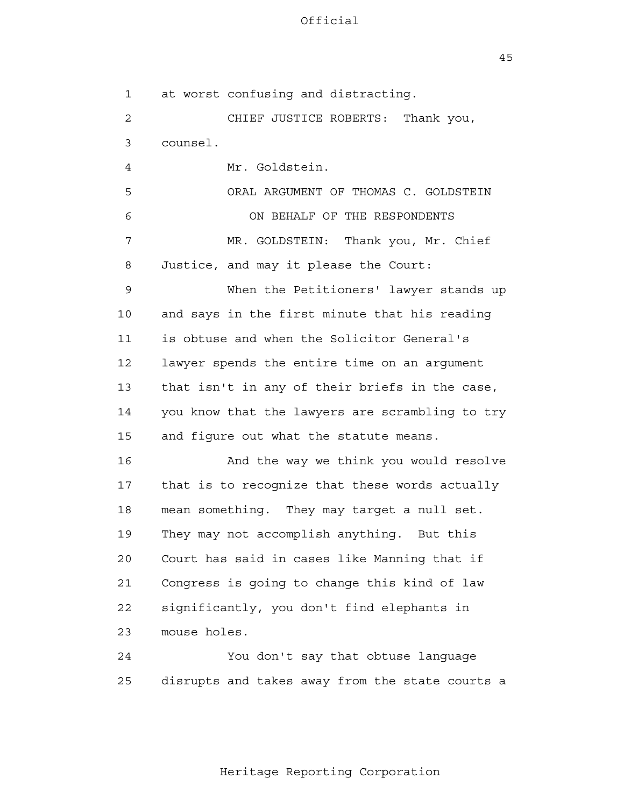45

 1 2 3 4 **5**  6 7 8 9 10 11 12 13 14 15 16 17 18 19 20 21 **22**  23 24 25 at worst confusing and distracting. CHIEF JUSTICE ROBERTS: Thank you, counsel. Mr. Goldstein. ORAL ARGUMENT OF THOMAS C. GOLDSTEIN ON BEHALF OF THE RESPONDENTS MR. GOLDSTEIN: Thank you, Mr. Chief Justice, and may it please the Court: When the Petitioners' lawyer stands up and says in the first minute that his reading is obtuse and when the Solicitor General's lawyer spends the entire time on an argument that isn't in any of their briefs in the case, you know that the lawyers are scrambling to try and figure out what the statute means. And the way we think you would resolve that is to recognize that these words actually mean something. They may target a null set. They may not accomplish anything. But this Court has said in cases like Manning that if Congress is going to change this kind of law significantly, you don't find elephants in mouse holes. You don't say that obtuse language disrupts and takes away from the state courts a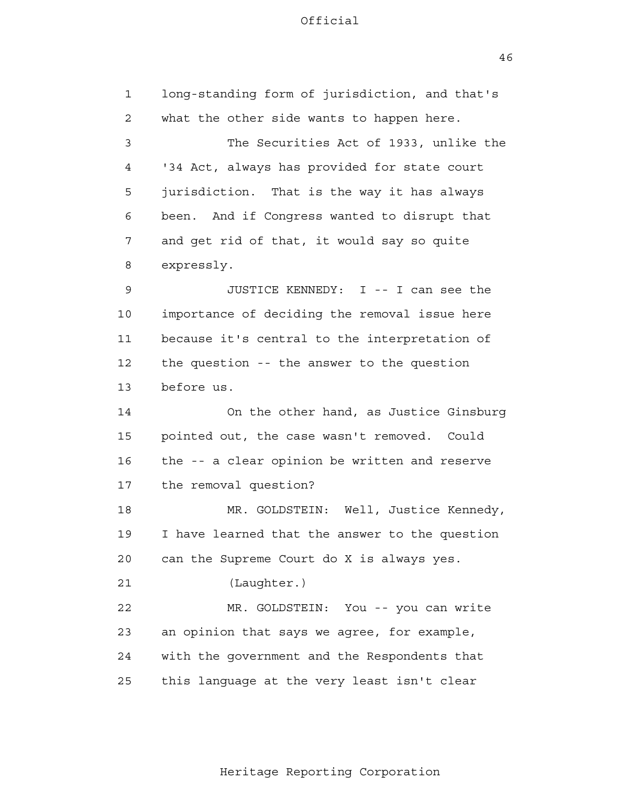46

 1 2 3 4 **5**  6 7 8 9 10 11 12 13 14 15 16 17 18 19 20 21 22 23 24 25 long-standing form of jurisdiction, and that's what the other side wants to happen here. The Securities Act of 1933, unlike the '34 Act, always has provided for state court jurisdiction. That is the way it has always been. And if Congress wanted to disrupt that and get rid of that, it would say so quite expressly. JUSTICE KENNEDY: I -- I can see the importance of deciding the removal issue here because it's central to the interpretation of the question -- the answer to the question before us. On the other hand, as Justice Ginsburg pointed out, the case wasn't removed. Could the -- a clear opinion be written and reserve the removal question? MR. GOLDSTEIN: Well, Justice Kennedy, I have learned that the answer to the question can the Supreme Court do X is always yes. (Laughter.) MR. GOLDSTEIN: You -- you can write an opinion that says we agree, for example, with the government and the Respondents that this language at the very least isn't clear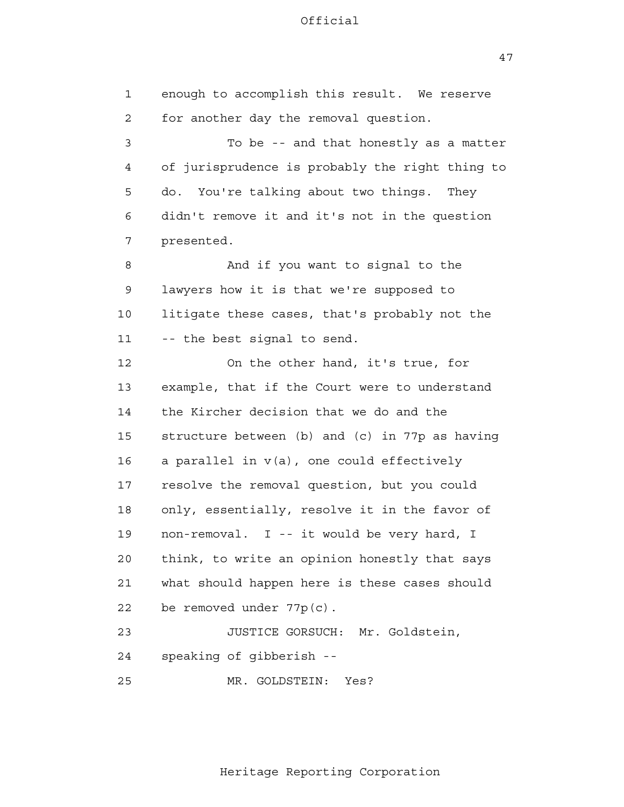47

 1 2 3 4 **5**  6 7 8 9 10 11 12 13 14 15 16 17 18 19 20 21 22 23 24 25 enough to accomplish this result. We reserve for another day the removal question. To be -- and that honestly as a matter of jurisprudence is probably the right thing to do. You're talking about two things. They didn't remove it and it's not in the question presented. And if you want to signal to the lawyers how it is that we're supposed to litigate these cases, that's probably not the -- the best signal to send. On the other hand, it's true, for example, that if the Court were to understand the Kircher decision that we do and the structure between (b) and (c) in 77p as having a parallel in v(a), one could effectively resolve the removal question, but you could only, essentially, resolve it in the favor of non-removal. I -- it would be very hard, I think, to write an opinion honestly that says what should happen here is these cases should be removed under 77p(c). JUSTICE GORSUCH: Mr. Goldstein, speaking of gibberish - MR. GOLDSTEIN: Yes?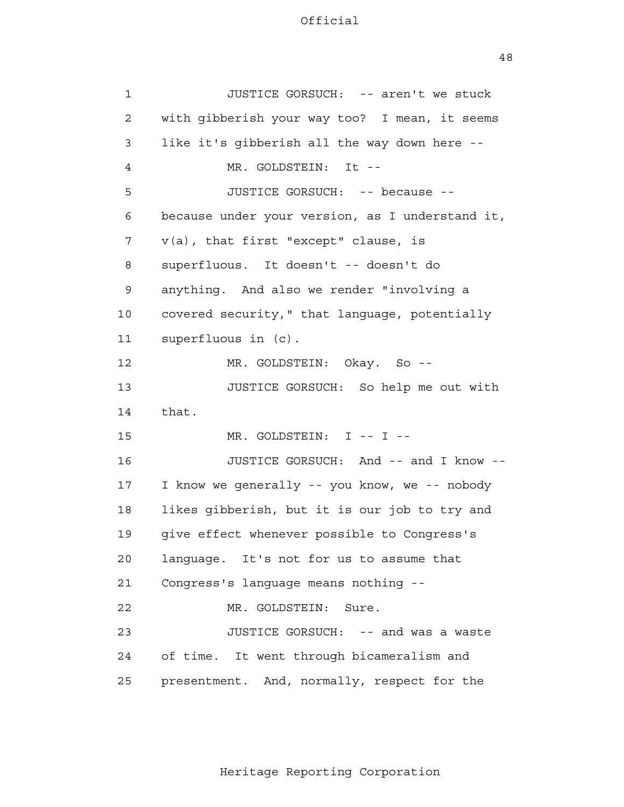| $\mathbf 1$ | JUSTICE GORSUCH: -- aren't we stuck             |
|-------------|-------------------------------------------------|
| 2           | with gibberish your way too? I mean, it seems   |
| 3           | like it's gibberish all the way down here --    |
| 4           | MR. GOLDSTEIN:<br>- It --                       |
| 5           | JUSTICE GORSUCH: -- because --                  |
| 6           | because under your version, as I understand it, |
| 7           | $v(a)$ , that first "except" clause, is         |
| 8           | superfluous. It doesn't -- doesn't do           |
| 9           | anything. And also we render "involving a       |
| 10          | covered security," that language, potentially   |
| 11          | superfluous in (c).                             |
| 12          | MR. GOLDSTEIN: Okay. So --                      |
| 13          | JUSTICE GORSUCH: So help me out with            |
| 14          | that.                                           |
| 15          | MR. GOLDSTEIN: I -- I --                        |
| 16          | JUSTICE GORSUCH: And -- and I know --           |
| 17          | I know we generally -- you know, we -- nobody   |
| 18          | likes gibberish, but it is our job to try and   |
| 19          | give effect whenever possible to Congress's     |
| 20          | language. It's not for us to assume that        |
| 21          | Congress's language means nothing --            |
| 22          | MR. GOLDSTEIN:<br>Sure.                         |
| 23          | JUSTICE GORSUCH: -- and was a waste             |
| 24          | of time.<br>It went through bicameralism and    |
| 25          | presentment. And, normally, respect for the     |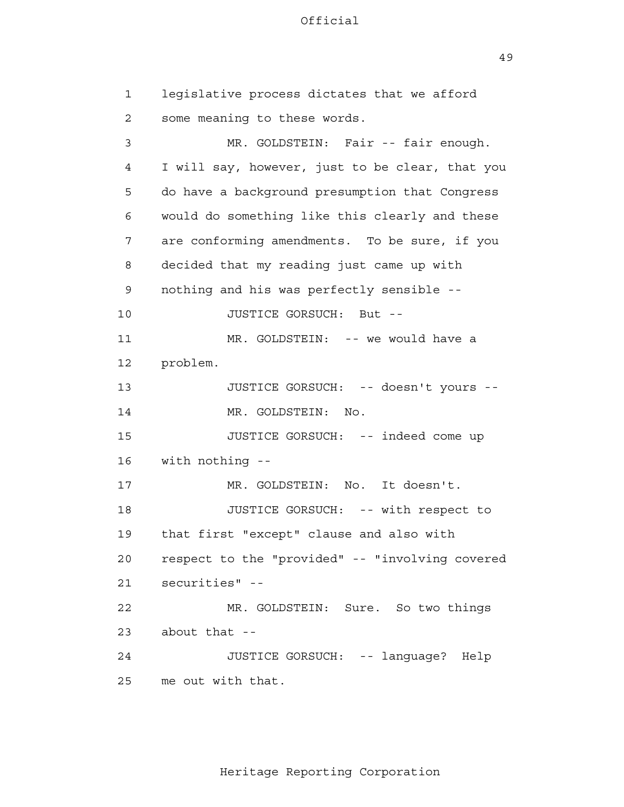49

 1 2 3 4 **5**  6 7 8 9 10 11 12 13 14 15 16 17 18 19 20 21 22 23 24 25 legislative process dictates that we afford some meaning to these words. MR. GOLDSTEIN: Fair -- fair enough. I will say, however, just to be clear, that you do have a background presumption that Congress would do something like this clearly and these are conforming amendments. To be sure, if you decided that my reading just came up with nothing and his was perfectly sensible - JUSTICE GORSUCH: But - MR. GOLDSTEIN: -- we would have a problem. JUSTICE GORSUCH: -- doesn't yours - MR. GOLDSTEIN: No. JUSTICE GORSUCH: -- indeed come up with nothing - MR. GOLDSTEIN: No. It doesn't. JUSTICE GORSUCH: -- with respect to that first "except" clause and also with respect to the "provided" -- "involving covered securities" - MR. GOLDSTEIN: Sure. So two things about that - JUSTICE GORSUCH: -- language? Help me out with that.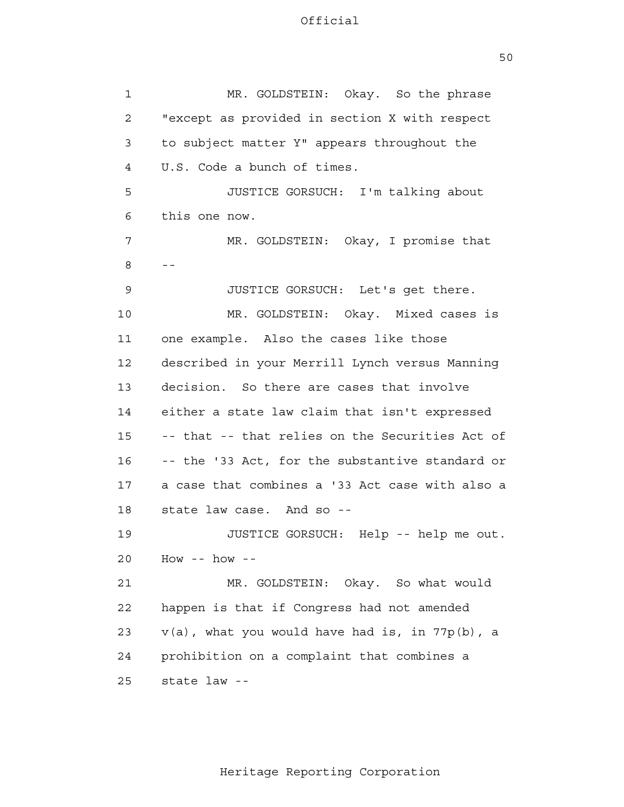| 1  | MR. GOLDSTEIN: Okay. So the phrase                |
|----|---------------------------------------------------|
| 2  | "except as provided in section X with respect     |
| 3  | to subject matter Y" appears throughout the       |
| 4  | U.S. Code a bunch of times.                       |
| 5  | JUSTICE GORSUCH: I'm talking about                |
| 6  | this one now.                                     |
| 7  | MR. GOLDSTEIN: Okay, I promise that               |
| 8  | $- -$                                             |
| 9  | JUSTICE GORSUCH: Let's get there.                 |
| 10 | MR. GOLDSTEIN: Okay. Mixed cases is               |
| 11 | one example. Also the cases like those            |
| 12 | described in your Merrill Lynch versus Manning    |
| 13 | decision. So there are cases that involve         |
| 14 | either a state law claim that isn't expressed     |
| 15 | -- that -- that relies on the Securities Act of   |
| 16 | -- the '33 Act, for the substantive standard or   |
| 17 | a case that combines a '33 Act case with also a   |
| 18 | state law case. And so --                         |
| 19 | JUSTICE GORSUCH: Help -- help me out.             |
| 20 | How -- how --                                     |
| 21 | MR. GOLDSTEIN: Okay. So what would                |
| 22 | happen is that if Congress had not amended        |
| 23 | $v(a)$ , what you would have had is, in 77p(b), a |
| 24 | prohibition on a complaint that combines a        |
| 25 | state law --                                      |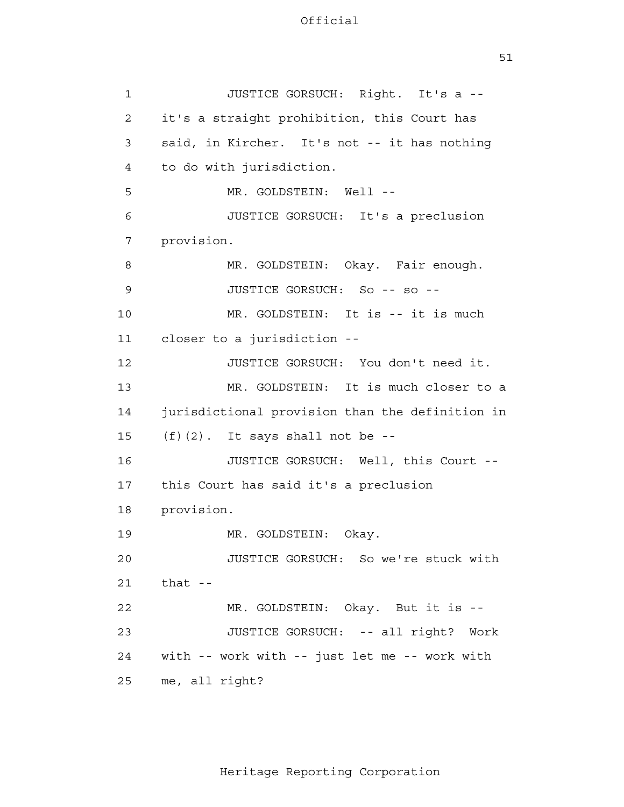| $\mathbf{1}$   | JUSTICE GORSUCH: Right. It's a --               |
|----------------|-------------------------------------------------|
| $\overline{2}$ | it's a straight prohibition, this Court has     |
| 3              | said, in Kircher. It's not -- it has nothing    |
| 4              | to do with jurisdiction.                        |
| 5              | MR. GOLDSTEIN: Well --                          |
| 6              | JUSTICE GORSUCH: It's a preclusion              |
| 7              | provision.                                      |
| 8              | MR. GOLDSTEIN: Okay. Fair enough.               |
| 9              | JUSTICE GORSUCH: So -- so --                    |
| 10             | MR. GOLDSTEIN: It is -- it is much              |
| 11             | closer to a jurisdiction --                     |
| 12             | JUSTICE GORSUCH: You don't need it.             |
| 13             | MR. GOLDSTEIN: It is much closer to a           |
| 14             | jurisdictional provision than the definition in |
| 15             | $(f)$ (2). It says shall not be --              |
| 16             | JUSTICE GORSUCH: Well, this Court --            |
| 17             | this Court has said it's a preclusion           |
| 18             | provision.                                      |
| 19             | MR. GOLDSTEIN:<br>Okay.                         |
| 20             | JUSTICE GORSUCH: So we're stuck with            |
| 21             | that $-$                                        |
| 22             | MR. GOLDSTEIN: Okay. But it is --               |
| 23             | JUSTICE GORSUCH: -- all right? Work             |
| 24             | with -- work with -- just let me -- work with   |
| 25             | me, all right?                                  |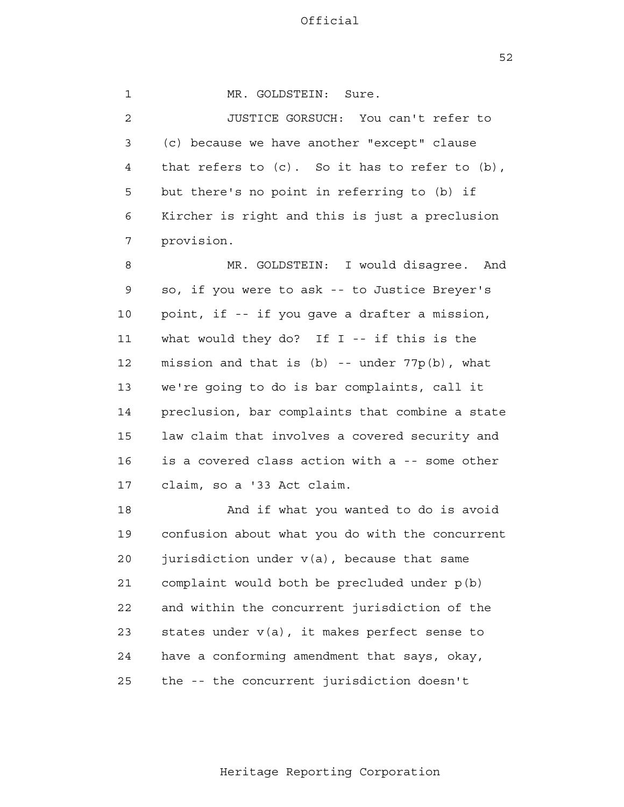52

 1 2 3 4 **5**  6 7 8 9 10 11 12 13 14 15 16 17 MR. GOLDSTEIN: Sure. JUSTICE GORSUCH: You can't refer to (c) because we have another "except" clause that refers to (c). So it has to refer to (b), but there's no point in referring to (b) if Kircher is right and this is just a preclusion provision. MR. GOLDSTEIN: I would disagree. And so, if you were to ask -- to Justice Breyer's point, if -- if you gave a drafter a mission, what would they do? If I -- if this is the mission and that is  $(b)$  -- under  $77p(b)$ , what we're going to do is bar complaints, call it preclusion, bar complaints that combine a state law claim that involves a covered security and is a covered class action with a -- some other claim, so a '33 Act claim.

> 18 19 20 21 22 23 24 25 And if what you wanted to do is avoid confusion about what you do with the concurrent jurisdiction under v(a), because that same complaint would both be precluded under p(b) and within the concurrent jurisdiction of the states under  $v(a)$ , it makes perfect sense to have a conforming amendment that says, okay, the -- the concurrent jurisdiction doesn't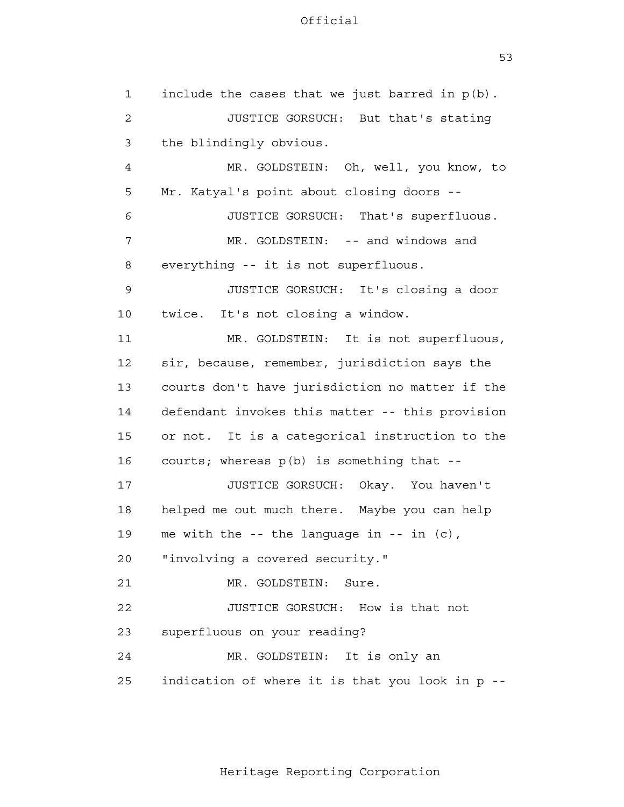1 2 3 4 **5**  6 7 8 9 10 11 12 13 14 15 16 17 18 19 20 21 22 23 24 <u>25</u> include the cases that we just barred in p(b). JUSTICE GORSUCH: But that's stating the blindingly obvious. MR. GOLDSTEIN: Oh, well, you know, to Mr. Katyal's point about closing doors - JUSTICE GORSUCH: That's superfluous. MR. GOLDSTEIN: -- and windows and everything -- it is not superfluous. JUSTICE GORSUCH: It's closing a door twice. It's not closing a window. MR. GOLDSTEIN: It is not superfluous, sir, because, remember, jurisdiction says the courts don't have jurisdiction no matter if the defendant invokes this matter -- this provision or not. It is a categorical instruction to the courts; whereas p(b) is something that - JUSTICE GORSUCH: Okay. You haven't helped me out much there. Maybe you can help me with the  $-$ - the language in  $-$ - in (c), "involving a covered security." MR. GOLDSTEIN: Sure. JUSTICE GORSUCH: How is that not superfluous on your reading? MR. GOLDSTEIN: It is only an indication of where it is that you look in p -

53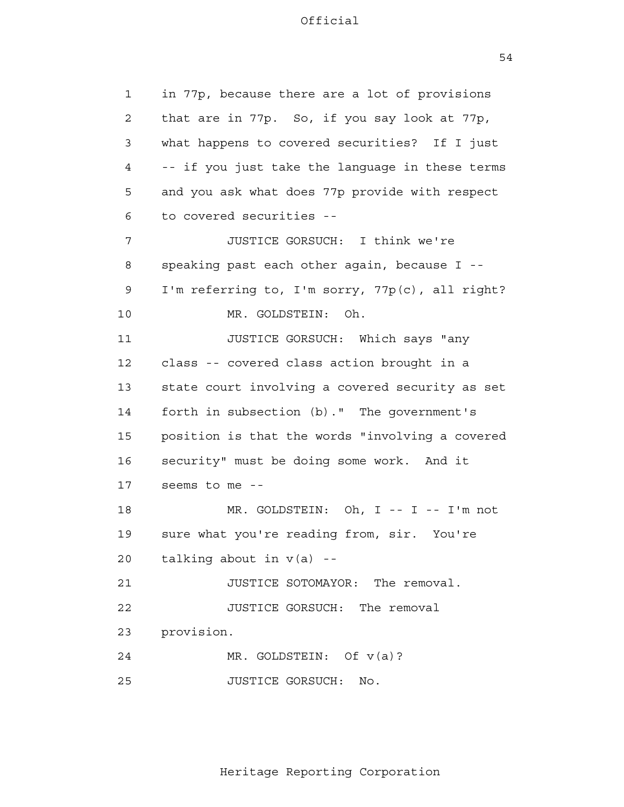1 2 3 4 **5**  6 7 8 9 10 11 12 13 14 15 16 17 18 19 20 21 22 23 24 25 in 77p, because there are a lot of provisions that are in 77p. So, if you say look at 77p, what happens to covered securities? If I just -- if you just take the language in these terms and you ask what does 77p provide with respect to covered securities - JUSTICE GORSUCH: I think we're speaking past each other again, because I - I'm referring to, I'm sorry, 77p(c), all right? MR. GOLDSTEIN: Oh. JUSTICE GORSUCH: Which says "any class -- covered class action brought in a state court involving a covered security as set forth in subsection (b)." The government's position is that the words "involving a covered security" must be doing some work. And it seems to me - MR. GOLDSTEIN: Oh, I -- I -- I'm not sure what you're reading from, sir. You're talking about in  $v(a)$  --JUSTICE SOTOMAYOR: The removal. JUSTICE GORSUCH: The removal provision. MR. GOLDSTEIN: Of v(a)? JUSTICE GORSUCH: No.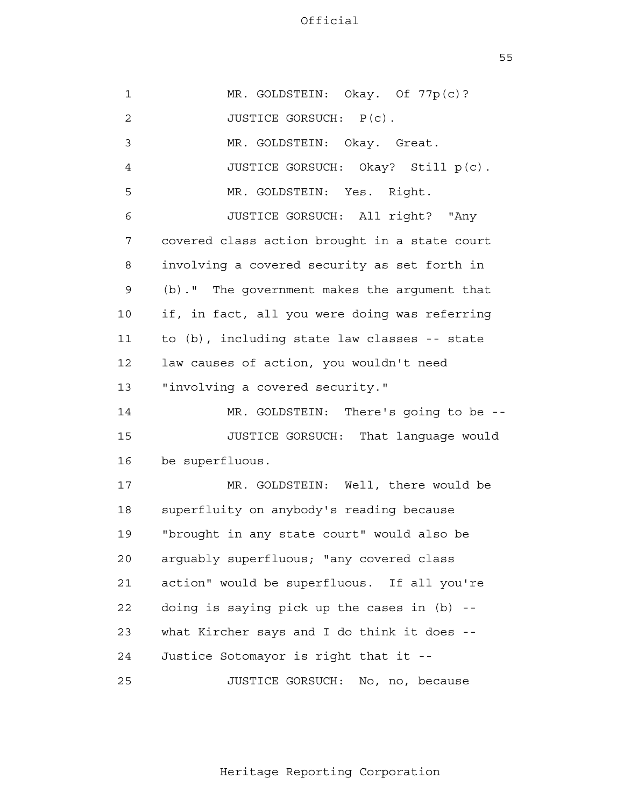$55$ 

| $\mathbf 1$    | MR. GOLDSTEIN: Okay. Of 77p(c)?               |
|----------------|-----------------------------------------------|
| $\overline{2}$ | JUSTICE GORSUCH: P(c).                        |
| 3              | MR. GOLDSTEIN: Okay. Great.                   |
| 4              | JUSTICE GORSUCH: Okay? Still p(c).            |
| 5              | MR. GOLDSTEIN: Yes. Right.                    |
| 6              | JUSTICE GORSUCH: All right? "Any              |
| 7              | covered class action brought in a state court |
| 8              | involving a covered security as set forth in  |
| 9              | (b)." The government makes the argument that  |
| 10             | if, in fact, all you were doing was referring |
| 11             | to (b), including state law classes -- state  |
| 12             | law causes of action, you wouldn't need       |
| 13             | "involving a covered security."               |
| 14             | MR. GOLDSTEIN: There's going to be --         |
| 15             | JUSTICE GORSUCH: That language would          |
| 16             | be superfluous.                               |
| 17             | MR. GOLDSTEIN: Well, there would be           |
| 18             | superfluity on anybody's reading because      |
| 19             | "brought in any state court" would also be    |
| 20             | arguably superfluous; "any covered class      |
| 21             | action" would be superfluous. If all you're   |
| 22             | doing is saying pick up the cases in (b) --   |
| 23             | what Kircher says and I do think it does --   |
| 24             | Justice Sotomayor is right that it --         |
| 25             | JUSTICE GORSUCH: No, no, because              |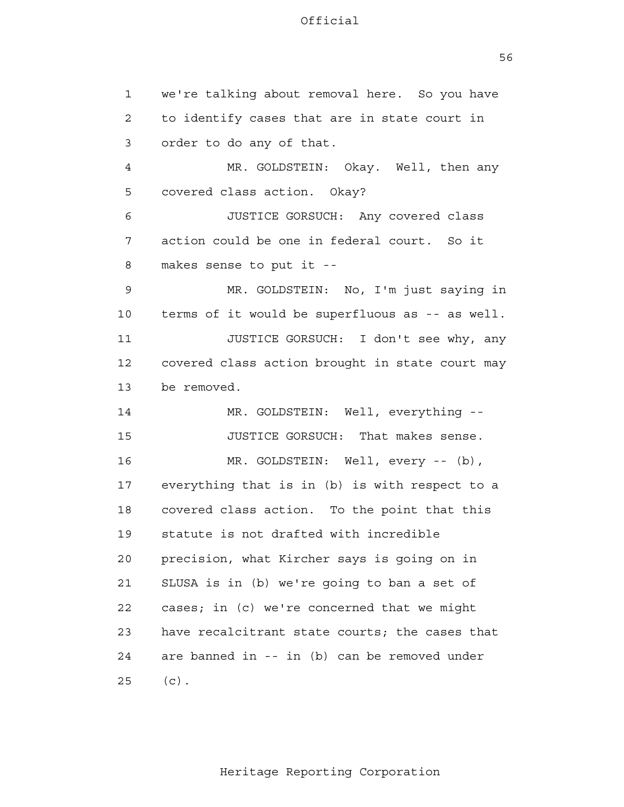56

 1 2 3 4 **5**  6 7 8 9 10 11 12 13 14 15 16 17 18 19 20 21 22 23 24 25 we're talking about removal here. So you have to identify cases that are in state court in order to do any of that. MR. GOLDSTEIN: Okay. Well, then any covered class action. Okay? JUSTICE GORSUCH: Any covered class action could be one in federal court. So it makes sense to put it - MR. GOLDSTEIN: No, I'm just saying in terms of it would be superfluous as -- as well. JUSTICE GORSUCH: I don't see why, any covered class action brought in state court may be removed. MR. GOLDSTEIN: Well, everything - JUSTICE GORSUCH: That makes sense. MR. GOLDSTEIN: Well, every -- (b), everything that is in (b) is with respect to a covered class action. To the point that this statute is not drafted with incredible precision, what Kircher says is going on in SLUSA is in (b) we're going to ban a set of cases; in (c) we're concerned that we might have recalcitrant state courts; the cases that are banned in -- in (b) can be removed under  $(c)$ .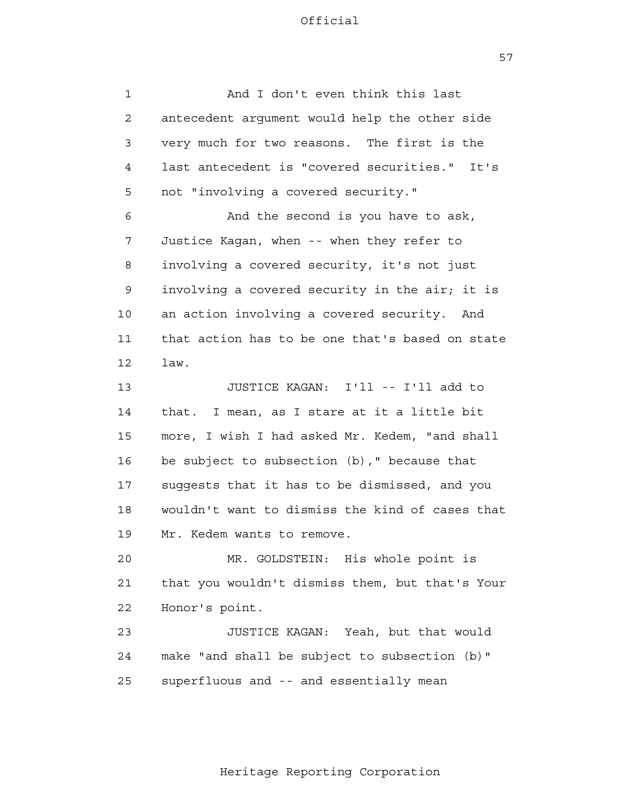57

 1 2 3 4 **5**  6 7 8 9 10 11 12 13 14 15 16 17 18 19 20 21 22 23 24 25 And I don't even think this last antecedent argument would help the other side very much for two reasons. The first is the last antecedent is "covered securities." It's not "involving a covered security." And the second is you have to ask, Justice Kagan, when -- when they refer to involving a covered security, it's not just involving a covered security in the air; it is an action involving a covered security. And that action has to be one that's based on state law. JUSTICE KAGAN: I'll -- I'll add to that. I mean, as I stare at it a little bit more, I wish I had asked Mr. Kedem, "and shall be subject to subsection (b)," because that suggests that it has to be dismissed, and you wouldn't want to dismiss the kind of cases that Mr. Kedem wants to remove. MR. GOLDSTEIN: His whole point is that you wouldn't dismiss them, but that's Your Honor's point. JUSTICE KAGAN: Yeah, but that would make "and shall be subject to subsection (b)" superfluous and -- and essentially mean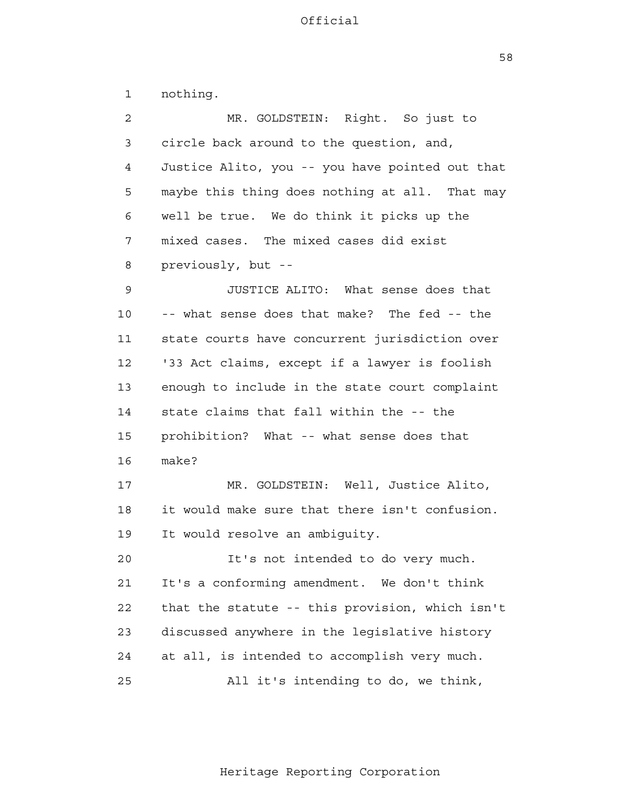58

| 1            | nothing.                                        |
|--------------|-------------------------------------------------|
| $\mathbf{2}$ | MR. GOLDSTEIN: Right. So just to                |
| 3            | circle back around to the question, and,        |
| 4            | Justice Alito, you -- you have pointed out that |
| 5            | maybe this thing does nothing at all. That may  |
| 6            | well be true. We do think it picks up the       |
| 7            | mixed cases. The mixed cases did exist          |
| 8            | previously, but --                              |
| 9            | JUSTICE ALITO: What sense does that             |
| 10           | -- what sense does that make? The fed -- the    |
| 11           | state courts have concurrent jurisdiction over  |
| 12           | '33 Act claims, except if a lawyer is foolish   |
| 13           | enough to include in the state court complaint  |
| 14           | state claims that fall within the -- the        |
| 15           | prohibition? What -- what sense does that       |
| 16           | make?                                           |
| 17           | MR. GOLDSTEIN: Well, Justice Alito,             |
| 18           | it would make sure that there isn't confusion.  |
| 19           | It would resolve an ambiguity.                  |
| 20           | It's not intended to do very much.              |
| 21           | It's a conforming amendment. We don't think     |
| 22           | that the statute -- this provision, which isn't |
| 23           | discussed anywhere in the legislative history   |
| 24           | at all, is intended to accomplish very much.    |
| 25           | All it's intending to do, we think,             |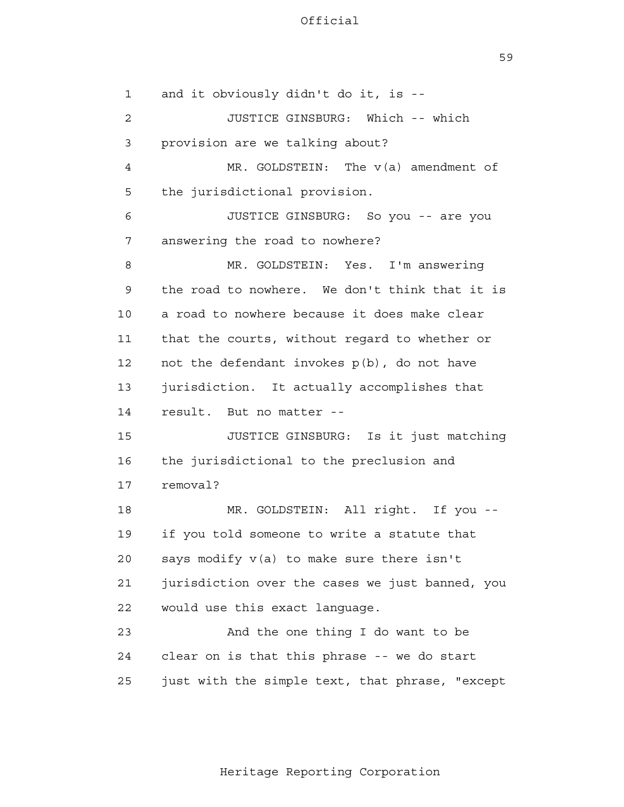59

 1 2 3 4 **5**  6 7 8 9 10 11 12 13 14 15 16 17 18 19 20 21 22 23 24 25 and it obviously didn't do it, is - JUSTICE GINSBURG: Which -- which provision are we talking about? MR. GOLDSTEIN: The v(a) amendment of the jurisdictional provision. JUSTICE GINSBURG: So you -- are you answering the road to nowhere? MR. GOLDSTEIN: Yes. I'm answering the road to nowhere. We don't think that it is a road to nowhere because it does make clear that the courts, without regard to whether or not the defendant invokes p(b), do not have jurisdiction. It actually accomplishes that result. But no matter - JUSTICE GINSBURG: Is it just matching the jurisdictional to the preclusion and removal? MR. GOLDSTEIN: All right. If you if you told someone to write a statute that says modify v(a) to make sure there isn't jurisdiction over the cases we just banned, you would use this exact language. And the one thing I do want to be clear on is that this phrase -- we do start just with the simple text, that phrase, "except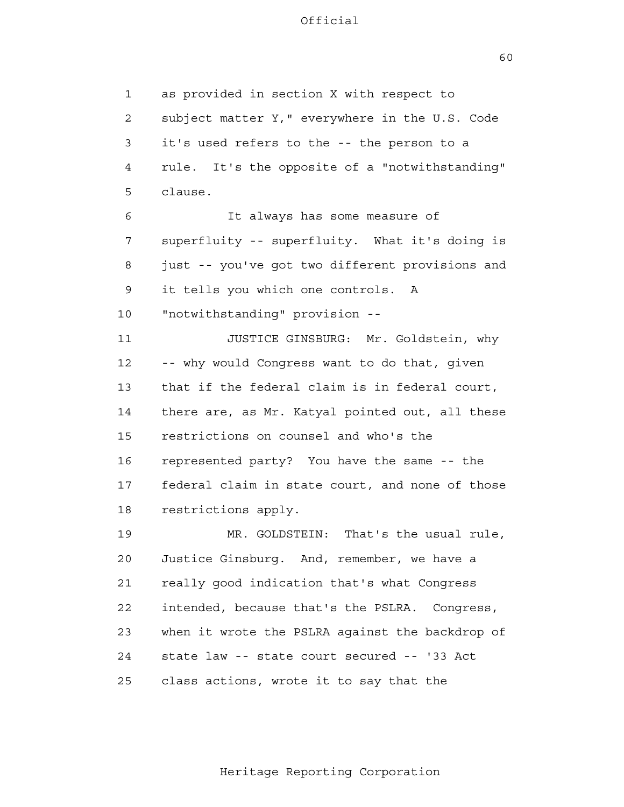60

 1 2 3 4 **5**  6 7 8 9 10 11 12 13 14 15 16 17 18 19 20 21 22 23 24 25 as provided in section X with respect to subject matter Y," everywhere in the U.S. Code it's used refers to the -- the person to a rule. It's the opposite of a "notwithstanding" clause. It always has some measure of superfluity -- superfluity. What it's doing is just -- you've got two different provisions and it tells you which one controls. A "notwithstanding" provision - JUSTICE GINSBURG: Mr. Goldstein, why -- why would Congress want to do that, given that if the federal claim is in federal court, there are, as Mr. Katyal pointed out, all these restrictions on counsel and who's the represented party? You have the same -- the federal claim in state court, and none of those restrictions apply. MR. GOLDSTEIN: That's the usual rule, Justice Ginsburg. And, remember, we have a really good indication that's what Congress intended, because that's the PSLRA. Congress, when it wrote the PSLRA against the backdrop of state law -- state court secured -- '33 Act class actions, wrote it to say that the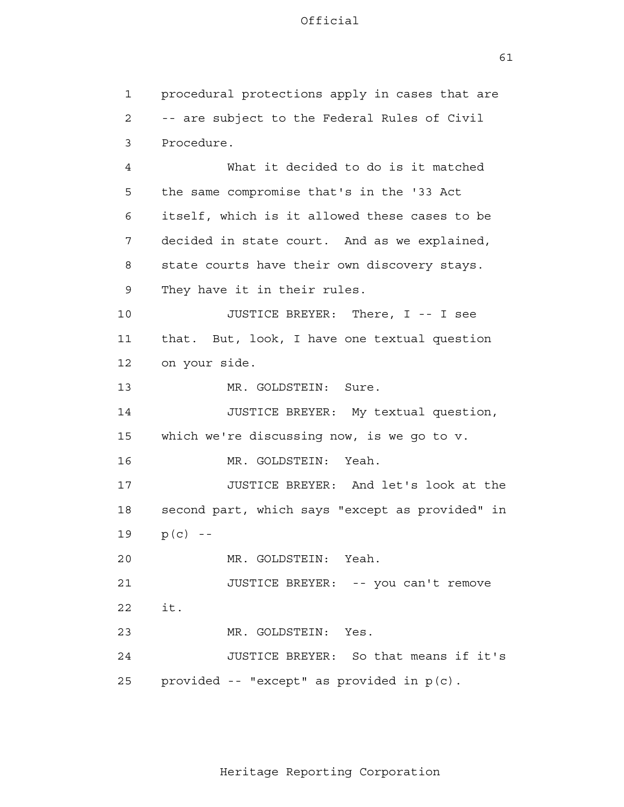1 2 3 4 **5**  6 7 8 9 10 11 12 13 14 15 16 17 18 19 20 21 22 23 24 25 procedural protections apply in cases that are -- are subject to the Federal Rules of Civil Procedure. What it decided to do is it matched the same compromise that's in the '33 Act itself, which is it allowed these cases to be decided in state court. And as we explained, state courts have their own discovery stays. They have it in their rules. JUSTICE BREYER: There, I -- I see that. But, look, I have one textual question on your side. MR. GOLDSTEIN: Sure. JUSTICE BREYER: My textual question, which we're discussing now, is we go to v. MR. GOLDSTEIN: Yeah. JUSTICE BREYER: And let's look at the second part, which says "except as provided" in  $p(c)$  --MR. GOLDSTEIN: Yeah. JUSTICE BREYER: -- you can't remove it. MR. GOLDSTEIN: Yes. JUSTICE BREYER: So that means if it's provided -- "except" as provided in p(c).

Heritage Reporting Corporation

61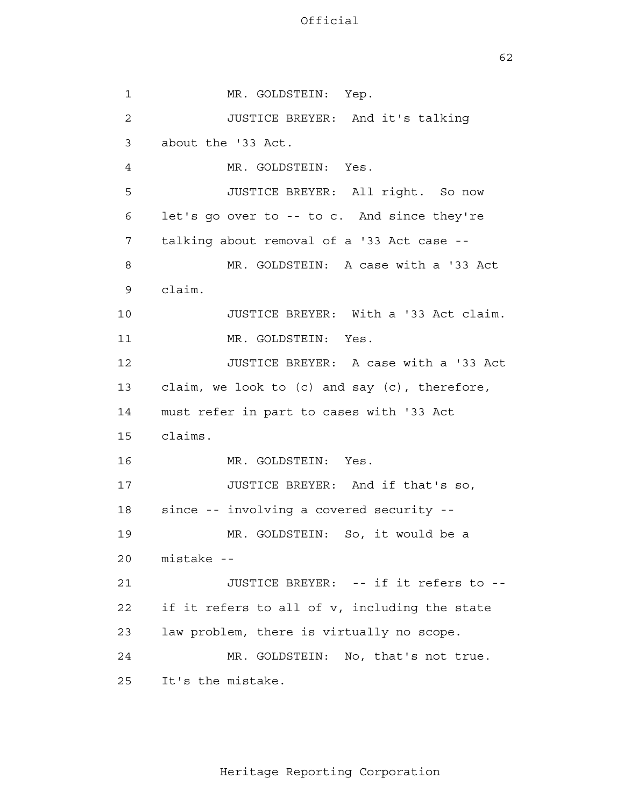$62$ 

 1 2 3 4 **5**  6 7 8 9 10 11 12 13 14 15 16 17 18 19 20 21 22 23 24 25 MR. GOLDSTEIN: Yep. JUSTICE BREYER: And it's talking about the '33 Act. MR. GOLDSTEIN: Yes. JUSTICE BREYER: All right. So now let's go over to -- to c. And since they're talking about removal of a '33 Act case - MR. GOLDSTEIN: A case with a '33 Act claim. JUSTICE BREYER: With a '33 Act claim. MR. GOLDSTEIN: Yes. JUSTICE BREYER: A case with a '33 Act claim, we look to (c) and say (c), therefore, must refer in part to cases with '33 Act claims. MR. GOLDSTEIN: Yes. JUSTICE BREYER: And if that's so, since -- involving a covered security - MR. GOLDSTEIN: So, it would be a mistake - JUSTICE BREYER: -- if it refers to if it refers to all of v, including the state law problem, there is virtually no scope. MR. GOLDSTEIN: No, that's not true. It's the mistake.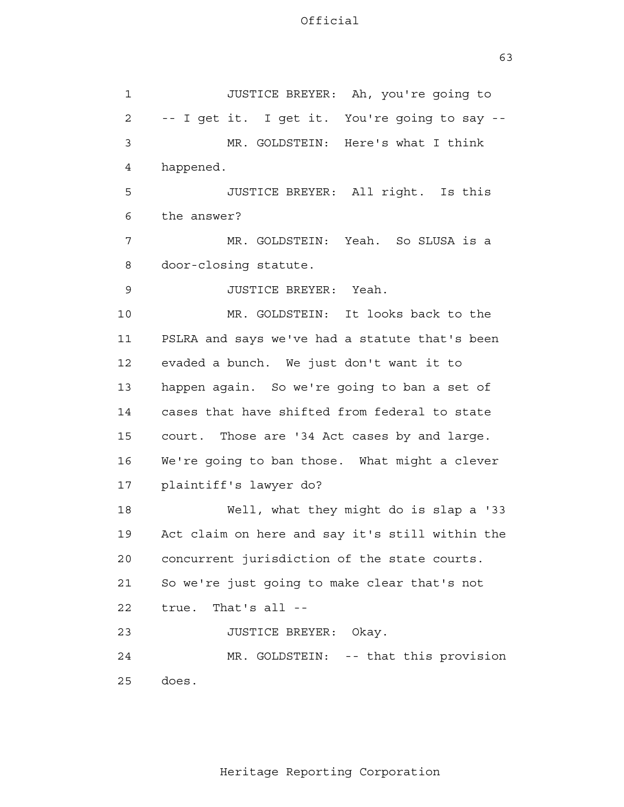1 2 3 4 **5**  6 7 8 9 10 11 12 13 14 15 16 17 18 19 20 21 22 23 24 25 JUSTICE BREYER: Ah, you're going to -- I get it. I get it. You're going to say - MR. GOLDSTEIN: Here's what I think happened. JUSTICE BREYER: All right. Is this the answer? MR. GOLDSTEIN: Yeah. So SLUSA is a door-closing statute. JUSTICE BREYER: Yeah. MR. GOLDSTEIN: It looks back to the PSLRA and says we've had a statute that's been evaded a bunch. We just don't want it to happen again. So we're going to ban a set of cases that have shifted from federal to state court. Those are '34 Act cases by and large. We're going to ban those. What might a clever plaintiff's lawyer do? Well, what they might do is slap a '33 Act claim on here and say it's still within the concurrent jurisdiction of the state courts. So we're just going to make clear that's not true. That's all - JUSTICE BREYER: Okay. MR. GOLDSTEIN: -- that this provision does.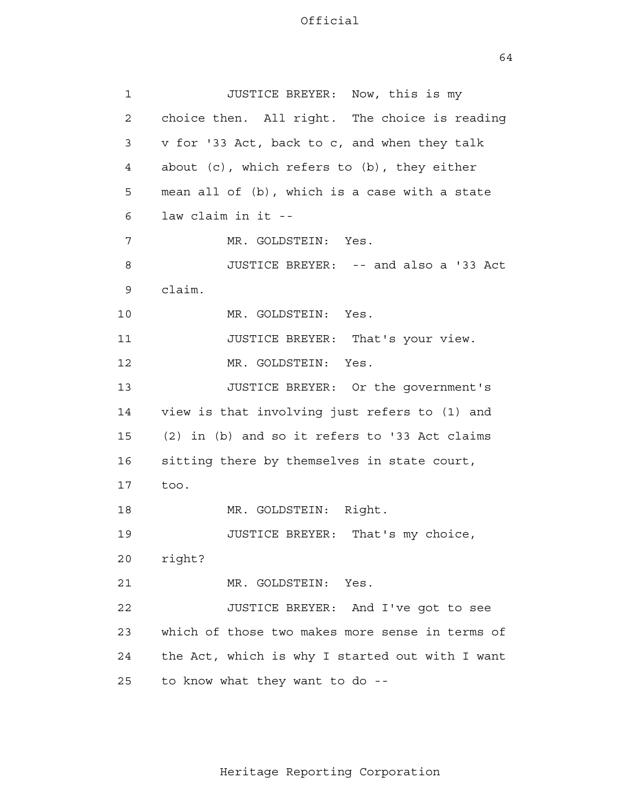64

| $\mathbf{1}$ | JUSTICE BREYER: Now, this is my                   |
|--------------|---------------------------------------------------|
| 2            | choice then. All right. The choice is reading     |
| 3            | v for '33 Act, back to c, and when they talk      |
| 4            | about $(c)$ , which refers to $(b)$ , they either |
| 5            | mean all of (b), which is a case with a state     |
| 6            | law claim in it --                                |
| 7            | MR. GOLDSTEIN: Yes.                               |
| 8            | JUSTICE BREYER: -- and also a '33 Act             |
| 9            | claim.                                            |
| 10           | MR. GOLDSTEIN: Yes.                               |
| 11           | JUSTICE BREYER: That's your view.                 |
| 12           | MR. GOLDSTEIN: Yes.                               |
| 13           | JUSTICE BREYER: Or the government's               |
| 14           | view is that involving just refers to (1) and     |
| 15           | (2) in (b) and so it refers to '33 Act claims     |
| 16           | sitting there by themselves in state court,       |
| 17           | too.                                              |
| 18           | MR. GOLDSTEIN: Right.                             |
| 19           | JUSTICE BREYER:<br>That's my choice,              |
| 20           | right?                                            |
| 21           | MR. GOLDSTEIN:<br>Yes.                            |
| 22           | JUSTICE BREYER: And I've got to see               |
| 23           | which of those two makes more sense in terms of   |
| 24           | the Act, which is why I started out with I want   |
| 25           | to know what they want to do --                   |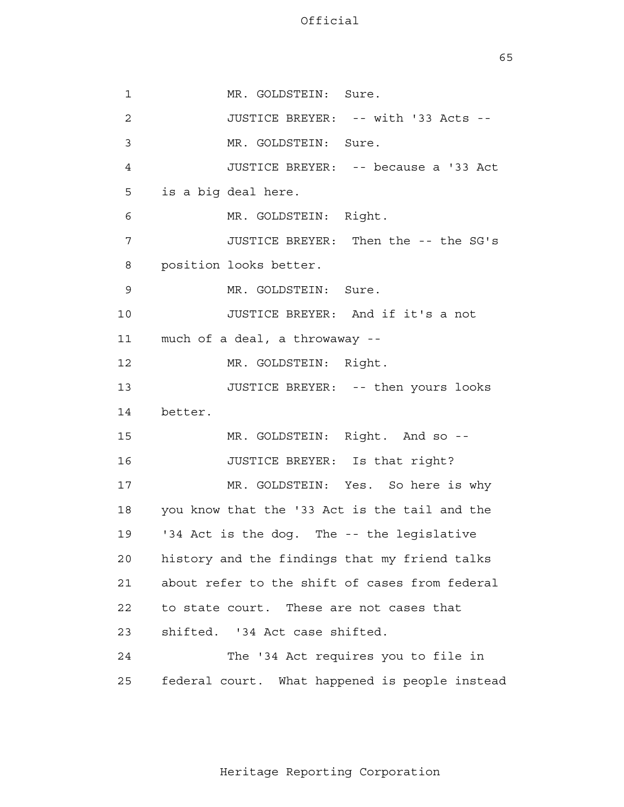$65$ 

 1 2 3 4 **5**  6 7 8 9 10 11 12 13 14 15 16 17 18 19 20 21 22 23 24 25 MR. GOLDSTEIN: Sure. JUSTICE BREYER: -- with '33 Acts --MR. GOLDSTEIN: Sure. JUSTICE BREYER: -- because a '33 Act is a big deal here. MR. GOLDSTEIN: Right. JUSTICE BREYER: Then the -- the SG's position looks better. MR. GOLDSTEIN: Sure. JUSTICE BREYER: And if it's a not much of a deal, a throwaway better. MR. GOLDSTEIN: Right. JUSTICE BREYER: -- then yours looks MR. GOLDSTEIN: Right. And so --JUSTICE BREYER: Is that right? MR. GOLDSTEIN: Yes. So here is why you know that the '33 Act is the tail and the '34 Act is the dog. The -- the legislative history and the findings that my friend talks about refer to the shift of cases from federal to state court. These are not cases that shifted. '34 Act case shifted. The '34 Act requires you to file in federal court. What happened is people instead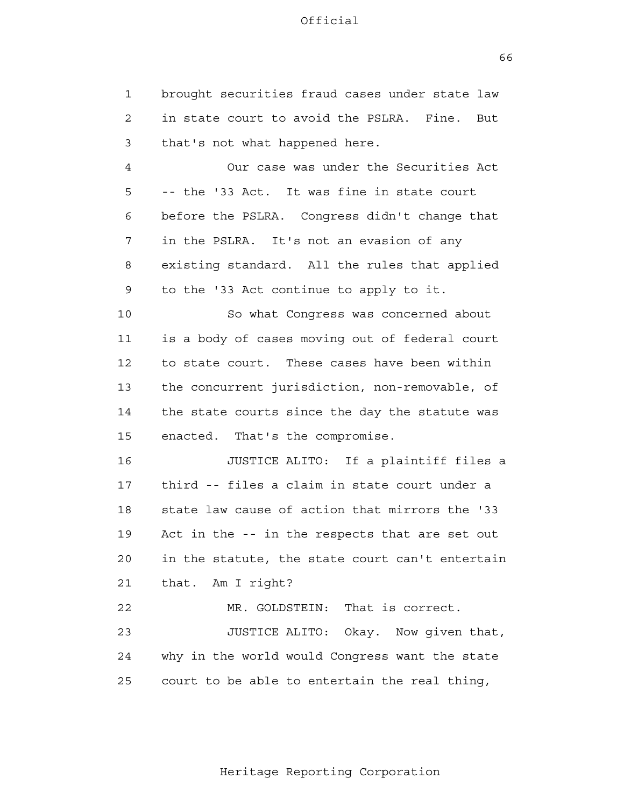1 2 3 brought securities fraud cases under state law in state court to avoid the PSLRA. Fine. But that's not what happened here.

 4 **5**  6 7 8 9 Our case was under the Securities Act -- the '33 Act. It was fine in state court before the PSLRA. Congress didn't change that in the PSLRA. It's not an evasion of any existing standard. All the rules that applied to the '33 Act continue to apply to it.

 10 11 12 13 14 15 So what Congress was concerned about is a body of cases moving out of federal court to state court. These cases have been within the concurrent jurisdiction, non-removable, of the state courts since the day the statute was enacted. That's the compromise.

> 16 17 18 19 20 21 JUSTICE ALITO: If a plaintiff files a third -- files a claim in state court under a state law cause of action that mirrors the '33 Act in the -- in the respects that are set out in the statute, the state court can't entertain that. Am I right?

 22 23 24 <u>25</u> MR. GOLDSTEIN: That is correct. JUSTICE ALITO: Okay. Now given that, why in the world would Congress want the state court to be able to entertain the real thing,

 $66$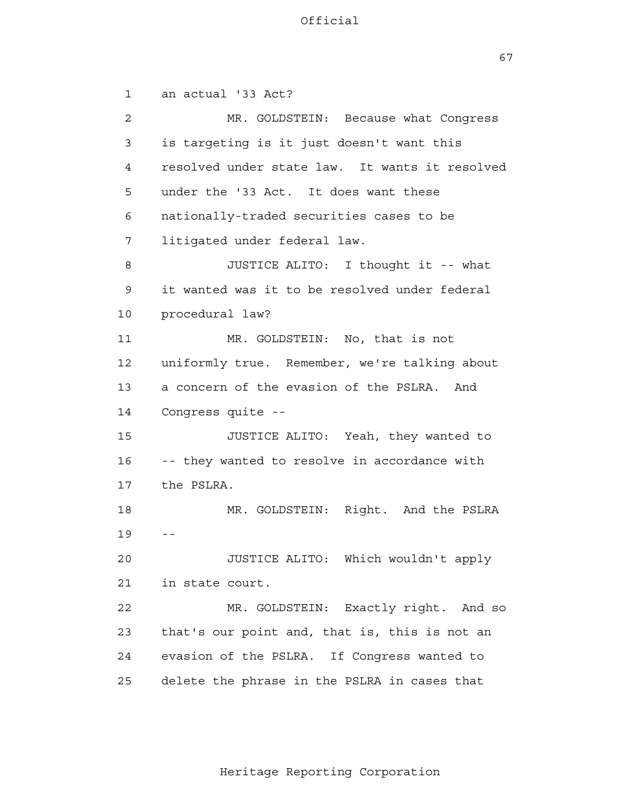67

 1 2 3 4 **5**  6 7 8 9 10 11 12 13 14 15 16 17 18 19 20 21 22 23 24 25 an actual '33 Act? MR. GOLDSTEIN: Because what Congress is targeting is it just doesn't want this resolved under state law. It wants it resolved under the '33 Act. It does want these nationally-traded securities cases to be litigated under federal law. JUSTICE ALITO: I thought it -- what it wanted was it to be resolved under federal procedural law? MR. GOLDSTEIN: No, that is not uniformly true. Remember, we're talking about a concern of the evasion of the PSLRA. And Congress quite - JUSTICE ALITO: Yeah, they wanted to -- they wanted to resolve in accordance with the PSLRA.  $\sim$   $-$ MR. GOLDSTEIN: Right. And the PSLRA in state court. JUSTICE ALITO: Which wouldn't apply MR. GOLDSTEIN: Exactly right. And so that's our point and, that is, this is not an evasion of the PSLRA. If Congress wanted to delete the phrase in the PSLRA in cases that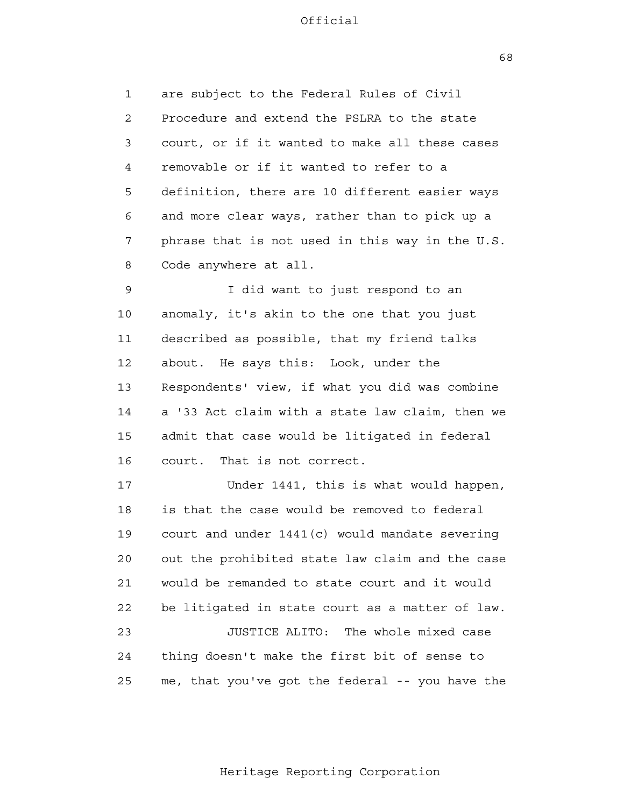$68$ 

 1 2 3 4 **5**  6 7 8 are subject to the Federal Rules of Civil Procedure and extend the PSLRA to the state court, or if it wanted to make all these cases removable or if it wanted to refer to a definition, there are 10 different easier ways and more clear ways, rather than to pick up a phrase that is not used in this way in the U.S. Code anywhere at all.

 9 10 11 12 13 14 15 16 I did want to just respond to an anomaly, it's akin to the one that you just described as possible, that my friend talks about. He says this: Look, under the Respondents' view, if what you did was combine a '33 Act claim with a state law claim, then we admit that case would be litigated in federal court. That is not correct.

 17 18 19 20 21 **22**  23 24 25 Under 1441, this is what would happen, is that the case would be removed to federal court and under 1441(c) would mandate severing out the prohibited state law claim and the case would be remanded to state court and it would be litigated in state court as a matter of law. JUSTICE ALITO: The whole mixed case thing doesn't make the first bit of sense to me, that you've got the federal -- you have the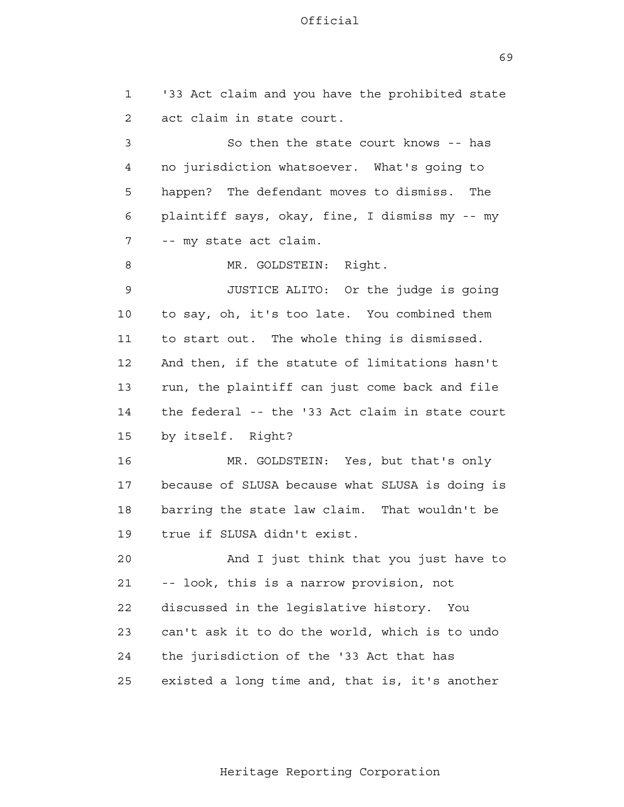$69$ 

 1 2 3 4 **5**  6 7 8 9 10 11 12 13 14 15 16 17 18 19 20 21 **22**  23 24 25 '33 Act claim and you have the prohibited state act claim in state court. So then the state court knows -- has no jurisdiction whatsoever. What's going to happen? The defendant moves to dismiss. The plaintiff says, okay, fine, I dismiss my -- my -- my state act claim. MR. GOLDSTEIN: Right. JUSTICE ALITO: Or the judge is going to say, oh, it's too late. You combined them to start out. The whole thing is dismissed. And then, if the statute of limitations hasn't run, the plaintiff can just come back and file the federal -- the '33 Act claim in state court by itself. Right? MR. GOLDSTEIN: Yes, but that's only because of SLUSA because what SLUSA is doing is barring the state law claim. That wouldn't be true if SLUSA didn't exist. And I just think that you just have to -- look, this is a narrow provision, not discussed in the legislative history. You can't ask it to do the world, which is to undo the jurisdiction of the '33 Act that has existed a long time and, that is, it's another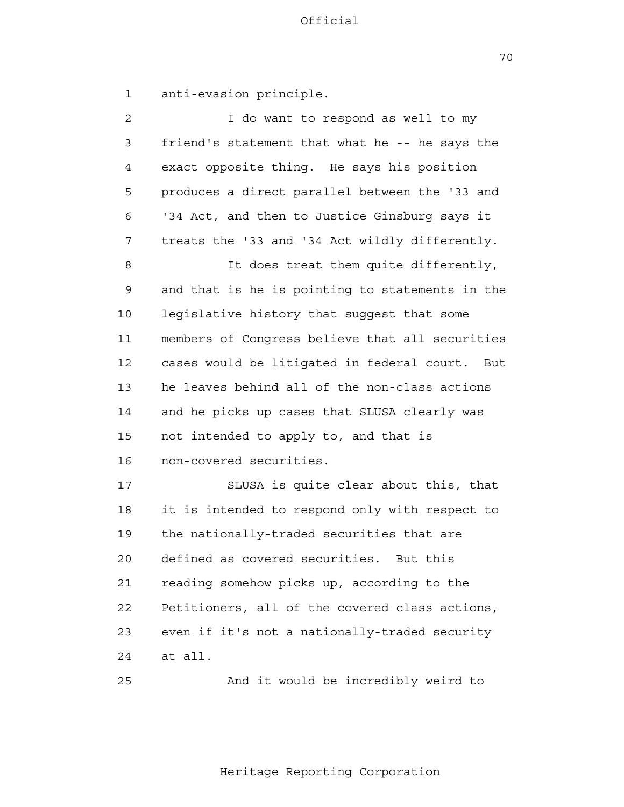70

1 anti-evasion principle.

| $\overline{2}$ | I do want to respond as well to my              |
|----------------|-------------------------------------------------|
| 3              | friend's statement that what he -- he says the  |
| 4              | exact opposite thing. He says his position      |
| 5              | produces a direct parallel between the '33 and  |
| 6              | '34 Act, and then to Justice Ginsburg says it   |
| 7              | treats the '33 and '34 Act wildly differently.  |
| 8              | It does treat them quite differently,           |
| 9              | and that is he is pointing to statements in the |
| 10             | legislative history that suggest that some      |
| 11             | members of Congress believe that all securities |
| 12             | cases would be litigated in federal court. But  |
| 13             | he leaves behind all of the non-class actions   |
| 14             | and he picks up cases that SLUSA clearly was    |
| 15             | not intended to apply to, and that is           |
| 16             | non-covered securities.                         |
| 17             | SLUSA is quite clear about this, that           |
| 18             | it is intended to respond only with respect to  |
| 19             | the nationally-traded securities that are       |
| 20             | defined as covered securities. But this         |
| 21             | reading somehow picks up, according to the      |
| 22             | Petitioners, all of the covered class actions,  |
| 23             | even if it's not a nationally-traded security   |
| 24             | at all.                                         |
|                |                                                 |

25

And it would be incredibly weird to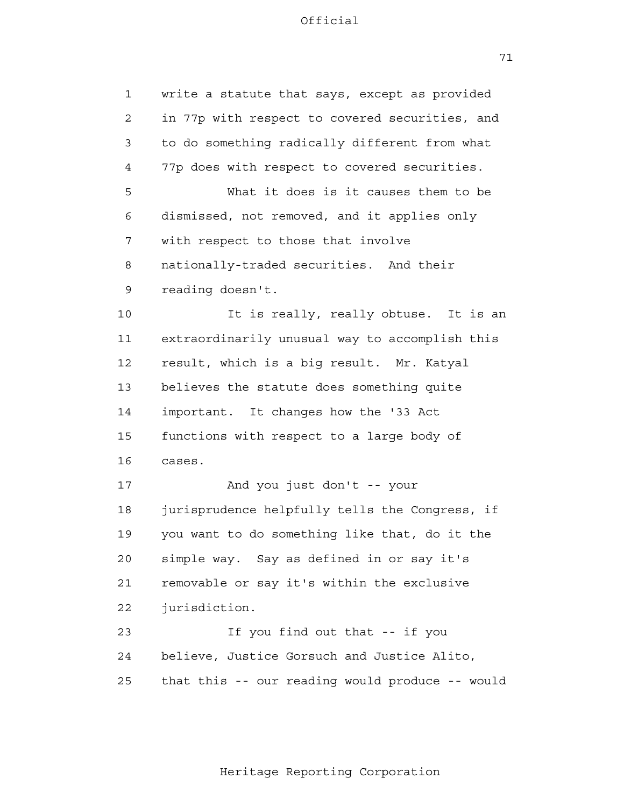71

| $\mathbf{1}$ | write a statute that says, except as provided   |
|--------------|-------------------------------------------------|
| 2            | in 77p with respect to covered securities, and  |
| 3            | to do something radically different from what   |
| 4            | 77p does with respect to covered securities.    |
| 5            | What it does is it causes them to be            |
| 6            | dismissed, not removed, and it applies only     |
| 7            | with respect to those that involve              |
| 8            | nationally-traded securities. And their         |
| 9            | reading doesn't.                                |
| 10           | It is really, really obtuse. It is an           |
| 11           | extraordinarily unusual way to accomplish this  |
| 12           | result, which is a big result. Mr. Katyal       |
| 13           | believes the statute does something quite       |
| 14           | important. It changes how the '33 Act           |
| 15           | functions with respect to a large body of       |
| 16           | cases.                                          |
| 17           | And you just don't -- your                      |
| 18           | jurisprudence helpfully tells the Congress, if  |
| 19           | you want to do something like that, do it the   |
| 20           | simple way. Say as defined in or say it's       |
| 21           | removable or say it's within the exclusive      |
| 22           | jurisdiction.                                   |
| 23           | If you find out that -- if you                  |
| 24           | believe, Justice Gorsuch and Justice Alito,     |
| 25           | that this -- our reading would produce -- would |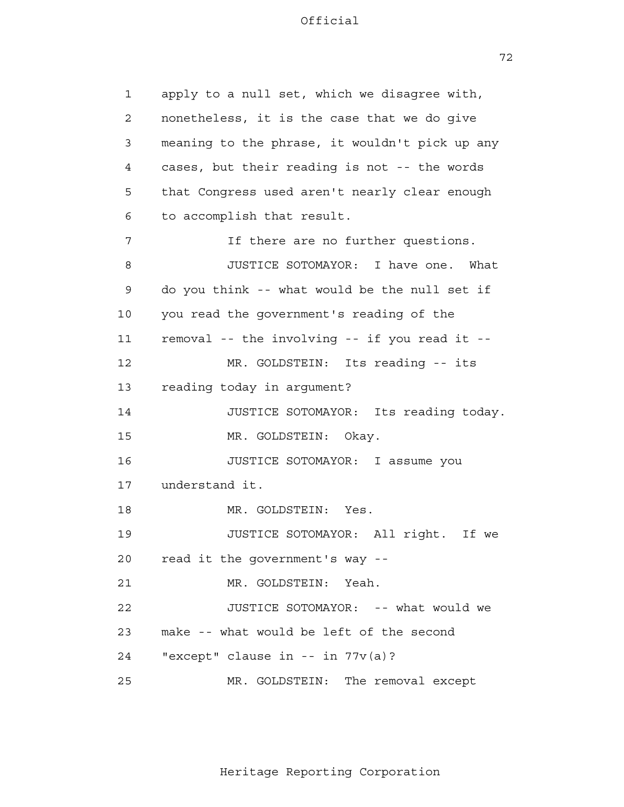72

| 1  | apply to a null set, which we disagree with,   |
|----|------------------------------------------------|
| 2  | nonetheless, it is the case that we do give    |
| 3  | meaning to the phrase, it wouldn't pick up any |
| 4  | cases, but their reading is not -- the words   |
| 5  | that Congress used aren't nearly clear enough  |
| 6  | to accomplish that result.                     |
| 7  | If there are no further questions.             |
| 8  | JUSTICE SOTOMAYOR: I have one.<br>What         |
| 9  | do you think -- what would be the null set if  |
| 10 | you read the government's reading of the       |
| 11 | removal -- the involving -- if you read it --  |
| 12 | MR. GOLDSTEIN: Its reading -- its              |
| 13 | reading today in argument?                     |
| 14 | JUSTICE SOTOMAYOR: Its reading today.          |
| 15 | MR. GOLDSTEIN:<br>Okay.                        |
| 16 | JUSTICE SOTOMAYOR: I assume you                |
| 17 | understand it.                                 |
| 18 | MR. GOLDSTEIN: Yes.                            |
| 19 | JUSTICE SOTOMAYOR: All right.<br>If we         |
| 20 | read it the government's way --                |
| 21 | MR. GOLDSTEIN: Yeah.                           |
| 22 | JUSTICE SOTOMAYOR: -- what would we            |
| 23 | make -- what would be left of the second       |
| 24 | "except" clause in -- in $77v(a)$ ?            |
| 25 | MR. GOLDSTEIN: The removal except              |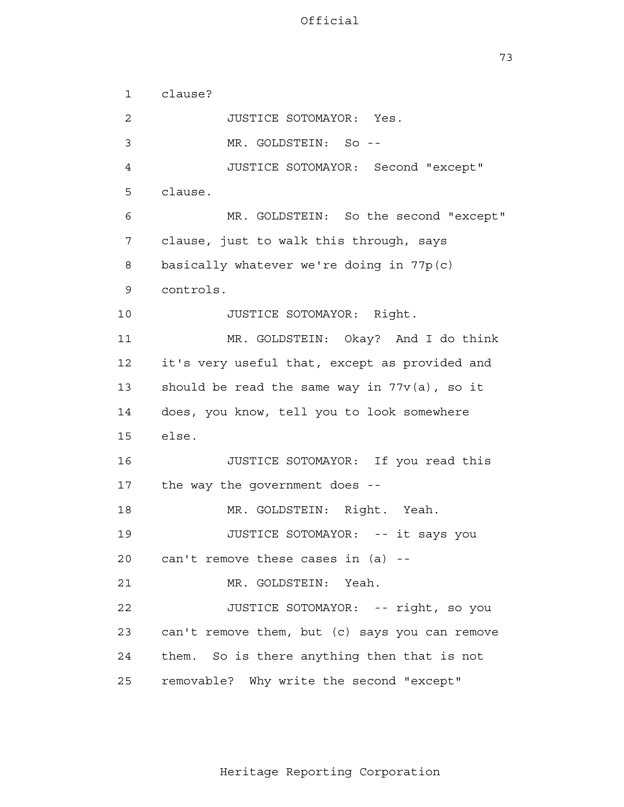73

 1 2 3 4 **5**  6 7 8 9 10 11 12 13 14 15 16 17 18 19 20 21 22 23 24 25 clause? JUSTICE SOTOMAYOR: Yes. MR. GOLDSTEIN: So - JUSTICE SOTOMAYOR: Second "except" clause. MR. GOLDSTEIN: So the second "except" clause, just to walk this through, says basically whatever we're doing in 77p(c) controls. JUSTICE SOTOMAYOR: Right. MR. GOLDSTEIN: Okay? And I do think it's very useful that, except as provided and should be read the same way in  $77v(a)$ , so it does, you know, tell you to look somewhere else. JUSTICE SOTOMAYOR: If you read this the way the government does - MR. GOLDSTEIN: Right. Yeah. JUSTICE SOTOMAYOR: -- it says you can't remove these cases in (a) - MR. GOLDSTEIN: Yeah. JUSTICE SOTOMAYOR: -- right, so you can't remove them, but (c) says you can remove them. So is there anything then that is not removable? Why write the second "except"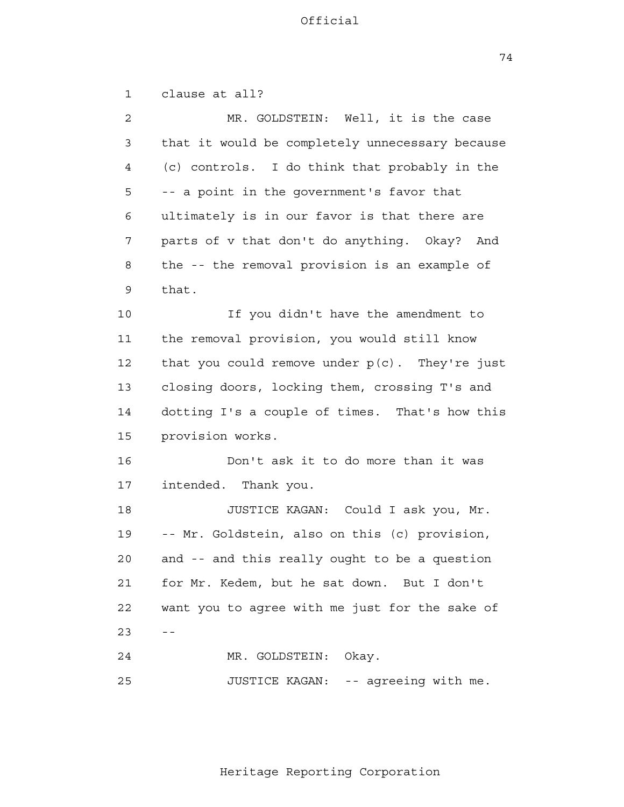74

 1 2 3 4 **5**  6 7 8 9 10 11 12 13 14 15 16 17 18 19 20 21 **22**  $23$  -- 24 25 clause at all? MR. GOLDSTEIN: Well, it is the case that it would be completely unnecessary because (c) controls. I do think that probably in the -- a point in the government's favor that ultimately is in our favor is that there are parts of v that don't do anything. Okay? And the -- the removal provision is an example of that. If you didn't have the amendment to the removal provision, you would still know that you could remove under  $p(c)$ . They're just closing doors, locking them, crossing T's and dotting I's a couple of times. That's how this provision works. Don't ask it to do more than it was intended. Thank you. JUSTICE KAGAN: Could I ask you, Mr. -- Mr. Goldstein, also on this (c) provision, and -- and this really ought to be a question for Mr. Kedem, but he sat down. But I don't want you to agree with me just for the sake of MR. GOLDSTEIN: Okay. JUSTICE KAGAN: -- agreeing with me.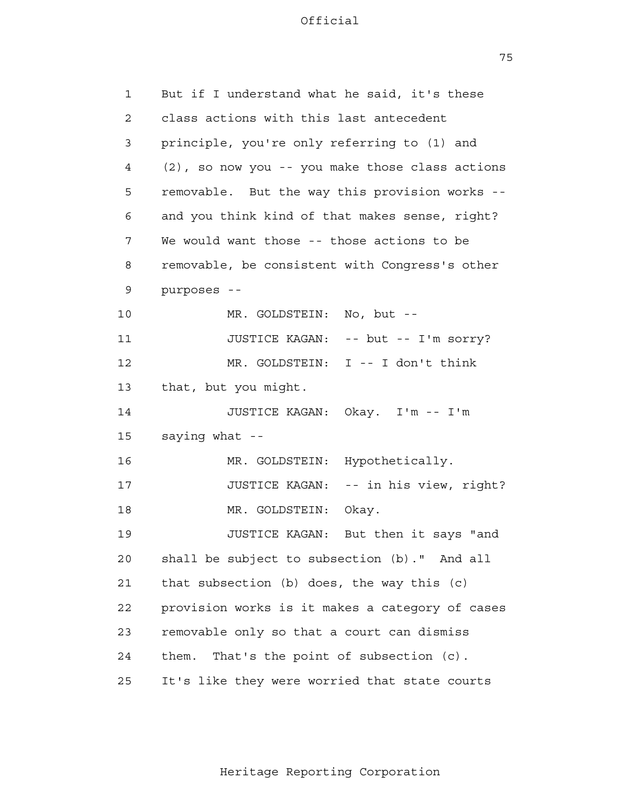75

| 1  | But if I understand what he said, it's these    |
|----|-------------------------------------------------|
| 2  | class actions with this last antecedent         |
| 3  | principle, you're only referring to (1) and     |
| 4  | (2), so now you -- you make those class actions |
| 5  | removable. But the way this provision works --  |
| 6  | and you think kind of that makes sense, right?  |
| 7  | We would want those -- those actions to be      |
| 8  | removable, be consistent with Congress's other  |
| 9  | purposes --                                     |
| 10 | MR. GOLDSTEIN: No, but --                       |
| 11 | JUSTICE KAGAN: -- but -- I'm sorry?             |
| 12 | MR. GOLDSTEIN: I -- I don't think               |
| 13 | that, but you might.                            |
| 14 | JUSTICE KAGAN: Okay. I'm -- I'm                 |
| 15 | saying what --                                  |
| 16 | Hypothetically.<br>MR. GOLDSTEIN:               |
| 17 | JUSTICE KAGAN:<br>-- in his view, right?        |
| 18 | MR. GOLDSTEIN:<br>Okay.                         |
| 19 | JUSTICE KAGAN:<br>But then it says "and         |
| 20 | shall be subject to subsection (b)." And all    |
| 21 | that subsection $(b)$ does, the way this $(c)$  |
| 22 | provision works is it makes a category of cases |
| 23 | removable only so that a court can dismiss      |
| 24 | That's the point of subsection (c).<br>them.    |
| 25 | It's like they were worried that state courts   |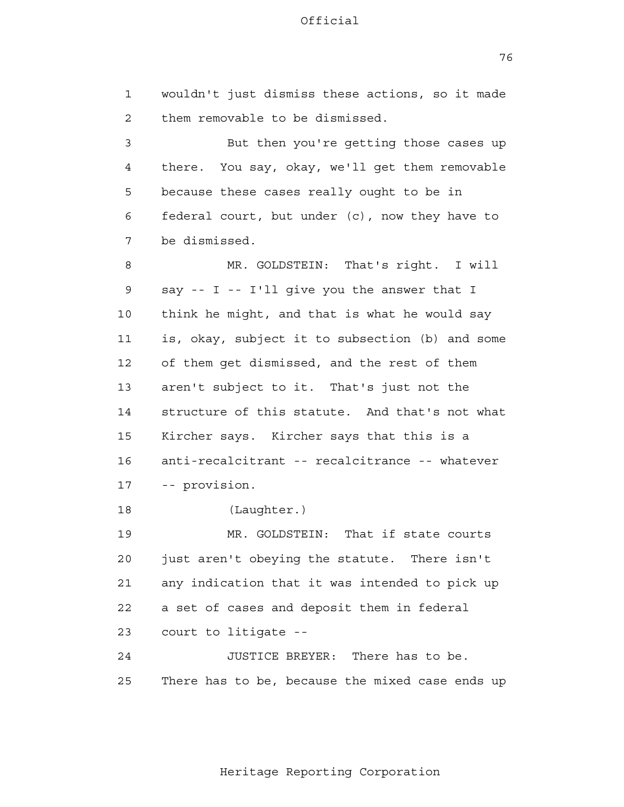76

 1 2 3 4 **5**  6 7 8 9 10 11 12 13 14 15 16 17 18 19 20 21 **22**  23 24 <u>25</u> wouldn't just dismiss these actions, so it made them removable to be dismissed. But then you're getting those cases up there. You say, okay, we'll get them removable because these cases really ought to be in federal court, but under (c), now they have to be dismissed. MR. GOLDSTEIN: That's right. I will say -- I -- I'll give you the answer that I think he might, and that is what he would say is, okay, subject it to subsection (b) and some of them get dismissed, and the rest of them aren't subject to it. That's just not the structure of this statute. And that's not what Kircher says. Kircher says that this is a anti-recalcitrant -- recalcitrance -- whatever -- provision. (Laughter.) MR. GOLDSTEIN: That if state courts just aren't obeying the statute. There isn't any indication that it was intended to pick up a set of cases and deposit them in federal court to litigate - JUSTICE BREYER: There has to be. There has to be, because the mixed case ends up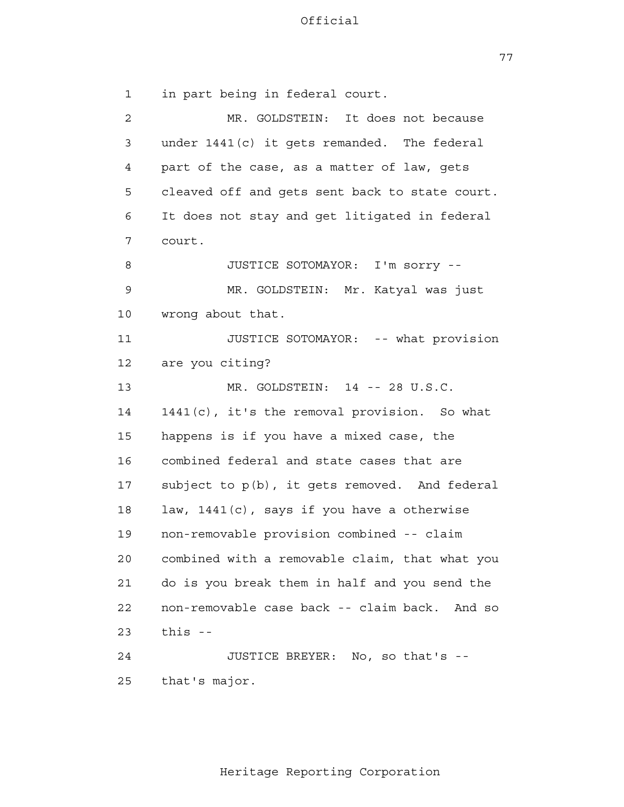77

 1 2 3 4 **5**  6 7 8 9 10 11 12 13 14 15 16 17 18 19 20 21 22 23 24 25 in part being in federal court. MR. GOLDSTEIN: It does not because under 1441(c) it gets remanded. The federal part of the case, as a matter of law, gets cleaved off and gets sent back to state court. It does not stay and get litigated in federal court. JUSTICE SOTOMAYOR: I'm sorry - MR. GOLDSTEIN: Mr. Katyal was just wrong about that. JUSTICE SOTOMAYOR: -- what provision are you citing? MR. GOLDSTEIN: 14 -- 28 U.S.C. 1441(c), it's the removal provision. So what happens is if you have a mixed case, the combined federal and state cases that are subject to p(b), it gets removed. And federal law, 1441(c), says if you have a otherwise non-removable provision combined -- claim combined with a removable claim, that what you do is you break them in half and you send the non-removable case back -- claim back. And so this  $-$ JUSTICE BREYER: No, so that's that's major.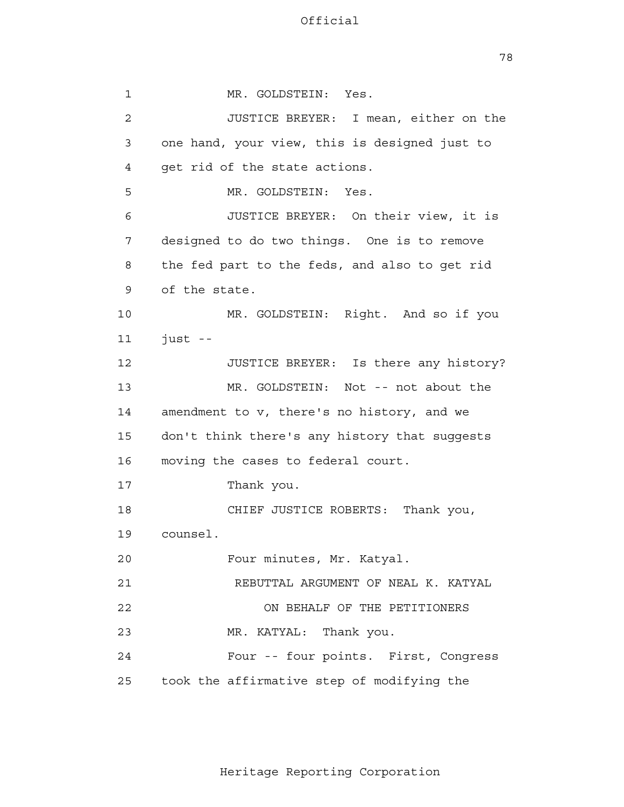78

 1 2 3 4 **5**  6 7 8 9 10 11 12 13 14 15 16 17 18 19 20 21 22 23 24 25 MR. GOLDSTEIN: Yes. JUSTICE BREYER: I mean, either on the one hand, your view, this is designed just to get rid of the state actions. MR. GOLDSTEIN: Yes. JUSTICE BREYER: On their view, it is designed to do two things. One is to remove the fed part to the feds, and also to get rid of the state. MR. GOLDSTEIN: Right. And so if you  $i$ ust --JUSTICE BREYER: Is there any history? MR. GOLDSTEIN: Not -- not about the amendment to v, there's no history, and we don't think there's any history that suggests moving the cases to federal court. Thank you. CHIEF JUSTICE ROBERTS: Thank you, counsel. Four minutes, Mr. Katyal. REBUTTAL ARGUMENT OF NEAL K. KATYAL ON BEHALF OF THE PETITIONERS MR. KATYAL: Thank you. Four -- four points. First, Congress took the affirmative step of modifying the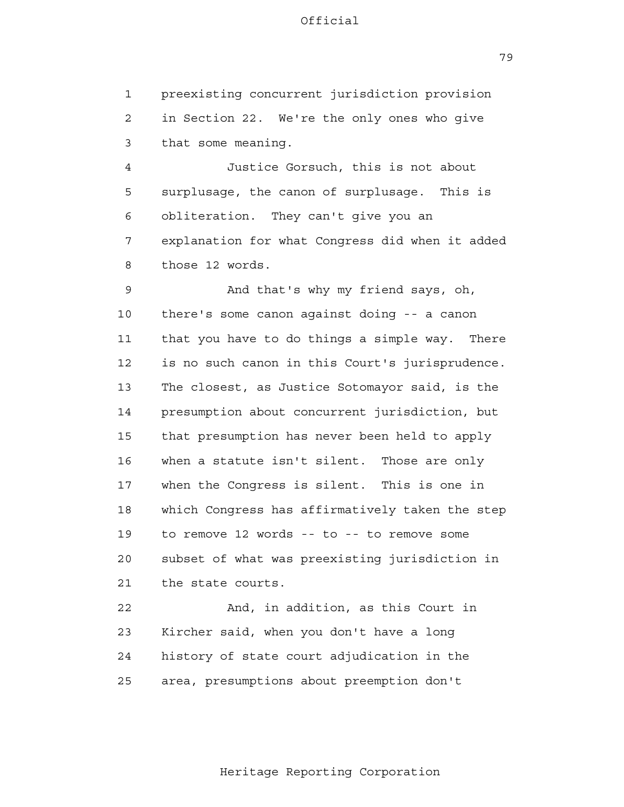1 2 3 preexisting concurrent jurisdiction provision in Section 22. We're the only ones who give that some meaning.

 4 **5**  6 7 8 Justice Gorsuch, this is not about surplusage, the canon of surplusage. This is obliteration. They can't give you an explanation for what Congress did when it added those 12 words.

 9 10 11 12 13 14 15 16 17 18 19 20 21 And that's why my friend says, oh, there's some canon against doing -- a canon that you have to do things a simple way. There is no such canon in this Court's jurisprudence. The closest, as Justice Sotomayor said, is the presumption about concurrent jurisdiction, but that presumption has never been held to apply when a statute isn't silent. Those are only when the Congress is silent. This is one in which Congress has affirmatively taken the step to remove 12 words -- to -- to remove some subset of what was preexisting jurisdiction in the state courts.

> 22 23 24 25 And, in addition, as this Court in Kircher said, when you don't have a long history of state court adjudication in the area, presumptions about preemption don't

79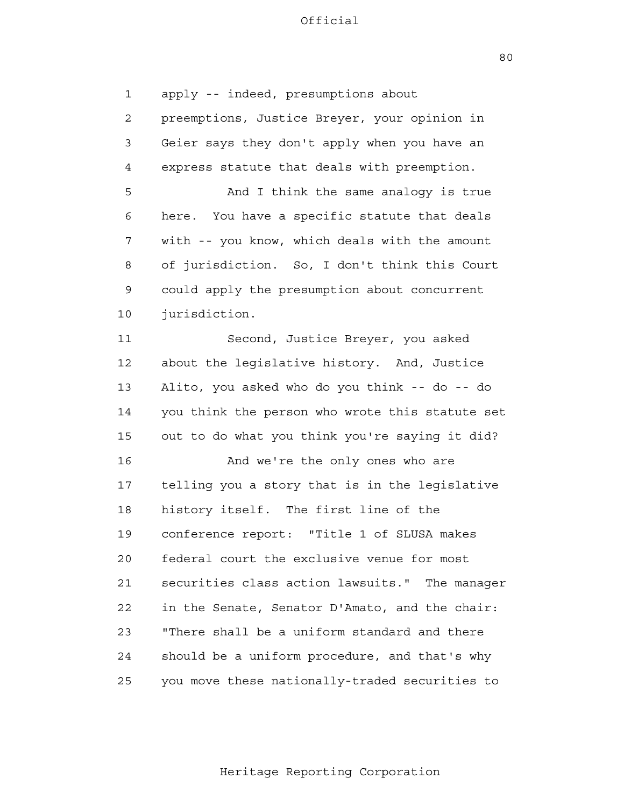80

 1 2 3 4 **5**  6 7 8 9 10 11 12 13 14 15 16 17 18 19 20 21 **22**  23 24 25 apply -- indeed, presumptions about preemptions, Justice Breyer, your opinion in Geier says they don't apply when you have an express statute that deals with preemption. And I think the same analogy is true here. You have a specific statute that deals with -- you know, which deals with the amount of jurisdiction. So, I don't think this Court could apply the presumption about concurrent jurisdiction. Second, Justice Breyer, you asked about the legislative history. And, Justice Alito, you asked who do you think -- do -- do you think the person who wrote this statute set out to do what you think you're saying it did? And we're the only ones who are telling you a story that is in the legislative history itself. The first line of the conference report: "Title 1 of SLUSA makes federal court the exclusive venue for most securities class action lawsuits." The manager in the Senate, Senator D'Amato, and the chair: "There shall be a uniform standard and there should be a uniform procedure, and that's why you move these nationally-traded securities to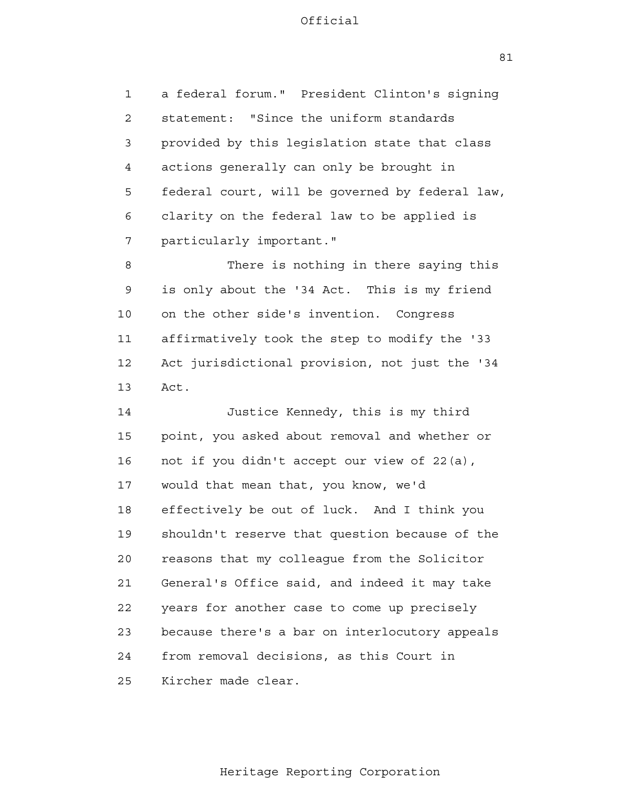1 2 3 4 **5**  6 7 a federal forum." President Clinton's signing statement: "Since the uniform standards provided by this legislation state that class actions generally can only be brought in federal court, will be governed by federal law, clarity on the federal law to be applied is particularly important."

 8 9 10 11 12 13 There is nothing in there saying this is only about the '34 Act. This is my friend on the other side's invention. Congress affirmatively took the step to modify the '33 Act jurisdictional provision, not just the '34 Act.

 14 15 16 17 18 19 20 21 **22**  23 24 <u>25</u> Justice Kennedy, this is my third point, you asked about removal and whether or not if you didn't accept our view of 22(a), would that mean that, you know, we'd effectively be out of luck. And I think you shouldn't reserve that question because of the reasons that my colleague from the Solicitor General's Office said, and indeed it may take years for another case to come up precisely because there's a bar on interlocutory appeals from removal decisions, as this Court in Kircher made clear.

81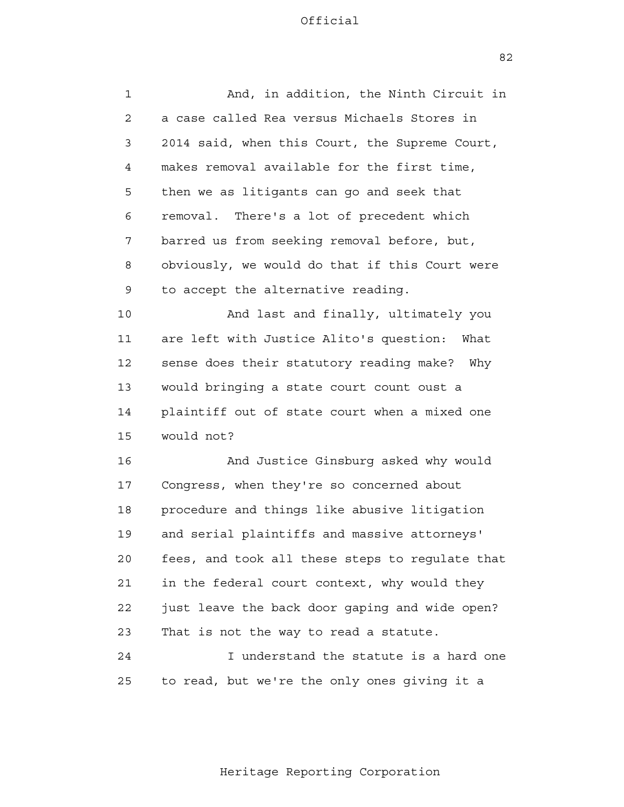82

| 1  | And, in addition, the Ninth Circuit in          |
|----|-------------------------------------------------|
| 2  | a case called Rea versus Michaels Stores in     |
| 3  | 2014 said, when this Court, the Supreme Court,  |
| 4  | makes removal available for the first time,     |
| 5  | then we as litigants can go and seek that       |
| 6  | removal. There's a lot of precedent which       |
| 7  | barred us from seeking removal before, but,     |
| 8  | obviously, we would do that if this Court were  |
| 9  | to accept the alternative reading.              |
| 10 | And last and finally, ultimately you            |
| 11 | are left with Justice Alito's question:<br>What |
| 12 | sense does their statutory reading make? Why    |
| 13 | would bringing a state court count oust a       |
| 14 | plaintiff out of state court when a mixed one   |
| 15 | would not?                                      |
| 16 | And Justice Ginsburg asked why would            |
| 17 | Congress, when they're so concerned about       |
| 18 | procedure and things like abusive litigation    |
| 19 | and serial plaintiffs and massive attorneys'    |
| 20 | fees, and took all these steps to regulate that |
| 21 | in the federal court context, why would they    |
| 22 | just leave the back door gaping and wide open?  |
| 23 | That is not the way to read a statute.          |
| 24 | I understand the statute is a hard one          |
| 25 | to read, but we're the only ones giving it a    |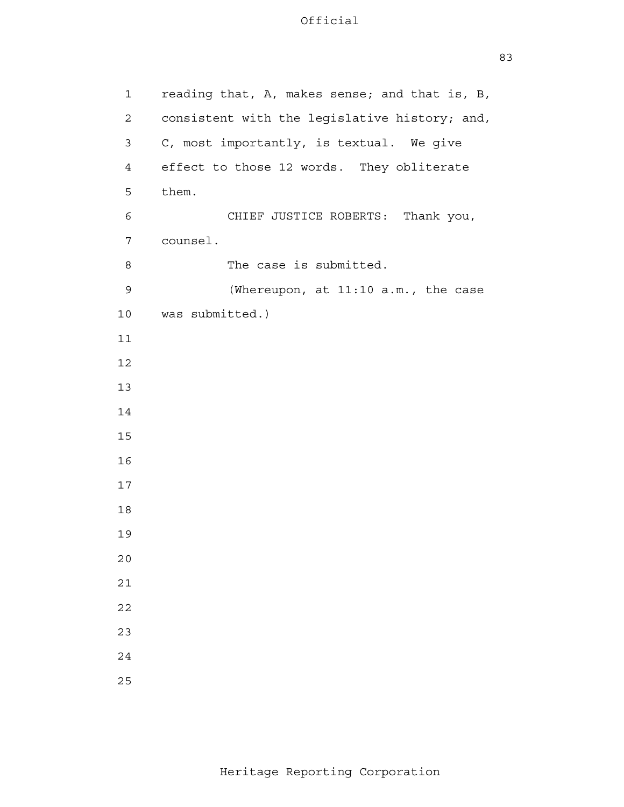| $\mathbf 1$    | reading that, A, makes sense; and that is, B, |
|----------------|-----------------------------------------------|
| 2              | consistent with the legislative history; and, |
| 3              | C, most importantly, is textual. We give      |
| $\overline{4}$ | effect to those 12 words. They obliterate     |
| 5              | them.                                         |
| 6              | CHIEF JUSTICE ROBERTS: Thank you,             |
| $\overline{7}$ | counsel.                                      |
| 8              | The case is submitted.                        |
| 9              | (Whereupon, at 11:10 a.m., the case           |
| 10             | was submitted.)                               |
| 11             |                                               |
| 12             |                                               |
| 13             |                                               |
| 14             |                                               |
| 15             |                                               |
| 16             |                                               |
| 17             |                                               |
| 18             |                                               |
| 19             |                                               |
| 20             |                                               |
| $2\,1$         |                                               |
| 22             |                                               |
| 23             |                                               |
| 24             |                                               |
| 25             |                                               |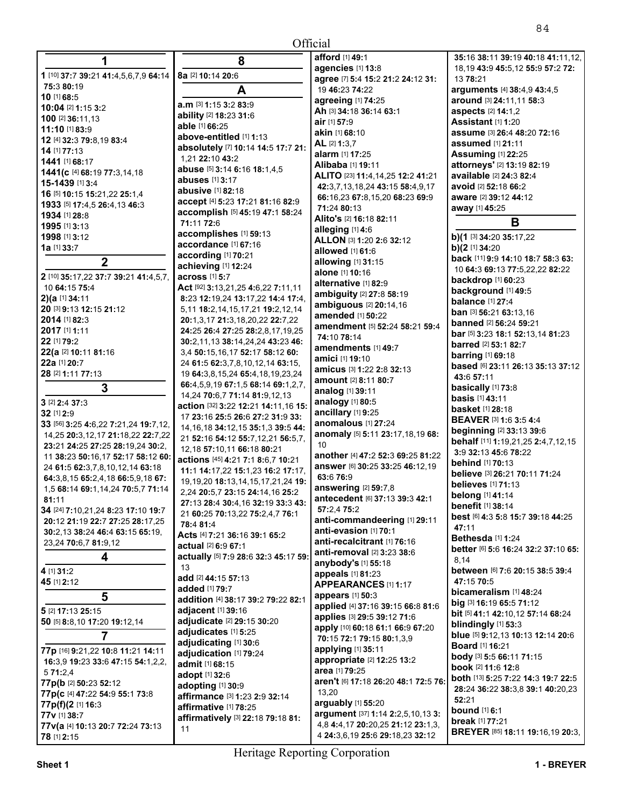# $\triangle^{ff}$ cial

| Official                                                               |                                                                         |                                                   |                                              |
|------------------------------------------------------------------------|-------------------------------------------------------------------------|---------------------------------------------------|----------------------------------------------|
| 1                                                                      | 8                                                                       | afford [1] 49:1                                   | 35:16 38:11 39:19 40:18 41:11,12,            |
|                                                                        |                                                                         | agencies [1] 13:8                                 | 18, 19 43: 9 45: 5, 12 55: 9 57: 2 72:       |
| 1 [10] 37:7 39:21 41:4,5,6,7,9 64:14                                   | 8a [2] 10:14 20:6                                                       | agree [7] 5:4 15:2 21:2 24:12 31:                 | 13 78:21                                     |
| 75:3 80:19                                                             | A                                                                       | 19 46:23 74:22                                    | arguments [4] 38:4,9 43:4,5                  |
| 10 [1] 68:5                                                            | a.m [3] 1:15 3:2 83:9                                                   | agreeing [1] 74:25                                | around [3] 24:11,11 58:3                     |
| 10:04 [2] 1:15 3:2                                                     | ability [2] 18:23 31:6                                                  | Ah [3] 34:18 36:14 63:1                           | <b>aspects</b> [2] <b>14:1,2</b>             |
| 100 [2] 36:11,13                                                       | able [1] 66:25                                                          | air [1] 57:9                                      | Assistant [1] 1:20                           |
| 11:10 [1] 83:9                                                         | above-entitled [1] 1:13                                                 | akin [1] 68:10                                    | assume [3] 26:4 48:20 72:16                  |
| 12 [4] 32:3 79:8,19 83:4<br>14 [1] 77:13                               | absolutely [7] 10:14 14:5 17:7 21:                                      | AL [2] 1:3.7                                      | <b>assumed</b> [1] 21:11                     |
| 1441 [1] 68:17                                                         | 1,21 22:10 43:2                                                         | alarm [1] 17:25                                   | <b>Assuming [1] 22:25</b>                    |
| 1441(c [4] 68:19 77:3,14,18                                            | abuse [5] 3:14 6:16 18:1,4,5                                            | Alibaba [1] 19:11                                 | attorneys' [2] 13:19 82:19                   |
| 15-1439 [1] 3:4                                                        | abuses [1] 3:17                                                         | ALITO [23] 11:4, 14, 25 12: 2 41: 21              | available [2] 24:3 82:4                      |
| 16 [5] 10:15 15:21,22 25:1,4                                           | abusive [1] 82:18                                                       | 42:3,7,13,18,24 43:15 58:4,9,17                   | avoid [2] 52:18 66:2                         |
| 1933 [5] 17:4,5 26:4,13 46:3                                           | accept [4] 5:23 17:21 81:16 82:9                                        | 66:16,23 67:8,15,20 68:23 69:9                    | aware [2] 39:12 44:12                        |
| 1934 [1] 28:8                                                          | accomplish [5] 45:19 47:1 58:24                                         | 71:24 80:13                                       | away [1] 45:25                               |
| 1995 [1] 3:13                                                          | 71:11 72:6                                                              | Alito's [2] 16:18 82:11                           | B                                            |
| 1998 [1] 3:12                                                          | accomplishes [1] 59:13                                                  | alleging [1] 4:6                                  | b)(1 [3] 34:20 35:17,22                      |
| 1a [1] 33:7                                                            | accordance [1] 67:16                                                    | ALLON [3] 1:20 2:6 32:12<br>allowed [1] 61:6      | b) $(2$ [1] 34:20                            |
| $\mathbf{2}$                                                           | according [1] 70:21                                                     | allowing $[1]$ 31:15                              | back [11] 9:9 14:10 18:7 58:3 63:            |
|                                                                        | achieving [1] 12:24                                                     | alone [1] 10:16                                   | 10 64:3 69:13 77:5,22,22 82:22               |
| 2 [10] 35:17,22 37:7 39:21 41:4,5,7,                                   | across [1] 5:7                                                          | alternative [1] 82:9                              | <b>backdrop</b> [1] 60:23                    |
| 10 64:15 75:4                                                          | Act [92] 3:13,21,25 4:6,22 7:11,11                                      | ambiguity [2] 27:8 58:19                          | background [1] 49:5                          |
| $2$ )(a [1] 34:11                                                      | 8:23 12:19,24 13:17,22 14:4 17:4,                                       | ambiguous [2] 20:14,16                            | <b>balance</b> [1] 27:4                      |
| 20 [3] 9:13 12:15 21:12                                                | 5, 11 18:2, 14, 15, 17, 21 19:2, 12, 14                                 | amended [1] 50:22                                 | ban [3] 56:21 63:13,16                       |
| 2014 [1] 82:3                                                          | 20:1,3,17 21:3,18,20,22 22:7,22                                         | amendment [5] 52:24 58:21 59:4                    | <b>banned</b> [2] 56:24 59:21                |
| 2017 [1] 1:11                                                          | 24:25 26:4 27:25 28:2,8,17,19,25                                        | 74:10 78:14                                       | bar [5] 3:23 18:1 52:13,14 81:23             |
| 22 [1] 79:2                                                            | 30:2,11,13 38:14,24,24 43:23 46:                                        | amendments [1] 49:7                               | barred [2] 53:1 82:7                         |
| 22(a [2] 10:11 81:16                                                   | 3,4 50:15,16,17 52:17 58:12 60:                                         | <b>amici</b> [1] <b>19:</b> 10                    | <b>barring</b> [1] 69:18                     |
| 22a [1] 20:7                                                           | 24 61:5 62:3,7,8,10,12,14 63:15,                                        | amicus [3] 1:22 2:8 32:13                         | based [6] 23:11 26:13 35:13 37:12            |
| 28 [2] 1:11 77:13                                                      | 19 64:3,8,15,24 65:4,18,19,23,24                                        | <b>amount</b> [2] <b>8:11 80:7</b>                | 43:6 57:11                                   |
| 3                                                                      | 66:4,5,9,19 67:1,5 68:14 69:1,2,7,                                      | analog [1] 39:11                                  | basically [1] 73:8                           |
| $3$ [2] $2:4$ 37:3                                                     | 14,24 70:6,7 71:14 81:9,12,13                                           | analogy [1] 80:5                                  | <b>basis</b> [1] 43:11                       |
| 32 [1] 2:9                                                             | action [32] 3:22 12:21 14:11,16 15:<br>17 23:16 25:5 26:6 27:2 31:9 33: | ancillary [1] 9:25                                | <b>basket</b> [1] 28:18                      |
| 33 [56] 3:25 4:6,22 7:21,24 19:7,12,                                   | 14, 16, 18 34: 12, 15 35: 1, 3 39: 5 44:                                | anomalous [1] 27:24                               | <b>BEAVER [3] 1:6 3:5 4:4</b>                |
| 14,25 20:3,12,17 21:18,22 22:7,22                                      | 21 52:16 54:12 55:7,12,21 56:5,7,                                       | anomaly [5] 5:11 23:17,18,19 68:                  | <b>beginning [2] 33:13 39:6</b>              |
| 23:21 24:25 27:25 28:19.24 30:2.                                       | 12,18 57:10,11 66:18 80:21                                              | 10                                                | behalf [11] 1:19,21,25 2:4,7,12,15           |
| 11 38:23 50:16,17 52:17 58:12 60:                                      | actions [45] 4:21 7:1 8:6,7 10:21                                       | another [4] 47:2 52:3 69:25 81:22                 | 3:9 32:13 45:6 78:22                         |
| 24 61:5 62:3,7,8,10,12,14 63:18                                        | 11:1 14:17,22 15:1,23 16:2 17:17,                                       | answer [6] 30:25 33:25 46:12,19                   | <b>behind</b> [1] 70:13                      |
| 64:3,8,15 65:2,4,18 66:5,9,18 67:                                      | 19, 19, 20 18: 13, 14, 15, 17, 21, 24 19:                               | 63:6 76:9                                         | believe [3] 26:21 70:11 71:24                |
| 1,5 68:14 69:1,14,24 70:5,7 71:14                                      | 2,24 20:5,7 23:15 24:14,16 25:2                                         | answering [2] 59:7,8                              | <b>believes</b> [1] <b>71:13</b>             |
| 81:11                                                                  | 27:13 28:4 30:4,16 32:19 33:3 43:                                       | antecedent [6] 37:13 39:3 42:1                    | belong [1] 41:14<br><b>benefit</b> [1] 38:14 |
| 34 [24] 7:10,21,24 8:23 17:10 19:7                                     | 21 60:25 70:13,22 75:2,4,7 76:1                                         | 57:2,475:2                                        | best [6] 4:3 5:8 15:7 39:18 44:25            |
| 20:12 21:19 22:7 27:25 28:17,25                                        | 78:4 81:4                                                               | anti-commandeering [1] 29:11                      | 47:11                                        |
| 30:2,13 38:24 46:4 63:15 65:19,                                        | Acts [4] 7:21 36:16 39:1 65:2                                           | anti-evasion [1] 70:1                             | Bethesda [1] 1:24                            |
| 23,24 70:6,7 81:9,12                                                   | actual [2] 6:9 67:1                                                     | anti-recalcitrant [1] 76:16                       | better [6] 5:6 16:24 32:2 37:10 65:          |
| 4                                                                      | actually [5] 7:9 28:6 32:3 45:17 59:                                    | anti-removal [2] 3:23 38:6<br>anybody's [1] 55:18 | 8,14                                         |
| 4 [1] 31:2                                                             | 13                                                                      | appeals [1] 81:23                                 | between [6] 7:6 20:15 38:5 39:4              |
| 45 [1] 2:12                                                            | add [2] 44:15 57:13                                                     | APPEARANCES [1] 1:17                              | 47:15 70:5                                   |
|                                                                        | added [1] 79:7                                                          | appears [1] 50:3                                  | bicameralism [1] 48:24                       |
| 5                                                                      | addition [4] 38:17 39:2 79:22 82:1                                      | applied [4] 37:16 39:15 66:8 81:6                 | big [3] 16:19 65:5 71:12                     |
| 5 [2] 17:13 25:15                                                      | adjacent [1] 39:16                                                      | applies [3] 29:5 39:12 71:6                       | bit [5] 41:1 42:10,12 57:14 68:24            |
| 50 [5] 8:8,10 17:20 19:12,14                                           | adjudicate [2] 29:15 30:20                                              | apply [10] 60:18 61:1 66:9 67:20                  | blindingly [1] 53:3                          |
| $\overline{7}$                                                         | adjudicates [1] 5:25                                                    | 70:15 72:1 79:15 80:1,3,9                         | blue [5] 9:12,13 10:13 12:14 20:6            |
|                                                                        | adjudicating [1] 30:6                                                   | applying [1] 35:11                                | <b>Board</b> [1] 16:21                       |
| 77p [16] 9:21,22 10:8 11:21 14:11<br>16:3,9 19:23 33:6 47:15 54:1,2,2, | adjudication [1] 79:24                                                  | appropriate [2] 12:25 13:2                        | body [3] 5:5 66:11 71:15                     |
| 571:2,4                                                                | admit [1] 68:15                                                         | area [1] 79:25                                    | book [2] 11:6 12:8                           |
| 77p(b [2] 50:23 52:12                                                  | adopt [1] 32:6                                                          | aren't [6] 17:18 26:20 48:1 72:5 76:              | both [13] 5:25 7:22 14:3 19:7 22:5           |
| 77p(c [4] 47:22 54:9 55:1 73:8                                         | adopting [1] 30:9                                                       | 13,20                                             | 28:24 36:22 38:3,8 39:1 40:20,23             |
| 77p(f)(2 [1] 16:3                                                      | affirmance [3] 1:23 2:9 32:14                                           | arguably [1] 55:20                                | 52:21                                        |
| 77v [1] 38:7                                                           | affirmative [1] 78:25                                                   | argument [37] 1:14 2:2,5,10,13 3:                 | <b>bound</b> [1] 6:1                         |
| 77v(a [4] 10:13 20:7 72:24 73:13                                       | affirmatively [3] 22:18 79:18 81:                                       | 4,8 4:4,17 20:20,25 21:12 23:1,3,                 | break [1] 77:21                              |
| 78 [1] 2:15                                                            | 11                                                                      | 4 24:3,6,19 25:6 29:18,23 32:12                   | BREYER [85] 18:11 19:16,19 20:3,             |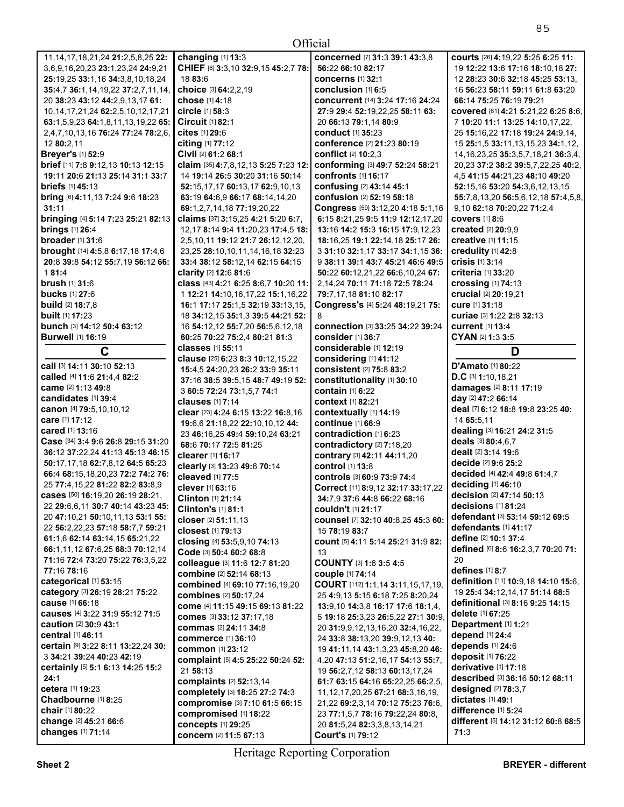| Official                                                       |                                                                      |                                                          |                                              |
|----------------------------------------------------------------|----------------------------------------------------------------------|----------------------------------------------------------|----------------------------------------------|
| 11, 14, 17, 18, 21, 24 21: 2, 5, 8, 25 22:                     | changing [1] 13:3                                                    | concerned [7] 31:3 39:1 43:3,8                           | courts [26] 4:19,22 5:25 6:25 11:            |
| 3,6,9,16,20,23 23:1,23,24 24:9,21                              | CHIEF [8] 3:3,10 32:9,15 45:2,7 78:                                  | 56:22 66:10 82:17                                        | 19 12:22 13:6 17:16 18:10,18 27:             |
| 25:19,25 33:1,16 34:3,8,10,18,24                               | 18 83:6                                                              | <b>concerns</b> [1] 32:1                                 | 12 28:23 30:6 32:18 45:25 53:13,             |
| 35:4,7 36:1,14,19,22 37:2,7,11,14,                             | choice [3] 64:2,2,19                                                 | conclusion $[1]$ 6:5                                     | 16 56:23 58:11 59:11 61:8 63:20              |
| 20 38:23 43:12 44:2,9,13,17 61:                                | <b>chose</b> [1] <b>4:18</b>                                         | <b>concurrent</b> [14] 3:24 17:16 24:24                  | 66:14 75:25 76:19 79:21                      |
| 10, 14, 17, 21, 24 62: 2, 5, 10, 12, 17, 21                    | circle [1] 58:3                                                      | 27:9 29:4 52:19,22,25 58:11 63:                          | covered [81] 4:21 5:21,22 6:25 8:6,          |
| 63:1,5,9,23 64:1,8,11,13,19,22 65:                             | <b>Circuit</b> [1] 82:1                                              | 20 66:13 79:1,14 80:9                                    | 7 10:20 11:1 13:25 14:10,17,22,              |
| 2,4,7,10,13,16 76:24 77:24 78:2,6,                             | cites [1] 29:6                                                       | conduct [1] 35:23                                        | 25 15:16,22 17:18 19:24 24:9,14,             |
| 12 80:2,11                                                     | citing [1] 77:12                                                     | conference [2] 21:23 80:19                               | 15 25:1,5 33:11,13,15,23 34:1,12,            |
| <b>Breyer's [1] 52:9</b>                                       | Civil [2] 61:2 68:1                                                  | conflict [2] 10:2,3                                      | 14, 16, 23, 25 35: 3, 5, 7, 18, 21 36: 3, 4, |
| brief [11] 7:8 9:12,13 10:13 12:15                             | claim [35] 4:7,8,12,13 5:25 7:23 12:                                 | conforming [3] 49:7 52:24 58:21                          | 20,23 37:2 38:2 39:5,7,22,25 40:2,           |
| 19:11 20:6 21:13 25:14 31:1 33:7                               | 14 19:14 26:5 30:20 31:16 50:14                                      | <b>confronts</b> [1] 16:17                               | 4,5 41:15 44:21,23 48:10 49:20               |
| <b>briefs</b> [1] 45:13                                        | 52:15,17,17 60:13,17 62:9,10,13                                      | confusing [2] 43:14 45:1                                 | 52:15,16 53:20 54:3,6,12,13,15               |
| <b>bring</b> [6] 4:11,13 7:24 9:6 18:23                        | 63:19 64:6,9 66:17 68:14,14,20                                       | confusion [2] 52:19 58:18                                | 55:7,8,13,20 56:5,6,12,18 57:4,5,8,          |
| 31:11                                                          | 69:1,2,7,14,18 77:19,20,22                                           | Congress [59] 3:12,20 4:18 5:1,16                        | 9,10 62:18 70:20,22 71:2,4                   |
| bringing [4] 5:14 7:23 25:21 82:13                             | claims [37] 3:15,25 4:21 5:20 6:7,                                   | 6:15 8:21,25 9:5 11:9 12:12,17,20                        | <b>covers</b> [1] 8:6                        |
| <b>brings</b> [1] 26:4                                         | 12, 17 8: 14 9: 4 11: 20, 23 17: 4, 5 18:                            | 13:16 14:2 15:3 16:15 17:9,12,23                         | created $[2]$ 20:9.9                         |
| <b>broader</b> [1] 31:6                                        | 2,5,10,11 19:12 21:7 26:12,12,20,                                    | 18:16,25 19:1 22:14,18 25:17 26:                         | creative [1] 11:15                           |
| brought [14] 4:5,8 6:17,18 17:4,6                              | 23,25 28:10,10,11,14,16,18 32:23                                     | 3 31:10 32:1,17 33:17 34:1,15 36:                        | credulity [1] 42:8                           |
| 20:8 39:8 54:12 55:7,19 56:12 66:                              | 33:4 38:12 58:12,14 62:15 64:15                                      | 9 38:11 39:1 43:7 45:21 46:6 49:5                        | <b>crisis</b> [1] 3:14                       |
| 181:4                                                          | clarity [2] 12:6 81:6                                                | 50:22 60:12,21,22 66:6,10,24 67:                         | criteria [1] 33:20                           |
| <b>brush [1] 31:6</b>                                          | class [43] 4:21 6:25 8:6,7 10:20 11:                                 | 2,14,24 70:11 71:18 72:5 78:24                           | crossing [1] 74:13                           |
| <b>bucks</b> [1] 27:6                                          | 1 12:21 14:10,16,17,22 15:1,16,22                                    | 79:7.17.18 81:10 82:17                                   | crucial [2] 20:19.21                         |
| <b>build</b> [2] 18:7,8                                        | 16:1 17:17 25:1,5 32:19 33:13,15,                                    | Congress's [4] 5:24 48:19,21 75:                         | cure [1] 31:18                               |
| <b>built</b> [1] <b>17:</b> 23                                 | 18 34:12,15 35:1,3 39:5 44:21 52:                                    | 8                                                        | curiae [3] 1:22 2:8 32:13                    |
| bunch [3] 14:12 50:4 63:12                                     | 16 54:12,12 55:7,20 56:5,6,12,18                                     | <b>connection</b> [3] 33:25 34:22 39:24                  | <b>current</b> [1] 13:4                      |
| <b>Burwell</b> [1] 16:19                                       | 60:25 70:22 75:2,4 80:21 81:3                                        | consider [1] 36:7                                        | CYAN [2] 1:3 3:5                             |
| C                                                              | classes [1] 55:11                                                    | considerable [1] 12:19                                   | D                                            |
| Call [3] 14:11 30:10 52:13                                     | clause [25] 6:23 8:3 10:12,15,22                                     | considering [1] 41:12<br><b>consistent</b> [2] 75:8 83:2 | D'Amato [1] 80:22                            |
| called [4] 11:6 21:4,4 82:2                                    | 15:4,5 24:20,23 26:2 33:9 35:11<br>37:16 38:5 39:5,15 48:7 49:19 52: | constitutionality [1] 30:10                              | D.C [3] 1:10,18,21                           |
| came [2] 1:13 49:8                                             | 3 60:5 72:24 73:1,5,7 74:1                                           | contain [1] 6:22                                         | damages [2] 8:11 17:19                       |
| candidates [1] 39:4                                            | <b>clauses</b> [1] 7:14                                              | <b>context</b> [1] 82:21                                 | day [2] 47:2 66:14                           |
| canon [4] 79:5,10,10,12                                        | clear [23] 4:24 6:15 13:22 16:8,16                                   | contextually [1] 14:19                                   | deal [7] 6:12 18:8 19:8 23:25 40:            |
| care [1] 17:12                                                 | 19:6,6 21:18,22 22:10,10,12 44:                                      | continue [1] 66:9                                        | 14 65:5,11                                   |
| <b>cared</b> [1] <b>13:16</b>                                  | 23 46:16,25 49:4 59:10,24 63:21                                      | contradiction [1] 6:23                                   | dealing [3] 16:21 24:2 31:5                  |
| Case [34] 3:4 9:6 26:8 29:15 31:20                             | 68:6 70:17 72:5 81:25                                                | contradictory [2] 7:18,20                                | deals [3] 80:4,6,7                           |
| 36:12 37:22,24 41:13 45:13 46:15                               | clearer [1] 16:17                                                    | contrary [3] 42:11 44:11,20                              | dealt [2] 3:14 19:6                          |
| 50:17,17,18 62:7,8,12 64:5 65:23                               | clearly [3] 13:23 49:6 70:14                                         | control [1] 13:8                                         | decide [2] 9:6 25:2                          |
| 66:4 68:15,18,20,23 72:2 74:2 76:                              | cleaved [1] 77:5                                                     | controls [3] 60:9 73:9 74:4                              | decided [4] 42:4 49:8 61:4,7                 |
| 25 77:4, 15, 22 81: 22 82: 2 83: 8, 9                          | <b>clever</b> [1] 63:16                                              | Correct [11] 8:9,12 32:17 33:17,22                       | deciding [1] 46:10                           |
| cases [50] 16:19,20 26:19 28:21,                               | <b>Clinton</b> $[1]$ 21:14                                           | 34:7.9 37:6 44:8 66:22 68:16                             | decision [2] 47:14 50:13                     |
| 22 29:6,6,11 30:7 40:14 43:23 45:                              | Clinton's [1] 81:1                                                   | couldn't [1] 21:17                                       | decisions [1] 81:24                          |
| 20 47:10,21 50:10,11,13 53:1 55:                               | closer [2] 51:11,13                                                  | counsel [7] 32:10 40:8,25 45:3 60:                       | defendant [3] 53:14 59:12 69:5               |
| 22 56:2,22,23 57:18 58:7,7 59:21                               | <b>closest</b> [1] <b>79:13</b>                                      | 15 78:19 83:7                                            | defendants [1] 41:17                         |
| 61:1,6 62:14 63:14,15 65:21,22                                 | closing [4] 53:5,9,10 74:13                                          | count [5] 4:11 5:14 25:21 31:9 82:                       | define [2] 10:1 37:4                         |
| 66:1.11.12 67:6.25 68:3 70:12.14                               | Code [3] 50:4 60:2 68:8                                              | 13                                                       | defined [6] 8:6 16:2,3,7 70:20 71:           |
| 71:16 72:4 73:20 75:22 76:3,5,22                               | colleague [3] 11:6 12:7 81:20                                        | COUNTY [3] 1:6 3:5 4:5                                   | 20                                           |
| 77:16 78:16                                                    | combine [2] 52:14 68:13                                              | <b>couple [1] 74:14</b>                                  | defines [1] 8:7                              |
| categorical [1] 53:15                                          | combined [4] 69:10 77:16,19,20                                       | COURT [112] 1:1,14 3:11,15,17,19,                        | definition [11] 10:9,18 14:10 15:6,          |
| category [3] 26:19 28:21 75:22                                 | combines [2] 50:17,24                                                | 25 4:9,13 5:15 6:18 7:25 8:20,24                         | 19 25:4 34:12,14,17 51:14 68:5               |
| cause [1] 66:18                                                | come [4] 11:15 49:15 69:13 81:22                                     | 13:9,10 14:3,8 16:17 17:6 18:1,4,                        | definitional [3] 8:16 9:25 14:15             |
| causes [4] 3:22 31:9 55:12 71:5                                | comes [3] 33:12 37:17,18                                             | 5 19:18 25:3,23 26:5,22 27:1 30:9,                       | delete [1] 67:25<br>Department [1] 1:21      |
| <b>caution</b> [2] <b>30:</b> 9 43:1                           | commas [2] 24:11 34:8                                                | 20 31:9,9,12,13,16,20 32:4,16,22,                        |                                              |
| <b>central</b> [1] 46:11<br>certain [9] 3:22 8:11 13:22,24 30: | <b>commerce</b> [1] 36:10                                            | 24 33:8 38:13,20 39:9,12,13 40:                          | depend [1] 24:4<br>depends [1] 24:6          |
| 3 34:21 39:24 40:23 42:19                                      | <b>common</b> [1] 23:12                                              | 19 41:11,14 43:1,3,23 45:8,20 46:                        | deposit [1] 76:22                            |
| certainly [5] 5:1 6:13 14:25 15:2                              | complaint [5] 4:5 25:22 50:24 52:                                    | 4,20 47:13 51:2,16,17 54:13 55:7,                        | derivative [1] 17:18                         |
| 24:1                                                           | 21 58:13                                                             | 19 56:2,7,12 58:13 60:13,17,24                           | described [3] 36:16 50:12 68:11              |
| cetera [1] 19:23                                               | complaints [2] 52:13,14                                              | 61:7 63:15 64:16 65:22,25 66:2,5,                        | designed [2] 78:3,7                          |
| Chadbourne [1] 8:25                                            | completely [3] 18:25 27:2 74:3                                       | 11, 12, 17, 20, 25 67: 21 68: 3, 16, 19,                 | dictates [1] 49:1                            |
| chair [1] 80:22                                                | compromise [3] 7:10 61:5 66:15                                       | 21,22 69:2,3,14 70:12 75:23 76:6,                        | difference [1] 5:24                          |
| change [2] 45:21 66:6                                          | compromised [1] 18:22                                                | 23 77:1,5,7 78:16 79:22,24 80:8,                         | different [5] 14:12 31:12 60:8 68:5          |
|                                                                | concepts [1] 29:25                                                   | 20 81:5,24 82:3,3,8,13,14,21                             |                                              |
| changes [1] 71:14                                              | concern [2] 11:5 67:13                                               | Court's [1] 79:12                                        | 71:3                                         |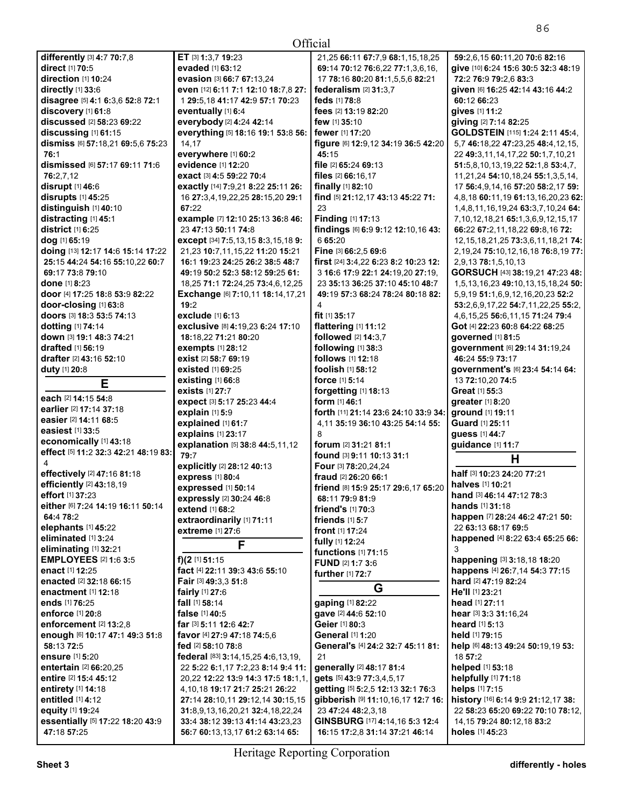| Official                             |                                             |                                      |                                              |
|--------------------------------------|---------------------------------------------|--------------------------------------|----------------------------------------------|
| differently [3] 4:7 70:7,8           | ET [3] 1:3,7 19:23                          | 21,25 66:11 67:7,9 68:1,15,18,25     | 59:2,6,15 60:11,20 70:6 82:16                |
| direct [1] 70:5                      | evaded [1] 63:12                            | 69:14 70:12 76:6.22 77:1.3.6.16.     | give [10] 6:24 15:6 30:5 32:3 48:19          |
| direction [1] 10:24                  | evasion [3] 66:7 67:13.24                   | 17 78:16 80:20 81:1,5,5,6 82:21      | 72:2 76:9 79:2,6 83:3                        |
| directly [1] 33:6                    | even [12] 6:11 7:1 12:10 18:7,8 27:         | federalism [2] 31:3.7                | given [6] 16:25 42:14 43:16 44:2             |
| disagree [5] 4:1 6:3,6 52:8 72:1     | 1 29:5, 18 41:17 42:9 57:1 70:23            | feds [1] 78:8                        | 60:12 66:23                                  |
| discovery [1] 61:8                   | eventually [1] 6:4                          | fees [2] 13:19 82:20                 | gives [1] 11:2                               |
| discussed [2] 58:23 69:22            | everybody [2] 4:24 42:14                    | few [1] 35:10                        | giving [2] 7:14 82:25                        |
| discussing [1] 61:15                 | everything [5] 18:16 19:1 53:8 56:          | fewer [1] 17:20                      | GOLDSTEIN [115] 1:24 2:11 45:4,              |
| dismiss [6] 57:18,21 69:5,6 75:23    | 14,17                                       | figure [6] 12:9,12 34:19 36:5 42:20  | 5,7 46:18,22 47:23,25 48:4,12,15,            |
| 76:1                                 | everywhere [1] 60:2                         | 45:15                                | 22 49:3,11,14,17,22 50:1,7,10,21             |
| dismissed [6] 57:17 69:11 71:6       | evidence [1] 12:20                          | file [2] 65:24 69:13                 | 51:5,8,10,13,19,22 52:1,8 53:4,7,            |
| 76:2.7.12                            | exact [3] 4:5 59:22 70:4                    | files [2] 66:16,17                   | 11,21,24 54:10,18,24 55:1,3,5,14,            |
| disrupt [1] 46:6                     | exactly [14] 7:9,21 8:22 25:11 26:          | finally [1] 82:10                    | 17 56:4,9,14,16 57:20 58:2,17 59:            |
| disrupts [1] 45:25                   | 16 27:3,4,19,22,25 28:15,20 29:1            | find [5] 21:12,17 43:13 45:22 71:    | 4,8,18 60:11,19 61:13,16,20,23 62:           |
| distinguish [1] 40:10                | 67:22                                       | 23                                   | 1,4,8,11,16,19,24 63:3,7,10,24 64:           |
| distracting [1] 45:1                 | example [7] 12:10 25:13 36:8 46:            | <b>Finding [1] 17:13</b>             | 7, 10, 12, 18, 21 65: 1, 3, 6, 9, 12, 15, 17 |
| district [1] 6:25                    | 23 47:13 50:11 74:8                         | findings [6] 6:9 9:12 12:10,16 43:   | 66:22 67:2,11,18,22 69:8,16 72:              |
| dog [1] 65:19                        | except [34] 7:5,13,15 8:3,15,18 9:          | 665:20                               | 12, 15, 18, 21, 25 73: 3, 6, 11, 18, 21 74:  |
| doing [13] 12:17 14:6 15:14 17:22    | 21,23 10:7,11,15,22 11:20 15:21             | Fine [3] 66:2,5 69:6                 | 2, 19, 24 75: 10, 12, 16, 18 76: 8, 19 77:   |
| 25:15 44:24 54:16 55:10,22 60:7      | 16:1 19:23 24:25 26:2 38:5 48:7             | first [24] 3:4,22 6:23 8:2 10:23 12: | 2,9,13 78:1,5,10,13                          |
| 69:17 73:8 79:10                     | 49:19 50:2 52:3 58:12 59:25 61:             | 3 16:6 17:9 22:1 24:19,20 27:19,     | GORSUCH [43] 38:19,21 47:23 48:              |
| <b>done</b> [1] 8:23                 | 18,25 71:1 72:24,25 73:4,6,12,25            | 23 35:13 36:25 37:10 45:10 48:7      | 1,5,13,16,23 49:10,13,15,18,24 50:           |
| door [4] 17:25 18:8 53:9 82:22       | Exchange [6] 7:10,11 18:14,17,21            | 49:19 57:3 68:24 78:24 80:18 82:     | 5,9,19 51:1,6,9,12,16,20,23 52:2             |
| door-closing [1] 63:8                | 19:2                                        | 4                                    | 53:2,6,9,17,22 54:7,11,22,25 55:2,           |
| doors [3] 18:3 53:5 74:13            | exclude [1] 6:13                            | fit [1] 35:17                        | 4, 6, 15, 25 56: 6, 11, 15 71: 24 79: 4      |
| dotting [1] 74:14                    | exclusive [8] 4:19,23 6:24 17:10            | flattering [1] 11:12                 | Got [4] 22:23 60:8 64:22 68:25               |
| down [3] 19:1 48:3 74:21             | 18:18,22 71:21 80:20                        | followed [2] 14:3,7                  | governed [1] 81:5                            |
| drafted [1] 56:19                    | exempts [1] 28:12                           | following [1] 38:3                   | government [6] 29:14 31:19,24                |
| drafter [2] 43:16 52:10              | exist [2] 58:7 69:19                        | follows [1] 12:18                    | 46:24 55:9 73:17                             |
| duty [1] 20:8                        | existed [1] 69:25                           | foolish [1] 58:12                    | government's [6] 23:4 54:14 64:              |
| Е                                    | <b>existing</b> [1] 66:8                    | force [1] 5:14                       | 13 72:10,20 74:5                             |
| each [2] 14:15 54:8                  | <b>exists</b> [1] 27:7                      | forgetting [1] 18:13                 | <b>Great</b> [1] <b>55:3</b>                 |
| earlier [2] 17:14 37:18              | expect [3] 5:17 25:23 44:4                  | <b>form</b> [1] 46:1                 | greater $[1]$ 8:20                           |
| easier [2] 14:11 68:5                | explain [1] 5:9                             | forth [11] 21:14 23:6 24:10 33:9 34: | ground [1] 19:11                             |
| easiest [1] 33:5                     | explained [1] 61:7                          | 4,11 35:19 36:10 43:25 54:14 55:     | Guard [1] 25:11                              |
| economically [1] 43:18               | explains [1] 23:17                          | 8                                    | guess [1] 44:7                               |
| effect [5] 11:2 32:3 42:21 48:19 83: | explanation [5] 38:8 44:5,11,12             | forum [2] 31:21 81:1                 | guidance [1] 11:7                            |
| 4                                    | 79:7                                        | found [3] 9:11 10:13 31:1            | Н                                            |
| effectively [2] 47:16 81:18          | explicitly [2] 28:12 40:13                  | Four [3] 78:20,24,24                 | half [3] 10:23 24:20 77:21                   |
| efficiently [2] 43:18,19             | express [1] 80:4                            | fraud [2] 26:20 66:1                 | <b>halves</b> [1] 10:21                      |
| effort [1] 37:23                     | expressed [1] 50:14                         | friend [8] 15:9 25:17 29:6,17 65:20  | hand [3] 46:14 47:12 78:3                    |
| either [6] 7:24 14:19 16:11 50:14    | expressly [2] 30:24 46:8<br>extend [1] 68:2 | 68:11 79:9 81:9<br>friend's [1] 70:3 | hands [1] 31:18                              |
| 64:4 78:2                            | extraordinarily [1] 71:11                   | friends [1] 5:7                      | happen [7] 28:24 46:2 47:21 50:              |
| elephants [1] 45:22                  | extreme [1] 27:6                            | <b>front</b> $[1]$ 17:24             | 22 63:13 68:17 69:5                          |
| eliminated [1] 3:24                  |                                             | fully [1] 12:24                      | happened [4] 8:22 63:4 65:25 66:             |
| eliminating [1] 32:21                | F                                           | functions [1] 71:15                  | 3                                            |
| <b>EMPLOYEES [2] 1:6 3:5</b>         | f) $(2$ [1] 51:15                           | FUND [2] 1:7 3:6                     | happening [3] 3:18,18 18:20                  |
| enact [1] 12:25                      | fact [4] 22:11 39:3 43:6 55:10              | further [1] 72:7                     | happens [4] 26:7,14 54:3 77:15               |
| enacted [2] 32:18 66:15              | Fair [3] 49:3,3 51:8                        |                                      | hard [2] 47:19 82:24                         |
| <b>enactment</b> [1] <b>12:18</b>    | fairly [1] 27:6                             | G                                    | He'll [1] 23:21                              |
| ends [1] 76:25                       | fall [1] 58:14                              | gaping [1] 82:22                     | head [1] 27:11                               |
| enforce [1] 20:8                     | false [1] 40:5                              | gave [2] 44:6 52:10                  | hear [3] 3:3 31:16,24                        |
| enforcement [2] 13:2,8               | far [3] 5:11 12:6 42:7                      | Geier [1] 80:3                       | heard [1] 5:13                               |
| enough [6] 10:17 47:1 49:3 51:8      | favor [4] 27:9 47:18 74:5,6                 | General [1] 1:20                     | held [1] 79:15                               |
| 58:13 72:5                           | fed [2] 58:10 78:8                          | General's [4] 24:2 32:7 45:11 81:    | help [6] 48:13 49:24 50:19,19 53:            |
| ensure [1] 5:20                      | federal [83] 3:14, 15, 25 4:6, 13, 19,      | 21                                   | 18 57:2                                      |
| entertain [2] 66:20,25               | 22 5:22 6:1,17 7:2,23 8:14 9:4 11:          | generally [2] 48:17 81:4             | helped [1] 53:18                             |
| entire [2] 15:4 45:12                | 20,22 12:22 13:9 14:3 17:5 18:1,1,          | gets [5] 43:9 77:3,4,5,17            | helpfully [1] 71:18                          |
| entirety [1] 14:18                   | 4, 10, 18 19: 17 21: 7 25: 21 26: 22        | getting [5] 5:2,5 12:13 32:1 76:3    | helps [1] 7:15                               |
| entitled [1] 4:12                    | 27:14 28:10,11 29:12,14 30:15,15            | gibberish [9] 11:10,16,17 12:7 16:   | history [16] 6:14 9:9 21:12,17 38:           |
| equity [1] 19:24                     | 31:8,9,13,16,20,21 32:4,18,22,24            | 23 47:24 48:2,3,18                   | 22 58:23 65:20 69:22 70:10 78:12,            |
| essentially [5] 17:22 18:20 43:9     | 33:4 38:12 39:13 41:14 43:23,23             | GINSBURG [17] 4:14,16 5:3 12:4       | 14, 15 79: 24 80: 12, 18 83: 2               |
| 47:18 57:25                          | 56:7 60:13,13,17 61:2 63:14 65:             | 16:15 17:2,8 31:14 37:21 46:14       | holes [1] 45:23                              |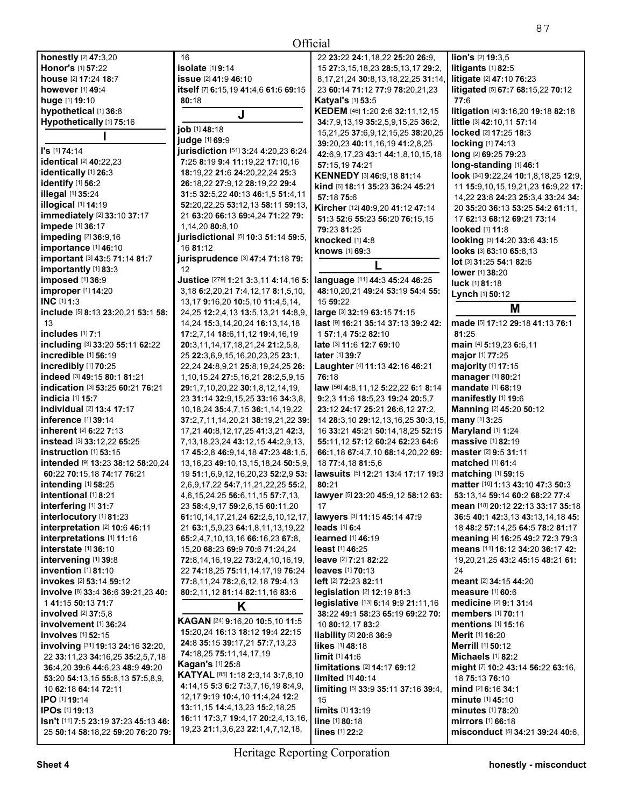16

**All Contracts** 

**honestly** [2] **47:**3,20 **Honor's** [1] **57:**22 **house** [2] **17:**24 **18:**7 **however** [1] **49:**4 **huge** [1] **19:**10 **hypothetical** [1] **36:**8 **Hypothetically** [1] **75:**16 **I I's** [1] **74:**14 **identical** [2] **40:**22,23 **identically** [1] **26:**3 **identify** [1] **56:**2 **illegal** [1] **35:**24 **illogical** [1] **14:**19 **immediately** [2] **33:**10 **37:**17 **impede** [1] **36:**17 **impeding** [2] **36:**9,16 **importance** [1] **46:**10 **important** [3] **43:**5 **71:**14 **81:**7 **importantly** [1] **83:**3 **imposed** [1] **36:**9 **improper** [1] **14:**20 **INC** [1] **1:**3 **include** [5] **8:**13 **23:**20,21 **53:**1 **58:**  13 **includes** [1] **7:**1 **including** [3] **33:**20 **55:**11 **62:**22 **incredible** [1] **56:**19 **incredibly** [1] **70:**25 **indeed** [3] **49:**15 **80:**1 **81:**21 **indication** [3] **53:**25 **60:**21 **76:**21 **indicia** [1] **15:**7 **individual** [2] **13:**4 **17:**17 **inference** [1] **39:**14 **inherent** [2] **6:**22 **7:**13 **instead** [3] **33:**12,22 **65:**25 **instruction** [1] **53:**15 **intended** [9] **13:**23 **38:**12 **58:**20,24 **60:**22 **70:**15,18 **74:**17 **76:**21 **intending** [1] **58:**25 **intentional** [1] **8:**21 **interfering** [1] **31:**7 **interlocutory** [1] **81:**23 **interpretation** [2] **10:**6 **46:**11 **interpretations** [1] **11:**16 **interstate** [1] **36:**10 **intervening** [1] **39:**8 **invention** [1] **81:**10 **invokes** [2] **53:**14 **59:**12 **involve** [8] **33:**4 **36:**6 **39:**21,23 **40:**  1 **41:**15 **50:**13 **71:**7 **involved** [2] **37:**5,8 **involvement** [1] **36:**24 **involves** [1] **52:**15 **involving** [31] **19:**13 **24:**16 **32:**20, 22 **33:**11,23 **34:**16,25 **35:**2,5,7,18 **36:**4,20 **39:**6 **44:**6,23 **48:**9 **49:**20 **53:**20 **54:**13,15 **55:**8,13 **57:**5,8,9, 10 **62:**18 **64:**14 **72:**11 **IPO** [1] **19:**14 **IPOs** [1] **19:**13 **Isn't** [11] **7:**5 **23:**19 **37:**23 **45:**13 **46:**  25 **50:**14 **58:**18,22 **59:**20 **76:**20 **79: judge** [1] **69:**9

| 16                                                                                   | 22 23:22 24:1,18,22 25                     |
|--------------------------------------------------------------------------------------|--------------------------------------------|
| isolate [1] 9:14                                                                     | 15 27:3,15,18,23 28:5,                     |
| <b>issue</b> [2] 41:9 46:10                                                          | 8,17,21,24 30:8,13,18,2                    |
| itself [7] 6:15,19 41:4,6 61:6 69:15                                                 | 23 60:14 71:12 77:9 78                     |
| 80:18                                                                                | <b>Katyal's [1] 53:5</b>                   |
| J                                                                                    | KEDEM [46] 1:20 2:6 32                     |
|                                                                                      | 34:7,9,13,19 35:2,5,9,1                    |
| job [1] 48:18                                                                        | 15,21,25 37:6,9,12,15,2                    |
| judge [1] 69:9                                                                       | 39:20,23 40:11,16,19 4                     |
| jurisdiction [51] 3:24 4:20,23 6:24                                                  | 42:6,9,17,23 43:1 44:1,                    |
| 7:25 8:19 9:4 11:19,22 17:10,16                                                      | 57:15.19 74:21                             |
| 18:19,22 21:6 24:20,22,24 25:3                                                       | <b>KENNEDY</b> [3] <b>46:9,18 8</b>        |
| 26:18,22 27:9,12 28:19,22 29:4                                                       | kind [6] 18:11 35:23 36:                   |
| 31:5 32:5,22 40:13 46:1,5 51:4,11                                                    | 57:18 75:6                                 |
| 52:20,22,25 53:12,13 58:11 59:13,                                                    | Kircher [12] 40:9,20 41:                   |
| 21 63:20 66:13 69:4,24 71:22 79:                                                     | 51:3 52:6 55:23 56:20                      |
| 1,14,20 80:8,10<br>jurisdictional [5] 10:3 51:14 59:5,                               | 79:23 81:25                                |
|                                                                                      | knocked [1] 4:8                            |
| 16 81:12                                                                             | <b>knows</b> [1] <b>69:</b> 3              |
| jurisprudence [3] 47:4 71:18 79:                                                     | L                                          |
| 12                                                                                   |                                            |
| Justice [279] 1:21 3:3,11 4:14,16 5:<br>3, 18 6: 2, 20, 21 7: 4, 12, 17 8: 1, 5, 10, | language [11] 44:3 45:2                    |
|                                                                                      | 48:10,20,21 49:24 53:1                     |
| 13, 17 9: 16, 20 10: 5, 10 11: 4, 5, 14,                                             | 15 59:22                                   |
| 24,25 12:2,4,13 13:5,13,21 14:8,9,                                                   | large [3] 32:19 63:15 71                   |
| 14,24 15:3,14,20,24 16:13,14,18                                                      | last [9] 16:21 35:14 37:                   |
| 17:2,7,14 18:6,11,12 19:4,16,19                                                      | 1 57:1,4 75:2 82:10                        |
| 20:3,11,14,17,18,21,24 21:2,5,8,<br>25 22:3,6,9,15,16,20,23,25 23:1,                 | late [3] 11:6 12:7 69:10<br>later [1] 39:7 |
| 22,24 24:8,9,21 25:8,19,24,25 26:                                                    | Laughter [4] 11:13 42:                     |
| 1,10,15,24 27:5,16,21 28:2,5,9,15                                                    | 76:18                                      |
| 29:1,7,10,20,22 30:1,8,12,14,19,                                                     | law [56] 4:8,11,12 5:22,2                  |
| 23 31:14 32:9,15,25 33:16 34:3,8,                                                    | 9:2,3 11:6 18:5,23 19:2                    |
| 10, 18, 24 35: 4, 7, 15 36: 1, 14, 19, 22                                            | 23:12 24:17 25:21 26:6                     |
| 37:2,7,11,14,20,21 38:19,21,22 39:                                                   | 14 28:3,10 29:12,13,16                     |
| 17,21 40:8,12,17,25 41:3,21 42:3,                                                    | 16 33:21 45:21 50:14,1                     |
| 7, 13, 18, 23, 24 43: 12, 15 44: 2, 9, 13,                                           | 55:11,12 57:12 60:24 6                     |
| 17 45:2,8 46:9,14,18 47:23 48:1,5,                                                   | 66:1,18 67:4,7,10 68:14                    |
| 13, 16, 23 49: 10, 13, 15, 18, 24 50: 5, 9,                                          | 18 77:4.18 81:5.6                          |
| 19 51:1,6,9,12,16,20,23 52:2,9 53:                                                   | lawsuits [5] 12:21 13:4                    |
| 2,6,9,17,22 54:7,11,21,22,25 55:2,                                                   | 80:21                                      |
| 4,6,15,24,25 56:6,11,15 57:7,13,                                                     | lawyer [5] 23:20 45:9,12                   |
| 23 58:4,9,17 59:2,6,15 60:11,20                                                      | 17                                         |
| 61:10,14,17,21,24 62:2,5,10,12,17,                                                   | lawyers [3] 11:15 45:14                    |
| 21 63:1,5,9,23 64:1,8,11,13,19,22                                                    | leads $[1]$ 6:4                            |
| 65:2,4,7,10,13,16 66:16,23 67:8,                                                     | <b>learned</b> [1] 46:19                   |
| 15,20 68:23 69:9 70:6 71:24,24                                                       | least [1] 46:25                            |
| 72:8,14,16,19,22 73:2,4,10,16,19,                                                    | <b>leave</b> [2] 7:21 82:22                |
| 22 74:18,25 75:11,14,17,19 76:24                                                     | <b>leaves</b> [1] <b>70:13</b>             |
| 77:8,11,24 78:2,6,12,18 79:4,13                                                      | left [2] 72:23 82:11                       |
| 80:2,11,12 81:14 82:11,16 83:6                                                       | legislation [2] 12:19 81                   |
| Κ                                                                                    | legislative [13] 6:14 9:9                  |
|                                                                                      | 38:22 49:1 58:23 65:19                     |
| <b>KAGAN [24] 9:16,20 10:5,10 11:5</b>                                               | 10 80:12,17 83:2                           |
| 15:20.24 16:13 18:12 19:4 22:15                                                      | <b>liability</b> [2] 20:8 36:9             |
| 24:8 35:15 39:17,21 57:7,13,23                                                       | likes [1] 48:18                            |
| 74:18,25 75:11,14,17,19                                                              | limit [1] 41:6                             |
| <b>Kagan's [1] 25:8</b>                                                              | limitations [2] 14:17 69                   |
| <b>KATYAL</b> [85] 1:18 2:3,14 3:7,8,10                                              | limited [1] 40:14                          |
| 4:14,15 5:3 6:2 7:3,7,16,19 8:4,9,                                                   | limiting [5] 33:9 35:11 3                  |
| 12, 17 9: 19 10: 4, 10 11: 4, 24 12: 2                                               | 15                                         |
| 13:11,15 14:4,13,23 15:2,18,25                                                       | limits [1] 13:19                           |
| 16:11 17:3,7 19:4,17 20:2,4,13,16,                                                   | line [1] 80:18                             |
| 19,23 21:1,3,6,23 22:1,4,7,12,18,                                                    | lines [1] 22:2                             |

22 **23:**22 **24:**1,18,22 **25:**20 **26:**9, 15 **27:**3,15,18,23 **28:**5,13,17 **29:**2, 8,17,21,24 **30:**8,13,18,22,25 **31:**14, 23 **60:**14 **71:**12 **77:**9 **78:**20,21,23 **KEDEM** [46] **1:**20 **2:**6 **32:**11,12,15 **34:**7,9,13,19 **35:**2,5,9,15,25 **36:**2, 15,21,25 **37:**6,9,12,15,25 **38:**20,25 **39:**20,23 **40:**11,16,19 **41:**2,8,25 **42:**6,9,17,23 **43:**1 **44:**1,8,10,15,18 **KENNEDY** [3] **46:**9,18 **81:**14 **kind** [6] **18:**11 **35:**23 **36:**24 **45:**21 **Kircher** [12] **40:**9,20 **41:**12 **47:**14 **51:**3 **52:**6 **55:**23 **56:**20 **76:**15,15 **language** [11] **44:**3 **45:**24 **46:**25 **48:**10,20,21 **49:**24 **53:**19 **54:**4 **55: large** [3] **32:**19 **63:**15 **71:**15 **last** [9] **16:**21 **35:**14 **37:**13 **39:**2 **42: Laughter** [4] **11:**13 **42:**16 **46:**21 **law** [56] **4:**8,11,12 **5:**22,22 **6:**1 **8:**14 **9:**2,3 **11:**6 **18:**5,23 **19:**24 **20:**5,7 **23:**12 **24:**17 **25:**21 **26:**6,12 **27:**2, 14 **28:**3,10 **29:**12,13,16,25 **30:**3,15, 16 **33:**21 **45:**21 **50:**14,18,25 **52:**15 **55:**11,12 **57:**12 **60:**24 **62:**23 **64:**6 **66:**1,18 **67:**4,7,10 **68:**14,20,22 **69: lawsuits** [5] **12:**21 **13:**4 **17:**17 **19:**3 **lawyer** [5] **23:**20 **45:**9,12 **58:**12 **63: lawyers** [3] **11:**15 **45:**14 **47:**9 **legislation** [2] **12:**19 **81:**3 **legislative** [13] **6:**14 **9:**9 **21:**11,16 **38:**22 **49:**1 **58:**23 **65:**19 **69:**22 **70: limitations** [2] **14:**17 **69:**12 **limiting** [5] **33:**9 **35:**11 **37:**16 **39:**4, **lion's** [2] **19:**3,5 **litigants** [1] **82:**5 **litigate** [2] **47:**10 **76:**23 **litigated** [5] **67:**7 **68:**15,22 **70:**12 **77:**6 **litigation** [4] **3:**16,20 **19:**18 **82:**18 **little** [3] **42:**10,11 **57:**14 **locked** [2] **17:**25 **18:**3 **locking** [1] **74:**13 **long** [2] **69:**25 **79:**23 **long-standing** [1] **46:**1 **look** [34] **9:**22,24 **10:**1,8,18,25 **12:**9, 11 **15:**9,10,15,19,21,23 **16:**9,22 **17:**  14,22 **23:**8 **24:**23 **25:**3,4 **33:**24 **34:**  20 **35:**20 **36:**13 **53:**25 **54:**2 **61:**11, 17 **62:**13 **68:**12 **69:**21 **73:**14 **looked** [1] **11:**8 **looking** [3] **14:**20 **33:**6 **43:**15 **looks** [3] **63:**10 **65:**8,13 **lot** [3] **31:**25 **54:**1 **82:**6 **lower** [1] **38:**20 **luck** [1] **81:**18 **Lynch** [1] **50:**12 **M made** [5] **17:**12 **29:**18 **41:**13 **76:**1 **81:**25 **main** [4] **5:**19,23 **6:**6,11 **major** [1] **77:**25 **majority** [1] **17:**15 **manager** [1] **80:**21 **mandate** [1] **68:**19 **manifestly** [1] **19:**6 **Manning** [2] **45:**20 **50:**12 **many** [1] **3:**25 **Maryland** [1] **1:**24 **massive** [1] **82:**19 **master** [2] **9:**5 **31:**11 **matched** [1] **61:**4 **matching** [1] **59:**15 **matter** [10] **1:**13 **43:**10 **47:**3 **50:**3 **53:**13,14 **59:**14 **60:**2 **68:**22 **77:**4 **mean** [18] **20:**12 **22:**13 **33:**17 **35:**18 **36:**5 **40:**1 **42:**3,13 **43:**13,14,18 **45:**  18 **48:**2 **57:**14,25 **64:**5 **78:**2 **81:**17 **meaning** [4] **16:**25 **49:**2 **72:**3 **79:**3 **means** [11] **16:**12 **34:**20 **36:**17 **42:**  19,20,21,25 **43:**2 **45:**15 **48:**21 **61:**  24 **meant** [2] **34:**15 **44:**20 **measure** [1] **60:**6 **medicine** [2] **9:**1 **31:**4 **members** [1] **70:**11 **mentions** [1] **15:**16 **Merit** [1] **16:**20 **Merrill** [1] **50:**12 **Michaels** [1] **82:**2 **might** [7] **10:**2 **43:**14 **56:**22 **63:**16, 18 **75:**13 **76:**10 **mind** [2] **6:**16 **34:**1 **minute** [1] **45:**10 **minutes** [1] **78:**20 **mirrors** [1] **66:**18 **misconduct** [5] **34:**21 **39:**24 **40:**6,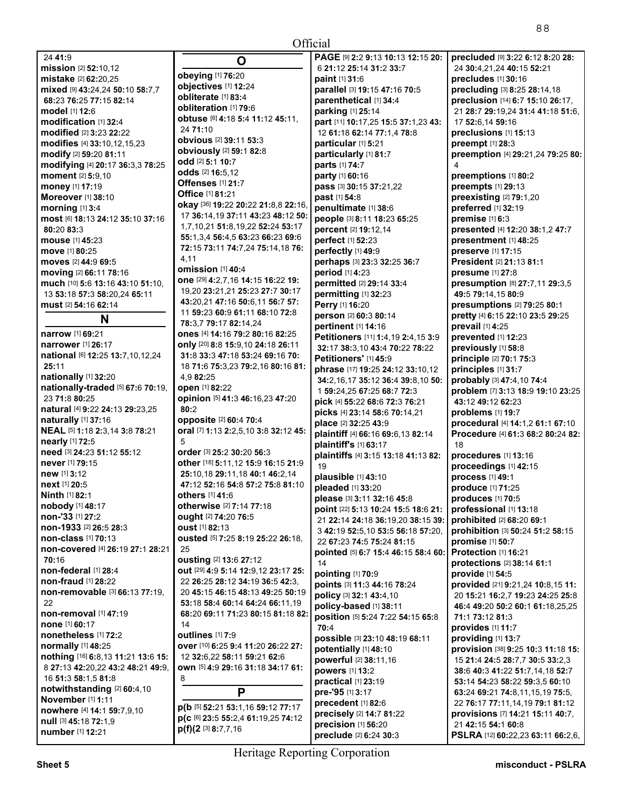| 24 41:9                                     | O                                                   | PAGE [9] 2:2 9:13 10:13 12:15 20:                      | precluded [9] 3:22 6:12 8:20 28:                                     |
|---------------------------------------------|-----------------------------------------------------|--------------------------------------------------------|----------------------------------------------------------------------|
| mission [2] 52:10,12                        |                                                     | 6 21:12 25:14 31:2 33:7                                | 24 30:4,21,24 40:15 52:21                                            |
| mistake [2] 62:20,25                        | obeying [1] 76:20                                   | paint [1] 31:6                                         | precludes [1] 30:16                                                  |
| mixed [9] 43:24,24 50:10 58:7,7             | objectives [1] 12:24                                | parallel [3] 19:15 47:16 70:5                          | precluding [3] 8:25 28:14,18                                         |
| 68:23 76:25 77:15 82:14                     | obliterate [1] 83:4<br>obliteration [1] 79:6        | parenthetical [1] 34:4                                 | preclusion [14] 6:7 15:10 26:17,                                     |
| model [1] 12:6                              |                                                     | parking [1] 25:14                                      | 21 28:7 29:19,24 31:4 41:18 51:6,                                    |
| modification [1] 32:4                       | obtuse [6] 4:18 5:4 11:12 45:11,<br>24 71:10        | part [11] 10:17,25 15:5 37:1,23 43:                    | 17 52:6,14 59:16                                                     |
| modified [2] 3:23 22:22                     | obvious [2] 39:11 53:3                              | 12 61:18 62:14 77:1,4 78:8                             | preclusions [1] 15:13                                                |
| modifies [4] 33:10,12,15,23                 | obviously [2] 59:1 82:8                             | particular [1] 5:21                                    | preempt [1] 28:3                                                     |
| modify [2] 59:20 81:11                      | <b>odd</b> [2] <b>5:1 10:7</b>                      | particularly [1] 81:7                                  | preemption [4] 29:21,24 79:25 80:                                    |
| modifying [4] 20:17 36:3,3 78:25            | odds [2] 16:5,12                                    | parts [1] 74:7                                         |                                                                      |
| moment [2] 5:9,10                           | <b>Offenses</b> [1] 21:7                            | party [1] 60:16                                        | preemptions [1] 80:2                                                 |
| money [1] 17:19                             | Office [1] 81:21                                    | pass [3] 30:15 37:21,22                                | preempts [1] 29:13                                                   |
| Moreover [1] 38:10                          | okay [36] 19:22 20:22 21:8,8 22:16,                 | past [1] 54:8                                          | preexisting [2] 79:1,20                                              |
| morning [1] 3:4                             | 17 36:14,19 37:11 43:23 48:12 50:                   | penultimate [1] 38:6                                   | preferred [1] 32:19                                                  |
| most [6] 18:13 24:12 35:10 37:16            | 1,7,10,21 51:8,19,22 52:24 53:17                    | people [3] 8:11 18:23 65:25                            | premise [1] 6:3                                                      |
| 80:20 83:3                                  | 55:1,3,4 56:4,5 63:23 66:23 69:6                    | percent [2] 19:12,14                                   | presented [4] 12:20 38:1,2 47:7                                      |
| mouse [1] 45:23<br><b>move</b> [1] 80:25    | 72:15 73:11 74:7,24 75:14,18 76:                    | perfect [1] 52:23<br>perfectly [1] 49:9                | presentment [1] 48:25<br>preserve [1] 17:15                          |
| moves [2] 44:9 69:5                         | 4,11                                                | perhaps [3] 23:3 32:25 36:7                            | President [2] 21:13 81:1                                             |
| moving [2] 66:11 78:16                      | <b>omission</b> [1] 40:4                            | period [1] 4:23                                        | presume [1] 27:8                                                     |
| much [10] 5:6 13:16 43:10 51:10.            | one [29] 4:2,7,16 14:15 16:22 19:                   | permitted [2] 29:14 33:4                               | presumption [8] 27:7,11 29:3,5                                       |
| 13 53:18 57:3 58:20.24 65:11                | 19,20 23:21,21 25:23 27:7 30:17                     | permitting [1] 32:23                                   | 49:5 79:14.15 80:9                                                   |
| must [2] 54:16 62:14                        | 43:20,21 47:16 50:6,11 56:7 57:                     | Perry [1] 16:20                                        | presumptions [2] 79:25 80:1                                          |
|                                             | 11 59:23 60:9 61:11 68:10 72:8                      | person [2] 60:3 80:14                                  | pretty [4] 6:15 22:10 23:5 29:25                                     |
| N                                           | 78:3,7 79:17 82:14,24                               | pertinent [1] 14:16                                    | prevail [1] 4:25                                                     |
| narrow [1] 69:21                            | ones [4] 14:16 79:2 80:16 82:25                     | Petitioners [11] 1:4,19 2:4,15 3:9                     | prevented [1] 12:23                                                  |
| narrower [1] 26:17                          | only [20] 8:8 15:9,10 24:18 26:11                   | 32:17 38:3,10 43:4 70:22 78:22                         | previously [1] 58:8                                                  |
| national [6] 12:25 13:7,10,12,24            | 31:8 33:3 47:18 53:24 69:16 70:                     | Petitioners' [1] 45:9                                  | principle [2] 70:1 75:3                                              |
| 25:11                                       | 18 71:6 75:3,23 79:2,16 80:16 81:                   | phrase [17] 19:25 24:12 33:10,12                       | principles [1] 31:7                                                  |
| nationally [1] 32:20                        | 4,9 82:25                                           | 34:2,16,17 35:12 36:4 39:8,10 50:                      | probably [3] 47:4,10 74:4                                            |
| nationally-traded [5] 67:6 70:19,           | open [1] 82:22                                      | 1 59:24,25 67:25 68:7 72:3                             | problem [7] 3:13 18:9 19:10 23:25                                    |
| 23 71:8 80:25                               | opinion [5] 41:3 46:16,23 47:20                     | pick [4] 55:22 68:6 72:3 76:21                         | 43:12 49:12 62:23                                                    |
| natural [4] 9:22 24:13 29:23,25             | 80:2                                                | picks [4] 23:14 58:6 70:14,21                          | problems [1] 19:7                                                    |
| <b>naturally</b> [1] 37:16                  | opposite [2] 60:4 70:4                              | place [2] 32:25 43:9                                   | procedural [4] 14:1,2 61:1 67:10                                     |
| NEAL [5] 1:18 2:3,14 3:8 78:21              | oral [7] 1:13 2:2,5,10 3:8 32:12 45:                | plaintiff [4] 66:16 69:6,13 82:14                      | Procedure [4] 61:3 68:2 80:24 82:                                    |
| nearly [1] 72:5                             | 5                                                   | plaintiff's [1] 63:17                                  | 18                                                                   |
| need [3] 24:23 51:12 55:12                  | order [3] 25:2 30:20 56:3                           | plaintiffs [4] 3:15 13:18 41:13 82:                    | procedures [1] 13:16                                                 |
| never [1] 79:15                             | other [18] 5:11,12 15:9 16:15 21:9                  | 19                                                     | proceedings [1] 42:15                                                |
| new [1] 3:12                                | 25:10,18 29:11,18 40:1 46:2,14                      | plausible [1] 43:10                                    | process [1] 49:1                                                     |
| next [1] 20:5                               | 47:12 52:16 54:8 57:2 75:8 81:10<br>others [1] 41:6 | pleaded [1] 33:20                                      | produce [1] 71:25                                                    |
| <b>Ninth</b> $[1]$ 82:1<br>nobody [1] 48:17 |                                                     | please [3] 3:11 32:16 45:8                             | produces [1] 70:5                                                    |
| non-'33 [1] 27:2                            | <b>otherwise</b> [2] 7:14 77:18                     | point [22] 5:13 10:24 15:5 18:6 21:                    | professional [1] 13:18                                               |
| non-1933 <sup>[2]</sup> 26:5 28:3           | ought [2] 74:20 76:5<br>oust [1] 82:13              | 21 22:14 24:18 36:19,20 38:15 39:                      | prohibited [2] 68:20 69:1                                            |
| non-class [1] 70:13                         | ousted [5] 7:25 8:19 25:22 26:18,                   | 3 42:19 52:5,10 53:5 56:18 57:20,                      | prohibition [3] 50:24 51:2 58:15                                     |
| non-covered [4] 26:19 27:1 28:21            | 25                                                  | 22 67:23 74:5 75:24 81:15                              | promise [1] 50:7                                                     |
| 70:16                                       | ousting [2] 13:6 27:12                              | pointed [5] 6:7 15:4 46:15 58:4 60:                    | Protection [1] 16:21                                                 |
| non-federal [1] 28:4                        | out [29] 4:9 5:14 12:9,12 23:17 25:                 | 14                                                     | protections [2] 38:14 61:1                                           |
| non-fraud [1] 28:22                         | 22 26:25 28:12 34:19 36:5 42:3,                     | pointing [1] 70:9                                      | provide [1] 54:5                                                     |
| non-removable [3] 66:13 77:19,              | 20 45:15 46:15 48:13 49:25 50:19                    | points [3] 11:3 44:16 78:24<br>policy [3] 32:1 43:4,10 | provided [21] 9:21,24 10:8,15 11:                                    |
| 22                                          | 53:18 58:4 60:14 64:24 66:11,19                     | policy-based [1] 38:11                                 | 20 15:21 16:2,7 19:23 24:25 25:8<br>46:4 49:20 50:2 60:1 61:18,25,25 |
| non-removal [1] 47:19                       | 68:20 69:11 71:23 80:15 81:18 82:                   | position [5] 5:24 7:22 54:15 65:8                      | 71:1 73:12 81:3                                                      |
| <b>none</b> [1] 60:17                       | 14                                                  | 70:4                                                   | provides [1] 11:7                                                    |
| nonetheless [1] 72:2                        | <b>outlines</b> [1] 7:9                             | possible [3] 23:10 48:19 68:11                         | providing [1] 13:7                                                   |
| normally [1] 48:25                          | over [10] 6:25 9:4 11:20 26:22 27:                  | potentially [1] 48:10                                  | provision [38] 9:25 10:3 11:18 15:                                   |
| nothing [16] 6:8,13 11:21 13:6 15:          | 12 32:6,22 58:11 59:21 62:6                         | powerful [2] 38:11,16                                  | 15 21:4 24:5 28:7,7 30:5 33:2,3                                      |
| 8 27:13 42:20,22 43:2 48:21 49:9,           | own [5] 4:9 29:16 31:18 34:17 61:                   | powers [1] 13:2                                        | 38:6 40:3 41:22 51:7,14,18 52:7                                      |
| 16 51:3 58:1,5 81:8                         | 8                                                   | practical [1] 23:19                                    | 53:14 54:23 58:22 59:3,5 60:10                                       |
| notwithstanding [2] 60:4,10                 | P                                                   | pre-'95 [1] 3:17                                       | 63:24 69:21 74:8,11,15,19 75:5,                                      |
| November [1] 1:11                           |                                                     | precedent [1] 82:6                                     | 22 76:17 77:11,14,19 79:1 81:12                                      |
| nowhere [4] 14:1 59:7,9,10                  | p(b [5] 52:21 53:1,16 59:12 77:17                   | precisely [2] 14:7 81:22                               | provisions [7] 14:21 15:11 40:7,                                     |
| null [3] 45:18 72:1,9                       | p(c [6] 23:5 55:2,4 61:19,25 74:12                  | precision [1] 56:20                                    | 21 42:15 54:1 60:8                                                   |
| number [1] 12:21                            | $p(f)(2$ [3] 8:7,7,16                               | preclude [2] 6:24 30:3                                 | PSLRA [12] 60:22,23 63:11 66:2,6,                                    |
|                                             |                                                     |                                                        |                                                                      |

**All Contracts**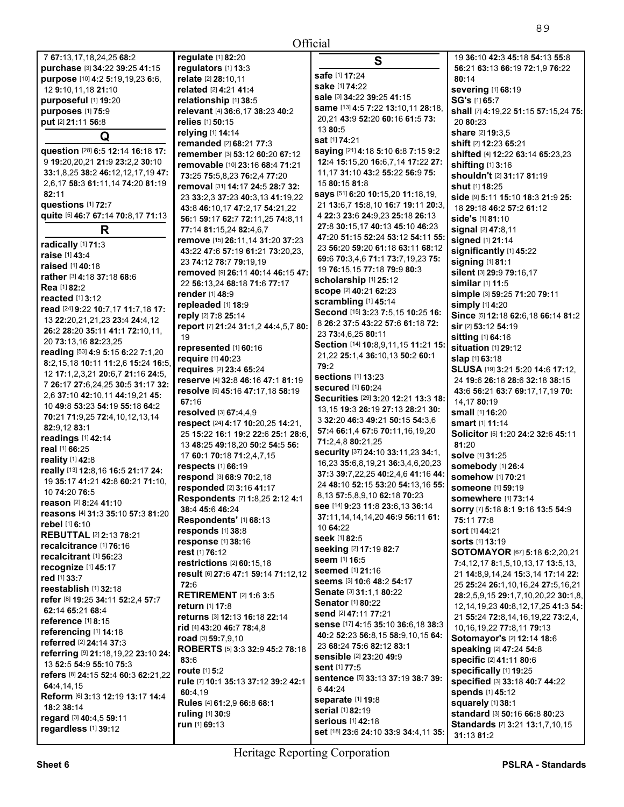|                                           | Official                                 |                                            |
|-------------------------------------------|------------------------------------------|--------------------------------------------|
| regulate [1] 82:20                        | S                                        | 19 36:10 42:3 45:18 54:13 55:8             |
| regulators [1] 13:3                       |                                          | 56:21 63:13 66:19 72:1,9 76:22             |
| relate [2] 28:10.11                       | safe [1] 17:24                           | 80:14                                      |
| related [2] 4:21 41:4                     | sake [1] 74:22                           | severing [1] 68:19                         |
| relationship [1] 38:5                     | <b>sale</b> [3] <b>34:22 39:25 41:15</b> | SG's [1] 65:7                              |
| relevant [4] 36:6,17 38:23 40:2           | same [13] 4:5 7:22 13:10,11 28:18,       | shall [7] 4:19,22 51:15 57:15,24 75:       |
| relies [1] 50:15                          | 20,21 43:9 52:20 60:16 61:5 73:          | 20 80:23                                   |
| relying [1] 14:14                         | 13 80:5                                  | share [2] 19:3.5                           |
| remanded [2] 68:21 77:3                   | <b>sat</b> [1] <b>74:</b> 21             | shift [2] 12:23 65:21                      |
| remember [3] 53:12 60:20 67:12            | saying [21] 4:18 5:10 6:8 7:15 9:2       | shifted [4] 12:22 63:14 65:23,23           |
| removable [10] 23:16 68:4 71:21           | 12:4 15:15,20 16:6,7,14 17:22 27:        | shifting [1] 3:16                          |
| 73:25 75:5,8,23 76:2,4 77:20              | 11.17 31:10 43:2 55:22 56:9 75:          | shouldn't [2] 31:17 81:19                  |
| removal [31] 14:17 24:5 28:7 32:          | 15 80:15 81:8                            | <b>shut</b> [1] 18:25                      |
| 23 33:2,3 37:23 40:3,13 41:19,22          | says [51] 6:20 10:15,20 11:18,19,        | side [9] 5:11 15:10 18:3 21:9 25:          |
| 43:8 46:10,17 47:2,17 54:21,22            | 21 13:6,7 15:8,10 16:7 19:11 20:3,       | 18 29:18 46:2 57:2 61:12                   |
| 56:1 59:17 62:7 72:11,25 74:8,11          | 4 22:3 23:6 24:9,23 25:18 26:13          | <b>side's</b> [1] 81:10                    |
| 77:14 81:15,24 82:4,6,7                   | 27:8 30:15,17 40:13 45:10 46:23          | signal [2] 47:8,11                         |
| remove [15] 26:11,14 31:20 37:23          | 47:20 51:15 52:24 53:12 54:11 55:        | signed [1] 21:14                           |
| 43:22 47:6 57:19 61:21 73:20,23,          | 23 56:20 59:20 61:18 63:11 68:12         | significantly [1] 45:22                    |
| 23 74:12 78:7 79:19,19                    | 69:6 70:3.4.6 71:1 73:7.19.23 75:        | signing [1] 81:1                           |
| removed [9] 26:11 40:14 46:15 47:         | 19 76:15,15 77:18 79:9 80:3              | silent [3] 29:9 79:16.17                   |
| 22 56:13.24 68:18 71:6 77:17              | scholarship [1] 25:12                    | similar [1] 11:5                           |
| <b>render</b> [1] 48:9                    | scope [2] 40:21 62:23                    | simple [3] 59:25 71:20 79:11               |
| repleaded [1] 18:9                        | scrambling [1] 45:14                     | simply [1] 4:20                            |
| reply [2] 7:8 25:14                       | Second [15] 3:23 7:5,15 10:25 16:        | Since [5] 12:18 62:6,18 66:14 81:2         |
|                                           | 8 26:2 37:5 43:22 57:6 61:18 72:         | sir [2] 53:12 54:19                        |
| report [7] 21:24 31:1,2 44:4,5,7 80:      | 23 73:4,6,25 80:11                       |                                            |
| 19                                        | Section [14] 10:8,9,11,15 11:21 15:      | sitting [1] 64:16                          |
| represented [1] 60:16                     | 21,22 25:1,4 36:10,13 50:2 60:1          | situation [1] 29:12                        |
| require [1] 40:23                         | 79:2                                     | slap [1] 63:18                             |
| requires [2] 23:4 65:24                   | <b>sections</b> [1] <b>13:</b> 23        | SLUSA [19] 3:21 5:20 14:6 17:12,           |
| reserve [4] 32:8 46:16 47:1 81:19         | <b>secured</b> [1] 60:24                 | 24 19:6 26:18 28:6 32:18 38:15             |
| resolve [5] 45:16 47:17,18 58:19          | Securities [29] 3:20 12:21 13:3 18:      | 43:6 56:21 63:7 69:17,17,19 70:            |
| 67:16                                     | 13,15 19:3 26:19 27:13 28:21 30:         | 14,17 80:19                                |
| resolved [3] 67:4,4,9                     | 3 32:20 46:3 49:21 50:15 54:3.6          | small [1] 16:20                            |
| respect [24] 4:17 10:20,25 14:21,         | 57:4 66:1,4 67:6 70:11,16,19,20          | smart [1] 11:14                            |
| 25 15:22 16:1 19:2 22:6 25:1 28:6,        | 71:2,4,8 80:21,25                        | Solicitor [5] 1:20 24:2 32:6 45:11         |
| 13 48:25 49:18.20 50:2 54:5 56:           |                                          | 81:20                                      |
| 17 60:1 70:18 71:2,4,7,15                 | security [37] 24:10 33:11,23 34:1,       | solve [1] 31:25                            |
| respects [1] 66:19                        | 16,23 35:6,8,19,21 36:3,4,6,20,23        | somebody [1] 26:4                          |
| respond [3] 68:9 70:2,18                  | 37:3 39:7,22,25 40:2,4,6 41:16 44:       | somehow [1] 70:21                          |
| responded [2] 3:16 41:17                  | 24 48:10 52:15 53:20 54:13,16 55:        | <b>someone</b> [1] 59:19                   |
| <b>Respondents</b> [7] 1:8,25 2:12 4:1    | 8,13 57:5,8,9,10 62:18 70:23             | <b>somewhere</b> [1] 73:14                 |
| 38:4 45:6 46:24                           | see [14] 9:23 11:8 23:6,13 36:14         | sorry [7] 5:18 8:1 9:16 13:5 54:9          |
| Respondents' [1] 68:13                    | 37:11,14,14,14,20 46:9 56:11 61:         | 75:11 77:8                                 |
| responds [1] 38:8                         | 10 64:22                                 | sort [1] 44:21                             |
| response [1] 38:16                        | seek [1] 82:5                            | <b>sorts [1] 13:19</b>                     |
| rest [1] 76:12                            | seeking [2] 17:19 82:7                   | SOTOMAYOR [67] 5:18 6:2,20,21              |
| restrictions [2] 60:15,18                 | seem [1] 16:5                            | 7:4, 12, 17 8:1, 5, 10, 13, 17 13:5, 13,   |
| result [6] 27:6 47:1 59:14 71:12,12       | seemed [1] 21:16                         | 21 14:8,9,14,24 15:3,14 17:14 22:          |
| 72:6                                      | seems [3] 10:6 48:2 54:17                | 25 25:24 26:1.10.16.24 27:5.16.21          |
| <b>RETIREMENT [2] 1:6 3:5</b>             | <b>Senate [3] 31:1.1 80:22</b>           | 28:2,5,9,15 29:1,7,10,20,22 30:1,8,        |
| return [1] 17:8                           | Senator [1] 80:22                        | 12, 14, 19, 23 40: 8, 12, 17, 25 41: 3 54: |
| returns [3] 12:13 16:18 22:14             | send [2] 47:11 77:21                     | 21 55:24 72:8,14,16,19,22 73:2,4,          |
| rid [4] 43:20 46:7 78:4,8                 | sense [17] 4:15 35:10 36:6,18 38:3       | 10, 16, 19, 22 77: 8, 11 79: 13            |
| road [3] 59:7,9,10                        | 40:2 52:23 56:8,15 58:9,10,15 64:        | Sotomayor's [2] 12:14 18:6                 |
| ROBERTS [5] 3:3 32:9 45:2 78:18           | 23 68:24 75:6 82:12 83:1                 | speaking [2] 47:24 54:8                    |
| 83:6                                      | sensible [2] 23:20 49:9                  | specific [2] 41:11 80:6                    |
| route $[1]$ 5:2                           | sent [1] 77:5                            | specifically [1] 19:25                     |
| rule [7] 10:1 35:13 37:12 39:2 42:1       | sentence [5] 33:13 37:19 38:7 39:        | specified [3] 33:18 40:7 44:22             |
| 60:4,19                                   | 644:24                                   | spends [1] 45:12                           |
| <b>Pulse (4) <math>64.20669694</math></b> | <b>separate [1] 19:8</b>                 | equarely [1] 22:1                          |

**serial** [1] **82:**19 **serious** [1] **42:**18

**set** [18] **23:**6 **24:**10 **33:**9 **34:**4,11 **35:** 

**squarely** [1] **38:**1

**31:**13 **81:**2

**standard** [3] **50:**16 **66:**8 **80:**23 **Standards** [7] **3:**21 **13:**1,7,10,15

**64:**4,14,15

**18:**2 **38:**14

7 **67:**13,17,18,24,25 **68:**2 **purchase** [3] **34:**22 **39:**25 **41:**15 **purpose** [10] **4:**2 **5:**19,19,23 **6:**6,

**Q question** [28] **6:**5 **12:**14 **16:**18 **17:**  9 **19:**20,20,21 **21:**9 **23:**2,2 **30:**10 **33:**1,8,25 **38:**2 **46:**12,12,17,19 **47:**  2,6,17 **58:**3 **61:**11,14 **74:**20 **81:**19

**quite** [5] **46:**7 **67:**14 **70:**8,17 **71:**13 **R** 

**read** [24] **9:**22 **10:**7,17 **11:**7,18 **17:**  13 **22:**20,21,21,23 **23:**4 **24:**4,12 **26:**2 **28:**20 **35:**11 **41:**1 **72:**10,11,

**reading** [53] **4:**9 **5:**15 **6:**22 **7:**1,20 **8:**2,15,18 **10:**11 **11:**2,6 **15:**24 **16:**5, 12 **17:**1,2,3,21 **20:**6,7 **21:**16 **24:**5, 7 **26:**17 **27:**6,24,25 **30:**5 **31:**17 **32:**  2,6 **37:**10 **42:**10,11 **44:**19,21 **45:**  10 **49:**8 **53:**23 **54:**19 **55:**18 **64:**2 **70:**21 **71:**9,25 **72:**4,10,12,13,14

**really** [13] **12:**8,16 **16:**5 **21:**17 **24:**  19 **35:**17 **41:**21 **42:**8 **60:**21 **71:**10,

**reasons** [4] **31:**3 **35:**10 **57:**3 **81:**20

**Rules** [4] **61:**2,9 **66:**8 **68:**1

**ruling** [1] **30:**9 **run** [1] **69:**13

**REBUTTAL** [2] **2:**13 **78:**21 **recalcitrance** [1] **76:**16 **recalcitrant** [1] **56:**23 **recognize** [1] **45:**17 **red** [1] **33:**7

**reestablish** [1] **32:**18

**62:**14 **65:**21 **68:**4 **reference** [1] **8:**15 **referencing** [1] **14:**18 **referred** [2] **24:**14 **37:**3

**refer** [8] **19:**25 **34:**11 **52:**2,4 **57:**7

**referring** [9] **21:**18,19,22 **23:**10 **24:** 

**refers** [8] **24:**15 **52:**4 **60:**3 **62:**21,22

**Reform** [6] **3:**13 **12:**19 **13:**17 **14:**4

13 **52:**5 **54:**9 **55:**10 **75:**3

**regard** [3] **40:**4,5 **59:**11 **regardless** [1] **39:**12

12 **9:**10,11,18 **21:**10 **purposeful** [1] **19:**20 **purposes** [1] **75:**9 **put** [2] **21:**11 **56:**8

**82:**11

**questions** [1] **72:**7

**radically** [1] **71:**3 **raise** [1] **43:**4 **raised** [1] **40:**18

**Rea** [1] **82:**2 **reacted** [1] **3:**12

**82:**9,12 **83:**1 **readings** [1] **42:**14 **real** [1] **66:**25 **reality** [1] **42:**8

10 **74:**20 **76:**5 **reason** [2] **8:**24 **41:**10

**rebel** [1] **6:**10

**rather** [3] **4:**18 **37:**18 **68:**6

20 **73:**13,16 **82:**23,25